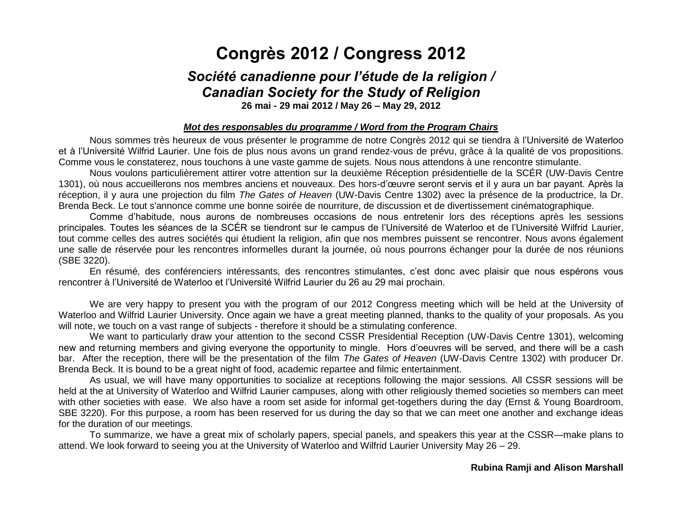# **Congrès 2012 / Congress 2012**

# *Société canadienne pour l'étude de la religion / Canadian Society for the Study of Religion*

**26 mai - 29 mai 2012 / May 26 – May 29, 2012**

### *Mot des responsables du programme / Word from the Program Chairs*

Nous sommes très heureux de vous présenter le programme de notre Congrès 2012 qui se tiendra à l'Université de Waterloo et à l'Université Wilfrid Laurier. Une fois de plus nous avons un grand rendez-vous de prévu, grâce à la qualité de vos propositions. Comme vous le constaterez, nous touchons à une vaste gamme de sujets. Nous nous attendons à une rencontre stimulante.

Nous voulons particulièrement attirer votre attention sur la deuxième Réception présidentielle de la SCÉR (UW-Davis Centre 1301), où nous accueillerons nos membres anciens et nouveaux. Des hors-d'œuvre seront servis et il y aura un bar payant. Après la réception, il y aura une projection du film *The Gates of Heaven* (UW-Davis Centre 1302) avec la présence de la productrice, la Dr. Brenda Beck. Le tout s'annonce comme une bonne soirée de nourriture, de discussion et de divertissement cinématographique.

Comme d'habitude, nous aurons de nombreuses occasions de nous entretenir lors des réceptions après les sessions principales. Toutes les séances de la SCÉR se tiendront sur le campus de l'Université de Waterloo et de l'Université Wilfrid Laurier, tout comme celles des autres sociétés qui étudient la religion, afin que nos membres puissent se rencontrer. Nous avons également une salle de réservée pour les rencontres informelles durant la journée, où nous pourrons échanger pour la durée de nos réunions (SBE 3220).

En résumé, des conférenciers intéressants, des rencontres stimulantes, c'est donc avec plaisir que nous espérons vous rencontrer à l'Université de Waterloo et l'Université Wilfrid Laurier du 26 au 29 mai prochain.

We are very happy to present you with the program of our 2012 Congress meeting which will be held at the University of Waterloo and Wilfrid Laurier University. Once again we have a great meeting planned, thanks to the quality of your proposals. As you will note, we touch on a vast range of subjects - therefore it should be a stimulating conference.

We want to particularly draw your attention to the second CSSR Presidential Reception (UW-Davis Centre 1301), welcoming new and returning members and giving everyone the opportunity to mingle. Hors d'oeuvres will be served, and there will be a cash bar. After the reception, there will be the presentation of the film *The Gates of Heaven* (UW-Davis Centre 1302) with producer Dr. Brenda Beck. It is bound to be a great night of food, academic repartee and filmic entertainment.

As usual, we will have many opportunities to socialize at receptions following the major sessions. All CSSR sessions will be held at the at University of Waterloo and Wilfrid Laurier campuses, along with other religiously themed societies so members can meet with other societies with ease. We also have a room set aside for informal get-togethers during the day (Ernst & Young Boardroom, SBE 3220). For this purpose, a room has been reserved for us during the day so that we can meet one another and exchange ideas for the duration of our meetings.

To summarize, we have a great mix of scholarly papers, special panels, and speakers this year at the CSSR—make plans to attend. We look forward to seeing you at the University of Waterloo and Wilfrid Laurier University May 26 – 29.

#### **Rubina Ramji and Alison Marshall**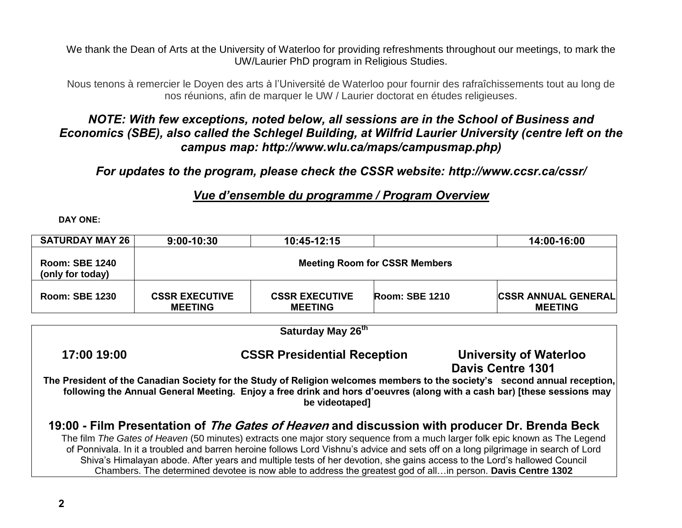We thank the Dean of Arts at the University of Waterloo for providing refreshments throughout our meetings, to mark the UW/Laurier PhD program in Religious Studies.

Nous tenons à remercier le Doyen des arts à l'Université de Waterloo pour fournir des rafraîchissements tout au long de nos réunions, afin de marquer le UW / Laurier doctorat en études religieuses.

# *NOTE: With few exceptions, noted below, all sessions are in the School of Business and Economics (SBE), also called the Schlegel Building, at Wilfrid Laurier University (centre left on the campus map: http://www.wlu.ca/maps/campusmap.php)*

*For updates to the program, please check the CSSR website: http://www.ccsr.ca/cssr/*

# *Vue d'ensemble du programme / Program Overview*

**DAY ONE:**

| <b>SATURDAY MAY 26</b>                    | 9:00-10:30                                                                               | 10:45-12:15                                                                                                 |                                      | 14:00-16:00                                                                                                                                                                                                                                                                                                                                                                                                                                                                                            |
|-------------------------------------------|------------------------------------------------------------------------------------------|-------------------------------------------------------------------------------------------------------------|--------------------------------------|--------------------------------------------------------------------------------------------------------------------------------------------------------------------------------------------------------------------------------------------------------------------------------------------------------------------------------------------------------------------------------------------------------------------------------------------------------------------------------------------------------|
| <b>Room: SBE 1240</b><br>(only for today) |                                                                                          |                                                                                                             | <b>Meeting Room for CSSR Members</b> |                                                                                                                                                                                                                                                                                                                                                                                                                                                                                                        |
| <b>Room: SBE 1230</b>                     | <b>CSSR EXECUTIVE</b><br><b>MEETING</b>                                                  | <b>CSSR EXECUTIVE</b><br><b>MEETING</b>                                                                     | <b>Room: SBE 1210</b>                | <b>CSSR ANNUAL GENERAL</b><br><b>MEETING</b>                                                                                                                                                                                                                                                                                                                                                                                                                                                           |
|                                           |                                                                                          | Saturday May 26 <sup>th</sup>                                                                               |                                      |                                                                                                                                                                                                                                                                                                                                                                                                                                                                                                        |
| 17:00 19:00                               | <b>CSSR Presidential Reception</b><br>University of Waterloo<br><b>Davis Centre 1301</b> |                                                                                                             |                                      |                                                                                                                                                                                                                                                                                                                                                                                                                                                                                                        |
|                                           |                                                                                          | be videotaped]                                                                                              |                                      | The President of the Canadian Society for the Study of Religion welcomes members to the society's second annual reception,<br>following the Annual General Meeting. Enjoy a free drink and hors d'oeuvres (along with a cash bar) [these sessions may                                                                                                                                                                                                                                                  |
|                                           |                                                                                          | Chambers. The determined devotee is now able to address the greatest god of allin person. Davis Centre 1302 |                                      | 19:00 - Film Presentation of <i>The Gates of Heaven</i> and discussion with producer Dr. Brenda Beck<br>The film The Gates of Heaven (50 minutes) extracts one major story sequence from a much larger folk epic known as The Legend<br>of Ponnivala. In it a troubled and barren heroine follows Lord Vishnu's advice and sets off on a long pilgrimage in search of Lord<br>Shiva's Himalayan abode. After years and multiple tests of her devotion, she gains access to the Lord's hallowed Council |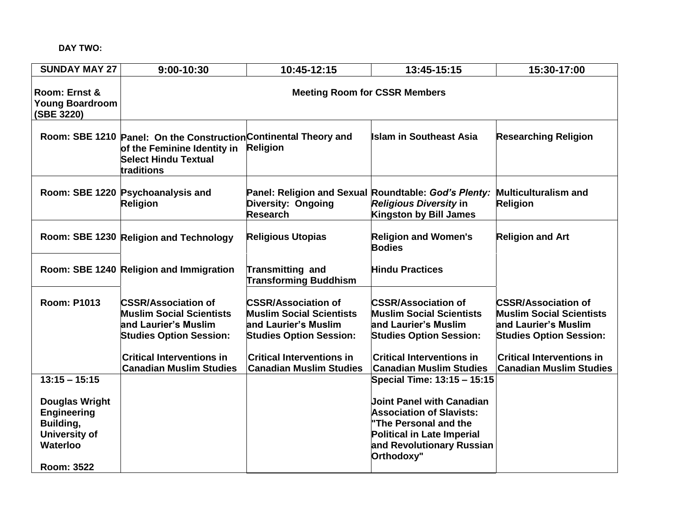# **DAY TWO:**

| <b>SUNDAY MAY 27</b>                                                                                       | 9:00-10:30                                                                                                                                                                                    | 10:45-12:15                                                                                                                                                                                   | 13:45-15:15                                                                                                                                                                                   | 15:30-17:00                                                                                                                                                                                   |
|------------------------------------------------------------------------------------------------------------|-----------------------------------------------------------------------------------------------------------------------------------------------------------------------------------------------|-----------------------------------------------------------------------------------------------------------------------------------------------------------------------------------------------|-----------------------------------------------------------------------------------------------------------------------------------------------------------------------------------------------|-----------------------------------------------------------------------------------------------------------------------------------------------------------------------------------------------|
| Room: Ernst &<br><b>Young Boardroom</b><br>(SBE 3220)                                                      |                                                                                                                                                                                               |                                                                                                                                                                                               | <b>Meeting Room for CSSR Members</b>                                                                                                                                                          |                                                                                                                                                                                               |
|                                                                                                            | Room: SBE 1210 Panel: On the Construction Continental Theory and<br>of the Feminine Identity in<br><b>Select Hindu Textual</b><br>traditions                                                  | <b>Religion</b>                                                                                                                                                                               | <b>Islam in Southeast Asia</b>                                                                                                                                                                | <b>Researching Religion</b>                                                                                                                                                                   |
|                                                                                                            | Room: SBE 1220 Psychoanalysis and<br>Religion                                                                                                                                                 | Panel: Religion and Sexual Roundtable: God's Plenty:<br><b>Diversity: Ongoing</b><br><b>Research</b>                                                                                          | <b>Religious Diversity in</b><br><b>Kingston by Bill James</b>                                                                                                                                | <b>Multiculturalism and</b><br><b>Religion</b>                                                                                                                                                |
|                                                                                                            | Room: SBE 1230 Religion and Technology                                                                                                                                                        | <b>Religious Utopias</b>                                                                                                                                                                      | <b>Religion and Women's</b><br><b>Bodies</b>                                                                                                                                                  | <b>Religion and Art</b>                                                                                                                                                                       |
|                                                                                                            | Room: SBE 1240 Religion and Immigration                                                                                                                                                       | <b>Transmitting and</b><br><b>Transforming Buddhism</b>                                                                                                                                       | <b>Hindu Practices</b>                                                                                                                                                                        |                                                                                                                                                                                               |
| <b>Room: P1013</b>                                                                                         | <b>CSSR/Association of</b><br><b>Muslim Social Scientists</b><br>and Laurier's Muslim<br><b>Studies Option Session:</b><br><b>Critical Interventions in</b><br><b>Canadian Muslim Studies</b> | <b>CSSR/Association of</b><br><b>Muslim Social Scientists</b><br>and Laurier's Muslim<br><b>Studies Option Session:</b><br><b>Critical Interventions in</b><br><b>Canadian Muslim Studies</b> | <b>CSSR/Association of</b><br><b>Muslim Social Scientists</b><br>and Laurier's Muslim<br><b>Studies Option Session:</b><br><b>Critical Interventions in</b><br><b>Canadian Muslim Studies</b> | <b>CSSR/Association of</b><br><b>Muslim Social Scientists</b><br>and Laurier's Muslim<br><b>Studies Option Session:</b><br><b>Critical Interventions in</b><br><b>Canadian Muslim Studies</b> |
| $13:15 - 15:15$                                                                                            |                                                                                                                                                                                               |                                                                                                                                                                                               | Special Time: 13:15 - 15:15                                                                                                                                                                   |                                                                                                                                                                                               |
| <b>Douglas Wright</b><br><b>Engineering</b><br>Building,<br>University of<br>Waterloo<br><b>Room: 3522</b> |                                                                                                                                                                                               |                                                                                                                                                                                               | <b>Joint Panel with Canadian</b><br><b>Association of Slavists:</b><br>"The Personal and the<br><b>Political in Late Imperial</b><br>and Revolutionary Russian<br>Orthodoxy"                  |                                                                                                                                                                                               |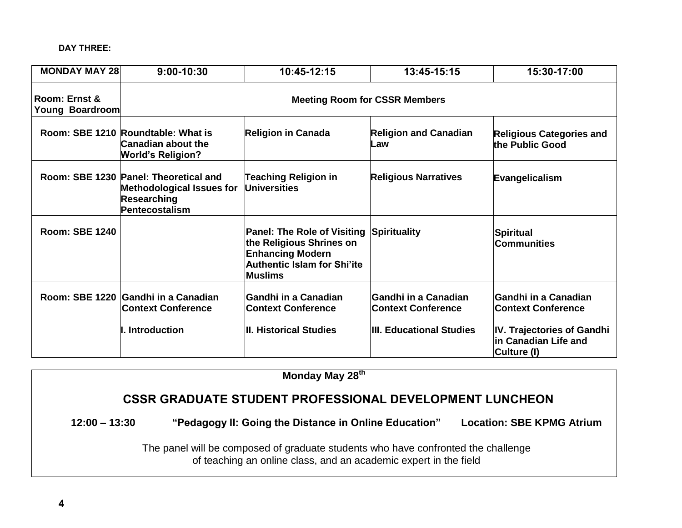**DAY THREE:**

| <b>MONDAY MAY 28</b>             | $9:00 - 10:30$                                                                                                           | 10:45-12:15                                                                                                                                       | 13:45-15:15                                              | 15:30-17:00                                                       |
|----------------------------------|--------------------------------------------------------------------------------------------------------------------------|---------------------------------------------------------------------------------------------------------------------------------------------------|----------------------------------------------------------|-------------------------------------------------------------------|
| Room: Ernst &<br>Young Boardroom | <b>Meeting Room for CSSR Members</b>                                                                                     |                                                                                                                                                   |                                                          |                                                                   |
|                                  | Room: SBE 1210 Roundtable: What is<br><b>Canadian about the</b><br><b>World's Religion?</b>                              | <b>Religion in Canada</b>                                                                                                                         | <b>Religion and Canadian</b><br>Law                      | <b>Religious Categories and</b><br>the Public Good                |
|                                  | Room: SBE 1230 Panel: Theoretical and<br><b>Methodological Issues for</b><br><b>Researching</b><br><b>Pentecostalism</b> | <b>Teaching Religion in</b><br><b>Universities</b>                                                                                                | <b>Religious Narratives</b>                              | Evangelicalism                                                    |
| <b>Room: SBE 1240</b>            |                                                                                                                          | <b>Panel: The Role of Visiting</b><br>the Religious Shrines on<br><b>Enhancing Modern</b><br><b>Authentic Islam for Shi'ite</b><br><b>Muslims</b> | Spirituality                                             | Spiritual<br><b>Communities</b>                                   |
|                                  | Room: SBE 1220 Gandhi in a Canadian<br><b>Context Conference</b>                                                         | <b>Gandhi in a Canadian</b><br><b>Context Conference</b>                                                                                          | <b>Gandhi in a Canadian</b><br><b>Context Conference</b> | Gandhi in a Canadian<br><b>Context Conference</b>                 |
|                                  | . Introduction                                                                                                           | <b>II. Historical Studies</b>                                                                                                                     | <b>III. Educational Studies</b>                          | IV. Trajectories of Gandhi<br>in Canadian Life and<br>Culture (I) |

**Monday May 28th CSSR GRADUATE STUDENT PROFESSIONAL DEVELOPMENT LUNCHEON 12:00 – 13:30 "Pedagogy II: Going the Distance in Online Education" Location: SBE KPMG Atrium**  The panel will be composed of graduate students who have confronted the challenge of teaching an online class, and an academic expert in the field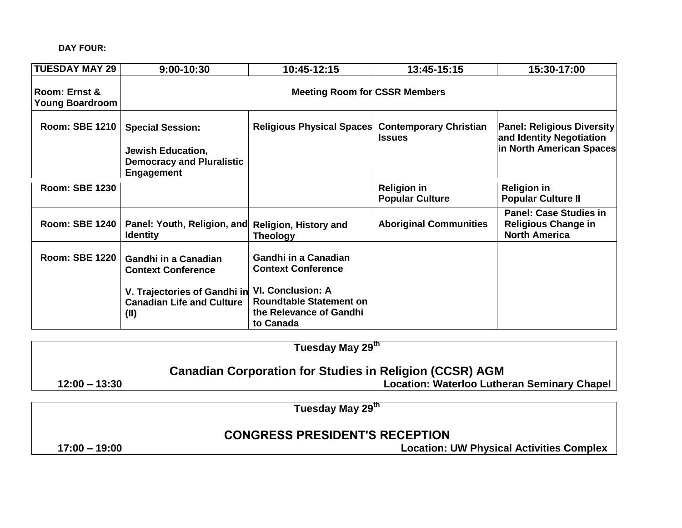# **DAY FOUR:**

| <b>TUESDAY MAY 29</b>                   | 9:00-10:30                                                                                                                           | 10:45-12:15                                                                                                                                                    | 13:45-15:15                                  | 15:30-17:00                                                                               |
|-----------------------------------------|--------------------------------------------------------------------------------------------------------------------------------------|----------------------------------------------------------------------------------------------------------------------------------------------------------------|----------------------------------------------|-------------------------------------------------------------------------------------------|
| Room: Ernst &<br><b>Young Boardroom</b> |                                                                                                                                      | <b>Meeting Room for CSSR Members</b>                                                                                                                           |                                              |                                                                                           |
| <b>Room: SBE 1210</b>                   | <b>Special Session:</b><br><b>Jewish Education,</b><br><b>Democracy and Pluralistic</b><br><b>Engagement</b>                         | Religious Physical Spaces Contemporary Christian                                                                                                               | <b>Issues</b>                                | <b>Panel: Religious Diversity</b><br>and Identity Negotiation<br>in North American Spaces |
| <b>Room: SBE 1230</b>                   |                                                                                                                                      |                                                                                                                                                                | <b>Religion in</b><br><b>Popular Culture</b> | <b>Religion in</b><br><b>Popular Culture II</b>                                           |
| Room: SBE 1240                          | Panel: Youth, Religion, and<br><b>Identity</b>                                                                                       | <b>Religion, History and</b><br><b>Theology</b>                                                                                                                | <b>Aboriginal Communities</b>                | <b>Panel: Case Studies in</b><br><b>Religious Change in</b><br><b>North America</b>       |
| <b>Room: SBE 1220</b>                   | <b>Gandhi in a Canadian</b><br><b>Context Conference</b><br>V. Trajectories of Gandhi in<br><b>Canadian Life and Culture</b><br>(II) | <b>Gandhi in a Canadian</b><br><b>Context Conference</b><br><b>VI. Conclusion: A</b><br><b>Roundtable Statement on</b><br>the Relevance of Gandhi<br>to Canada |                                              |                                                                                           |

|                                                                | Tuesday May 29 <sup>th</sup>                |  |
|----------------------------------------------------------------|---------------------------------------------|--|
| <b>Canadian Corporation for Studies in Religion (CCSR) AGM</b> |                                             |  |
| $12:00 - 13:30$                                                | Location: Waterloo Lutheran Seminary Chapel |  |
|                                                                |                                             |  |

**Tuesday May 29th** 

# **CONGRESS PRESIDENT'S RECEPTION**

**17:00 – 19:00 Location: UW Physical Activities Complex**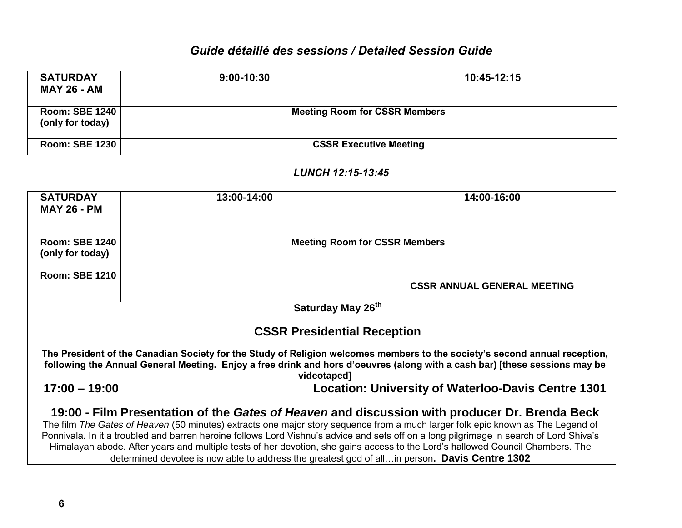# *Guide détaillé des sessions / Detailed Session Guide*

| <b>SATURDAY</b><br><b>MAY 26 - AM</b>     | $9:00 - 10:30$ | 10:45-12:15                          |  |
|-------------------------------------------|----------------|--------------------------------------|--|
| <b>Room: SBE 1240</b><br>(only for today) |                | <b>Meeting Room for CSSR Members</b> |  |
| Room: SBE 1230                            |                | <b>CSSR Executive Meeting</b>        |  |

| <b>SATURDAY</b><br><b>MAY 26 - PM</b>                                                                                                                                                                                                                                                                                                                                                                                                                                                                                                                                                                          | 13:00-14:00                                                                                                                                                                                                                                                             | 14:00-16:00                        |  |
|----------------------------------------------------------------------------------------------------------------------------------------------------------------------------------------------------------------------------------------------------------------------------------------------------------------------------------------------------------------------------------------------------------------------------------------------------------------------------------------------------------------------------------------------------------------------------------------------------------------|-------------------------------------------------------------------------------------------------------------------------------------------------------------------------------------------------------------------------------------------------------------------------|------------------------------------|--|
| <b>Room: SBE 1240</b><br>(only for today)                                                                                                                                                                                                                                                                                                                                                                                                                                                                                                                                                                      | <b>Meeting Room for CSSR Members</b>                                                                                                                                                                                                                                    |                                    |  |
| <b>Room: SBE 1210</b>                                                                                                                                                                                                                                                                                                                                                                                                                                                                                                                                                                                          |                                                                                                                                                                                                                                                                         | <b>CSSR ANNUAL GENERAL MEETING</b> |  |
| Saturday May 26th                                                                                                                                                                                                                                                                                                                                                                                                                                                                                                                                                                                              |                                                                                                                                                                                                                                                                         |                                    |  |
|                                                                                                                                                                                                                                                                                                                                                                                                                                                                                                                                                                                                                | <b>CSSR Presidential Reception</b>                                                                                                                                                                                                                                      |                                    |  |
|                                                                                                                                                                                                                                                                                                                                                                                                                                                                                                                                                                                                                | The President of the Canadian Society for the Study of Religion welcomes members to the society's second annual reception,<br>following the Annual General Meeting. Enjoy a free drink and hors d'oeuvres (along with a cash bar) [these sessions may be<br>videotaped] |                                    |  |
|                                                                                                                                                                                                                                                                                                                                                                                                                                                                                                                                                                                                                | $17:00 - 19:00$<br><b>Location: University of Waterloo-Davis Centre 1301</b>                                                                                                                                                                                            |                                    |  |
| 19:00 - Film Presentation of the Gates of Heaven and discussion with producer Dr. Brenda Beck<br>The film The Gates of Heaven (50 minutes) extracts one major story sequence from a much larger folk epic known as The Legend of<br>Ponnivala. In it a troubled and barren heroine follows Lord Vishnu's advice and sets off on a long pilgrimage in search of Lord Shiva's<br>Himalayan abode. After years and multiple tests of her devotion, she gains access to the Lord's hallowed Council Chambers. The<br>determined devotee is now able to address the greatest god of allin person. Davis Centre 1302 |                                                                                                                                                                                                                                                                         |                                    |  |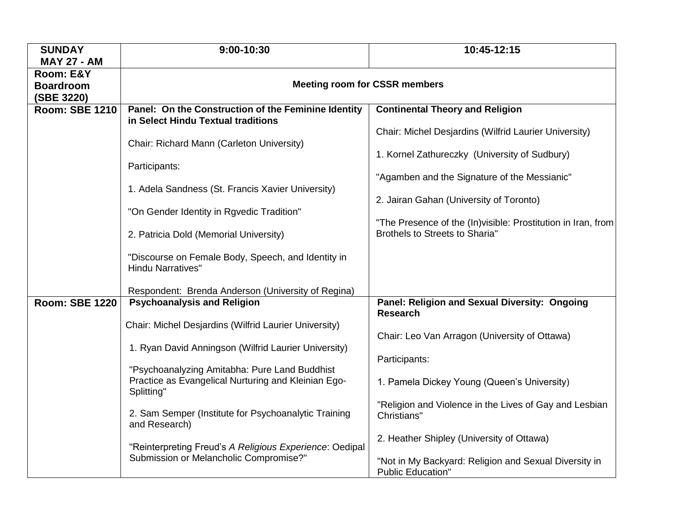| <b>SUNDAY</b>                   | 9:00-10:30                                                                                        | 10:45-12:15                                                                       |  |
|---------------------------------|---------------------------------------------------------------------------------------------------|-----------------------------------------------------------------------------------|--|
| <b>MAY 27 - AM</b><br>Room: E&Y |                                                                                                   |                                                                                   |  |
| <b>Boardroom</b>                | <b>Meeting room for CSSR members</b>                                                              |                                                                                   |  |
| (SBE 3220)                      |                                                                                                   |                                                                                   |  |
| <b>Room: SBE 1210</b>           | Panel: On the Construction of the Feminine Identity                                               | <b>Continental Theory and Religion</b>                                            |  |
|                                 | in Select Hindu Textual traditions                                                                | Chair: Michel Desjardins (Wilfrid Laurier University)                             |  |
|                                 | Chair: Richard Mann (Carleton University)                                                         |                                                                                   |  |
|                                 |                                                                                                   | 1. Kornel Zathureczky (University of Sudbury)                                     |  |
|                                 | Participants:                                                                                     |                                                                                   |  |
|                                 | 1. Adela Sandness (St. Francis Xavier University)                                                 | "Agamben and the Signature of the Messianic"                                      |  |
|                                 |                                                                                                   | 2. Jairan Gahan (University of Toronto)                                           |  |
|                                 | "On Gender Identity in Rgvedic Tradition"                                                         |                                                                                   |  |
|                                 |                                                                                                   | "The Presence of the (In) visible: Prostitution in Iran, from                     |  |
|                                 | 2. Patricia Dold (Memorial University)                                                            | <b>Brothels to Streets to Sharia"</b>                                             |  |
|                                 | "Discourse on Female Body, Speech, and Identity in                                                |                                                                                   |  |
|                                 | <b>Hindu Narratives"</b>                                                                          |                                                                                   |  |
|                                 |                                                                                                   |                                                                                   |  |
| <b>Room: SBE 1220</b>           | Respondent: Brenda Anderson (University of Regina)<br><b>Psychoanalysis and Religion</b>          | Panel: Religion and Sexual Diversity: Ongoing                                     |  |
|                                 |                                                                                                   | <b>Research</b>                                                                   |  |
|                                 | Chair: Michel Desjardins (Wilfrid Laurier University)                                             |                                                                                   |  |
|                                 |                                                                                                   | Chair: Leo Van Arragon (University of Ottawa)                                     |  |
|                                 | 1. Ryan David Anningson (Wilfrid Laurier University)                                              | Participants:                                                                     |  |
|                                 | "Psychoanalyzing Amitabha: Pure Land Buddhist                                                     |                                                                                   |  |
|                                 | Practice as Evangelical Nurturing and Kleinian Ego-                                               | 1. Pamela Dickey Young (Queen's University)                                       |  |
|                                 | Splitting"                                                                                        |                                                                                   |  |
|                                 | 2. Sam Semper (Institute for Psychoanalytic Training                                              | "Religion and Violence in the Lives of Gay and Lesbian<br>Christians"             |  |
|                                 | and Research)                                                                                     |                                                                                   |  |
|                                 |                                                                                                   | 2. Heather Shipley (University of Ottawa)                                         |  |
|                                 | "Reinterpreting Freud's A Religious Experience: Oedipal<br>Submission or Melancholic Compromise?" |                                                                                   |  |
|                                 |                                                                                                   | "Not in My Backyard: Religion and Sexual Diversity in<br><b>Public Education"</b> |  |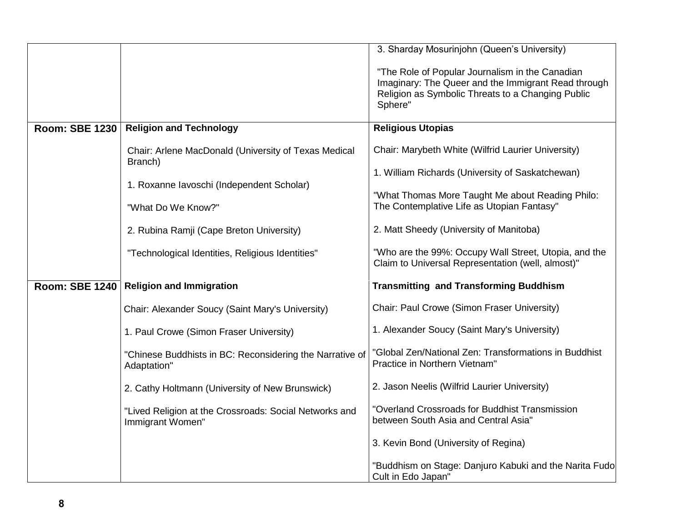|                       |                                                                            | 3. Sharday Mosurinjohn (Queen's University)                                                                                                                            |
|-----------------------|----------------------------------------------------------------------------|------------------------------------------------------------------------------------------------------------------------------------------------------------------------|
|                       |                                                                            | "The Role of Popular Journalism in the Canadian<br>Imaginary: The Queer and the Immigrant Read through<br>Religion as Symbolic Threats to a Changing Public<br>Sphere" |
| <b>Room: SBE 1230</b> | <b>Religion and Technology</b>                                             | <b>Religious Utopias</b>                                                                                                                                               |
|                       | Chair: Arlene MacDonald (University of Texas Medical<br>Branch)            | Chair: Marybeth White (Wilfrid Laurier University)                                                                                                                     |
|                       | 1. Roxanne lavoschi (Independent Scholar)                                  | 1. William Richards (University of Saskatchewan)                                                                                                                       |
|                       | "What Do We Know?"                                                         | "What Thomas More Taught Me about Reading Philo:<br>The Contemplative Life as Utopian Fantasy"                                                                         |
|                       | 2. Rubina Ramji (Cape Breton University)                                   | 2. Matt Sheedy (University of Manitoba)                                                                                                                                |
|                       | "Technological Identities, Religious Identities"                           | "Who are the 99%: Occupy Wall Street, Utopia, and the<br>Claim to Universal Representation (well, almost)"                                                             |
| <b>Room: SBE 1240</b> | <b>Religion and Immigration</b>                                            | <b>Transmitting and Transforming Buddhism</b>                                                                                                                          |
|                       | Chair: Alexander Soucy (Saint Mary's University)                           | Chair: Paul Crowe (Simon Fraser University)                                                                                                                            |
|                       | 1. Paul Crowe (Simon Fraser University)                                    | 1. Alexander Soucy (Saint Mary's University)                                                                                                                           |
|                       | "Chinese Buddhists in BC: Reconsidering the Narrative of<br>Adaptation"    | "Global Zen/National Zen: Transformations in Buddhist<br>Practice in Northern Vietnam"                                                                                 |
|                       | 2. Cathy Holtmann (University of New Brunswick)                            | 2. Jason Neelis (Wilfrid Laurier University)                                                                                                                           |
|                       | "Lived Religion at the Crossroads: Social Networks and<br>Immigrant Women" | "Overland Crossroads for Buddhist Transmission<br>between South Asia and Central Asia"                                                                                 |
|                       |                                                                            | 3. Kevin Bond (University of Regina)                                                                                                                                   |
|                       |                                                                            | "Buddhism on Stage: Danjuro Kabuki and the Narita Fudo<br>Cult in Edo Japan"                                                                                           |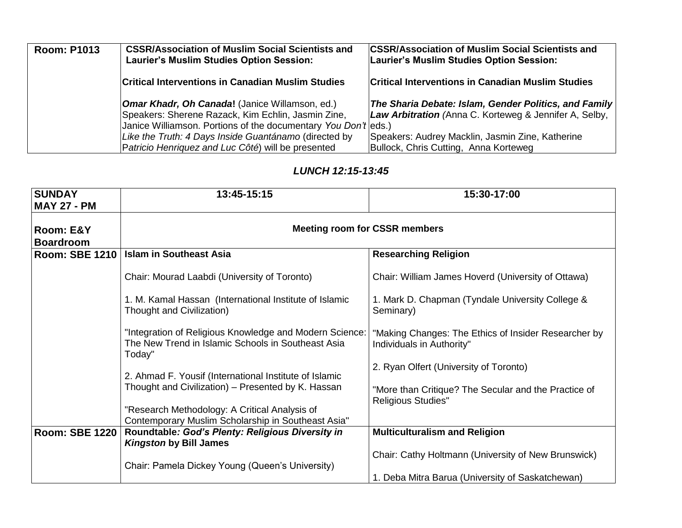| <b>Room: P1013</b> | <b>CSSR/Association of Muslim Social Scientists and</b><br>Laurier's Muslim Studies Option Session:                                                                           | <b>CSSR/Association of Muslim Social Scientists and</b><br>Laurier's Muslim Studies Option Session:             |
|--------------------|-------------------------------------------------------------------------------------------------------------------------------------------------------------------------------|-----------------------------------------------------------------------------------------------------------------|
|                    | <b>Critical Interventions in Canadian Muslim Studies</b>                                                                                                                      | <b>Critical Interventions in Canadian Muslim Studies</b>                                                        |
|                    | <b>Omar Khadr, Oh Canada!</b> (Janice Willamson, ed.)<br>Speakers: Sherene Razack, Kim Echlin, Jasmin Zine,<br>Janice Williamson. Portions of the documentary You Don't eds.) | The Sharia Debate: Islam, Gender Politics, and Family<br>Law Arbitration (Anna C. Korteweg & Jennifer A, Selby, |
|                    | Like the Truth: 4 Days Inside Guantánamo (directed by<br>Patricio Henriquez and Luc Côté) will be presented                                                                   | Speakers: Audrey Macklin, Jasmin Zine, Katherine<br>Bullock, Chris Cutting, Anna Korteweg                       |

| <b>SUNDAY</b><br><b>MAY 27 - PM</b> | 13:45-15:15                                                                                                             | 15:30-17:00                                                                       |
|-------------------------------------|-------------------------------------------------------------------------------------------------------------------------|-----------------------------------------------------------------------------------|
| Room: E&Y<br><b>Boardroom</b>       | <b>Meeting room for CSSR members</b>                                                                                    |                                                                                   |
| <b>Room: SBE 1210</b>               | <b>Islam in Southeast Asia</b>                                                                                          | <b>Researching Religion</b>                                                       |
|                                     |                                                                                                                         |                                                                                   |
|                                     | Chair: Mourad Laabdi (University of Toronto)                                                                            | Chair: William James Hoverd (University of Ottawa)                                |
|                                     | 1. M. Kamal Hassan (International Institute of Islamic<br>Thought and Civilization)                                     | 1. Mark D. Chapman (Tyndale University College &<br>Seminary)                     |
|                                     | "Integration of Religious Knowledge and Modern Science:<br>The New Trend in Islamic Schools in Southeast Asia<br>Today" | "Making Changes: The Ethics of Insider Researcher by<br>Individuals in Authority" |
|                                     |                                                                                                                         | 2. Ryan Olfert (University of Toronto)                                            |
|                                     | 2. Ahmad F. Yousif (International Institute of Islamic<br>Thought and Civilization) - Presented by K. Hassan            |                                                                                   |
|                                     |                                                                                                                         | "More than Critique? The Secular and the Practice of                              |
|                                     | "Research Methodology: A Critical Analysis of<br>Contemporary Muslim Scholarship in Southeast Asia"                     | <b>Religious Studies"</b>                                                         |
| <b>Room: SBE 1220</b>               | Roundtable: God's Plenty: Religious Diversity in<br><b>Kingston by Bill James</b>                                       | <b>Multiculturalism and Religion</b>                                              |
|                                     |                                                                                                                         | Chair: Cathy Holtmann (University of New Brunswick)                               |
|                                     | Chair: Pamela Dickey Young (Queen's University)                                                                         |                                                                                   |
|                                     |                                                                                                                         | 1. Deba Mitra Barua (University of Saskatchewan)                                  |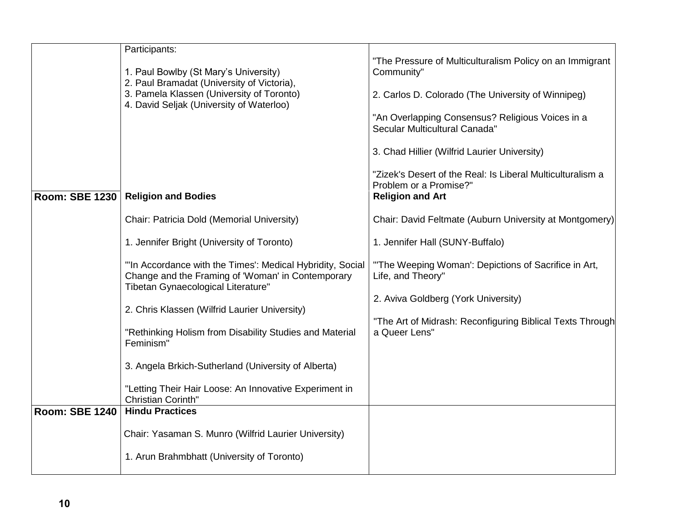|                       | Participants:                                                                                                                                        |                                                                                      |
|-----------------------|------------------------------------------------------------------------------------------------------------------------------------------------------|--------------------------------------------------------------------------------------|
|                       |                                                                                                                                                      | "The Pressure of Multiculturalism Policy on an Immigrant                             |
|                       | 1. Paul Bowlby (St Mary's University)                                                                                                                | Community"                                                                           |
|                       | 2. Paul Bramadat (University of Victoria),                                                                                                           |                                                                                      |
|                       | 3. Pamela Klassen (University of Toronto)<br>4. David Seljak (University of Waterloo)                                                                | 2. Carlos D. Colorado (The University of Winnipeg)                                   |
|                       |                                                                                                                                                      | "An Overlapping Consensus? Religious Voices in a<br>Secular Multicultural Canada"    |
|                       |                                                                                                                                                      | 3. Chad Hillier (Wilfrid Laurier University)                                         |
|                       |                                                                                                                                                      | "Zizek's Desert of the Real: Is Liberal Multiculturalism a<br>Problem or a Promise?" |
| Room: SBE 1230        | <b>Religion and Bodies</b>                                                                                                                           | <b>Religion and Art</b>                                                              |
|                       | Chair: Patricia Dold (Memorial University)                                                                                                           | Chair: David Feltmate (Auburn University at Montgomery)                              |
|                       | 1. Jennifer Bright (University of Toronto)                                                                                                           | 1. Jennifer Hall (SUNY-Buffalo)                                                      |
|                       | "In Accordance with the Times': Medical Hybridity, Social<br>Change and the Framing of 'Woman' in Contemporary<br>Tibetan Gynaecological Literature" | "The Weeping Woman': Depictions of Sacrifice in Art,<br>Life, and Theory"            |
|                       |                                                                                                                                                      | 2. Aviva Goldberg (York University)                                                  |
|                       | 2. Chris Klassen (Wilfrid Laurier University)                                                                                                        |                                                                                      |
|                       | "Rethinking Holism from Disability Studies and Material<br>Feminism"                                                                                 | "The Art of Midrash: Reconfiguring Biblical Texts Through<br>a Queer Lens"           |
|                       | 3. Angela Brkich-Sutherland (University of Alberta)                                                                                                  |                                                                                      |
|                       | "Letting Their Hair Loose: An Innovative Experiment in<br>Christian Corinth"                                                                         |                                                                                      |
| <b>Room: SBE 1240</b> | <b>Hindu Practices</b>                                                                                                                               |                                                                                      |
|                       | Chair: Yasaman S. Munro (Wilfrid Laurier University)                                                                                                 |                                                                                      |
|                       | 1. Arun Brahmbhatt (University of Toronto)                                                                                                           |                                                                                      |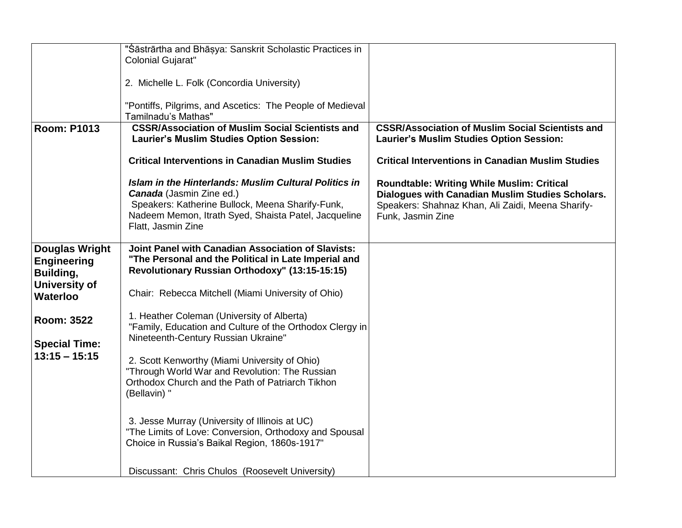|                                                          | "Śāstrārtha and Bhāṣya: Sanskrit Scholastic Practices in<br><b>Colonial Gujarat"</b>                                                                                                                                              |                                                                                                                                                                                 |
|----------------------------------------------------------|-----------------------------------------------------------------------------------------------------------------------------------------------------------------------------------------------------------------------------------|---------------------------------------------------------------------------------------------------------------------------------------------------------------------------------|
|                                                          | 2. Michelle L. Folk (Concordia University)                                                                                                                                                                                        |                                                                                                                                                                                 |
|                                                          | "Pontiffs, Pilgrims, and Ascetics: The People of Medieval<br>Tamilnadu's Mathas"                                                                                                                                                  |                                                                                                                                                                                 |
| <b>Room: P1013</b>                                       | <b>CSSR/Association of Muslim Social Scientists and</b><br>Laurier's Muslim Studies Option Session:                                                                                                                               | <b>CSSR/Association of Muslim Social Scientists and</b><br><b>Laurier's Muslim Studies Option Session:</b>                                                                      |
|                                                          | <b>Critical Interventions in Canadian Muslim Studies</b>                                                                                                                                                                          | <b>Critical Interventions in Canadian Muslim Studies</b>                                                                                                                        |
|                                                          | <b>Islam in the Hinterlands: Muslim Cultural Politics in</b><br><b>Canada</b> (Jasmin Zine ed.)<br>Speakers: Katherine Bullock, Meena Sharify-Funk,<br>Nadeem Memon, Itrath Syed, Shaista Patel, Jacqueline<br>Flatt, Jasmin Zine | <b>Roundtable: Writing While Muslim: Critical</b><br>Dialogues with Canadian Muslim Studies Scholars.<br>Speakers: Shahnaz Khan, Ali Zaidi, Meena Sharify-<br>Funk, Jasmin Zine |
| <b>Douglas Wright</b><br><b>Engineering</b><br>Building, | <b>Joint Panel with Canadian Association of Slavists:</b><br>"The Personal and the Political in Late Imperial and<br>Revolutionary Russian Orthodoxy" (13:15-15:15)                                                               |                                                                                                                                                                                 |
| <b>University of</b><br><b>Waterloo</b>                  | Chair: Rebecca Mitchell (Miami University of Ohio)                                                                                                                                                                                |                                                                                                                                                                                 |
| <b>Room: 3522</b>                                        | 1. Heather Coleman (University of Alberta)<br>"Family, Education and Culture of the Orthodox Clergy in                                                                                                                            |                                                                                                                                                                                 |
| <b>Special Time:</b><br>$13:15 - 15:15$                  | Nineteenth-Century Russian Ukraine"<br>2. Scott Kenworthy (Miami University of Ohio)                                                                                                                                              |                                                                                                                                                                                 |
|                                                          | "Through World War and Revolution: The Russian<br>Orthodox Church and the Path of Patriarch Tikhon<br>(Bellavin) "                                                                                                                |                                                                                                                                                                                 |
|                                                          | 3. Jesse Murray (University of Illinois at UC)<br>"The Limits of Love: Conversion, Orthodoxy and Spousal<br>Choice in Russia's Baikal Region, 1860s-1917"                                                                         |                                                                                                                                                                                 |
|                                                          | Discussant: Chris Chulos (Roosevelt University)                                                                                                                                                                                   |                                                                                                                                                                                 |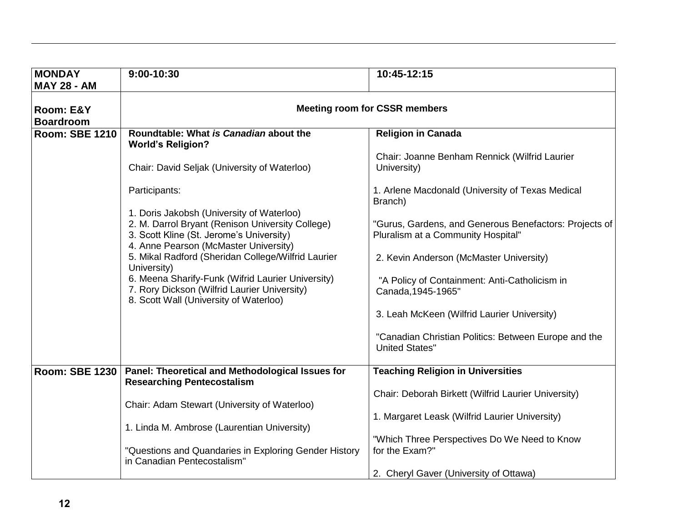| <b>MONDAY</b><br><b>MAY 28 - AM</b> | 9:00-10:30                                                                                                                                                                         | 10:45-12:15                                                                                  |  |  |
|-------------------------------------|------------------------------------------------------------------------------------------------------------------------------------------------------------------------------------|----------------------------------------------------------------------------------------------|--|--|
| Room: E&Y<br><b>Boardroom</b>       |                                                                                                                                                                                    | <b>Meeting room for CSSR members</b>                                                         |  |  |
| <b>Room: SBE 1210</b>               | Roundtable: What is Canadian about the<br><b>World's Religion?</b>                                                                                                                 | <b>Religion in Canada</b>                                                                    |  |  |
|                                     | Chair: David Seljak (University of Waterloo)                                                                                                                                       | Chair: Joanne Benham Rennick (Wilfrid Laurier<br>University)                                 |  |  |
|                                     | Participants:                                                                                                                                                                      | 1. Arlene Macdonald (University of Texas Medical<br>Branch)                                  |  |  |
|                                     | 1. Doris Jakobsh (University of Waterloo)<br>2. M. Darrol Bryant (Renison University College)<br>3. Scott Kline (St. Jerome's University)<br>4. Anne Pearson (McMaster University) | "Gurus, Gardens, and Generous Benefactors: Projects of<br>Pluralism at a Community Hospital" |  |  |
|                                     | 5. Mikal Radford (Sheridan College/Wilfrid Laurier<br>University)                                                                                                                  | 2. Kevin Anderson (McMaster University)                                                      |  |  |
|                                     | 6. Meena Sharify-Funk (Wifrid Laurier University)<br>7. Rory Dickson (Wilfrid Laurier University)<br>8. Scott Wall (University of Waterloo)                                        | "A Policy of Containment: Anti-Catholicism in<br>Canada, 1945-1965"                          |  |  |
|                                     |                                                                                                                                                                                    | 3. Leah McKeen (Wilfrid Laurier University)                                                  |  |  |
|                                     |                                                                                                                                                                                    | "Canadian Christian Politics: Between Europe and the<br><b>United States"</b>                |  |  |
| <b>Room: SBE 1230</b>               | Panel: Theoretical and Methodological Issues for<br><b>Researching Pentecostalism</b>                                                                                              | <b>Teaching Religion in Universities</b>                                                     |  |  |
|                                     | Chair: Adam Stewart (University of Waterloo)                                                                                                                                       | Chair: Deborah Birkett (Wilfrid Laurier University)                                          |  |  |
|                                     |                                                                                                                                                                                    | 1. Margaret Leask (Wilfrid Laurier University)                                               |  |  |
|                                     | 1. Linda M. Ambrose (Laurentian University)                                                                                                                                        | "Which Three Perspectives Do We Need to Know                                                 |  |  |
|                                     | "Questions and Quandaries in Exploring Gender History<br>in Canadian Pentecostalism"                                                                                               | for the Exam?"                                                                               |  |  |
|                                     |                                                                                                                                                                                    | 2. Cheryl Gaver (University of Ottawa)                                                       |  |  |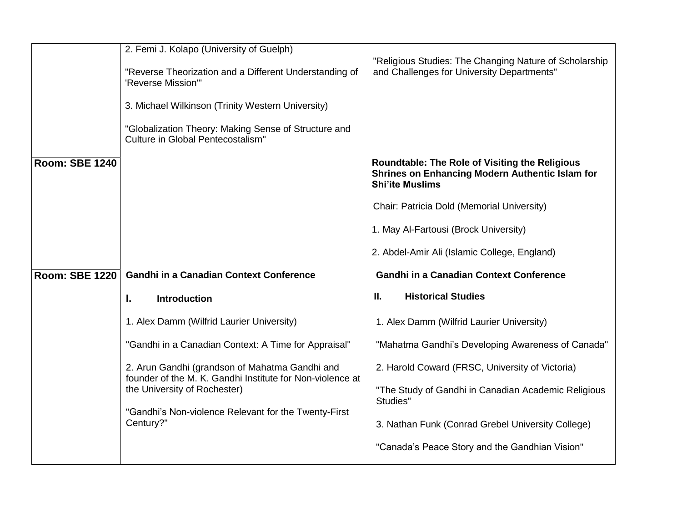|                       | 2. Femi J. Kolapo (University of Guelph)                                                                    |                                                                                                                                    |
|-----------------------|-------------------------------------------------------------------------------------------------------------|------------------------------------------------------------------------------------------------------------------------------------|
|                       | "Reverse Theorization and a Different Understanding of<br>'Reverse Mission"                                 | "Religious Studies: The Changing Nature of Scholarship<br>and Challenges for University Departments"                               |
|                       | 3. Michael Wilkinson (Trinity Western University)                                                           |                                                                                                                                    |
|                       | "Globalization Theory: Making Sense of Structure and<br>Culture in Global Pentecostalism"                   |                                                                                                                                    |
| <b>Room: SBE 1240</b> |                                                                                                             | <b>Roundtable: The Role of Visiting the Religious</b><br>Shrines on Enhancing Modern Authentic Islam for<br><b>Shi'ite Muslims</b> |
|                       |                                                                                                             | Chair: Patricia Dold (Memorial University)                                                                                         |
|                       |                                                                                                             | 1. May Al-Fartousi (Brock University)                                                                                              |
|                       |                                                                                                             | 2. Abdel-Amir Ali (Islamic College, England)                                                                                       |
| <b>Room: SBE 1220</b> | <b>Gandhi in a Canadian Context Conference</b>                                                              | <b>Gandhi in a Canadian Context Conference</b>                                                                                     |
|                       | <b>Introduction</b><br>ı.                                                                                   | II.<br><b>Historical Studies</b>                                                                                                   |
|                       | 1. Alex Damm (Wilfrid Laurier University)                                                                   | 1. Alex Damm (Wilfrid Laurier University)                                                                                          |
|                       | "Gandhi in a Canadian Context: A Time for Appraisal"                                                        | "Mahatma Gandhi's Developing Awareness of Canada"                                                                                  |
|                       | 2. Arun Gandhi (grandson of Mahatma Gandhi and<br>founder of the M. K. Gandhi Institute for Non-violence at | 2. Harold Coward (FRSC, University of Victoria)                                                                                    |
|                       | the University of Rochester)                                                                                | "The Study of Gandhi in Canadian Academic Religious<br>Studies"                                                                    |
|                       | "Gandhi's Non-violence Relevant for the Twenty-First<br>Century?"                                           | 3. Nathan Funk (Conrad Grebel University College)                                                                                  |
|                       |                                                                                                             | "Canada's Peace Story and the Gandhian Vision"                                                                                     |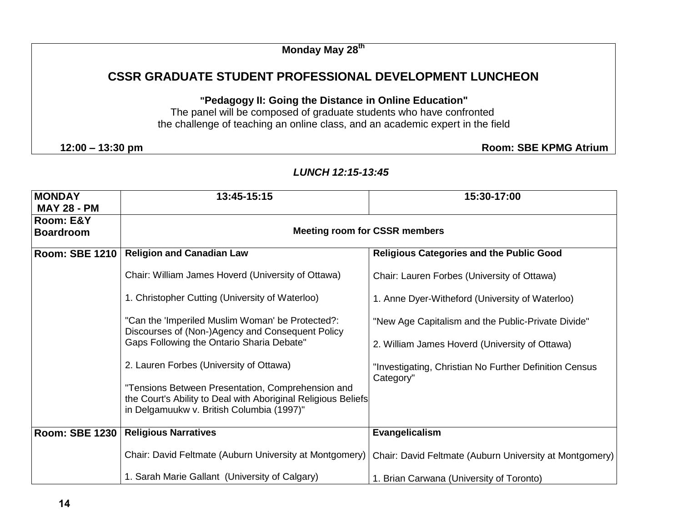**Monday May 28th** 

# **CSSR GRADUATE STUDENT PROFESSIONAL DEVELOPMENT LUNCHEON**

**"Pedagogy II: Going the Distance in Online Education"**

The panel will be composed of graduate students who have confronted the challenge of teaching an online class, and an academic expert in the field

**12:00 – 13:30 pm Room: SBE KPMG Atrium**

| <b>MONDAY</b><br><b>MAY 28 - PM</b> | 13:45-15:15                                                                                                                                                     | 15:30-17:00                                                         |  |
|-------------------------------------|-----------------------------------------------------------------------------------------------------------------------------------------------------------------|---------------------------------------------------------------------|--|
| Room: E&Y<br><b>Boardroom</b>       | <b>Meeting room for CSSR members</b>                                                                                                                            |                                                                     |  |
| <b>Room: SBE 1210</b>               | <b>Religion and Canadian Law</b>                                                                                                                                | <b>Religious Categories and the Public Good</b>                     |  |
|                                     | Chair: William James Hoverd (University of Ottawa)                                                                                                              | Chair: Lauren Forbes (University of Ottawa)                         |  |
|                                     | 1. Christopher Cutting (University of Waterloo)                                                                                                                 | 1. Anne Dyer-Witheford (University of Waterloo)                     |  |
|                                     | "Can the 'Imperiled Muslim Woman' be Protected?:<br>Discourses of (Non-)Agency and Consequent Policy                                                            | "New Age Capitalism and the Public-Private Divide"                  |  |
|                                     | Gaps Following the Ontario Sharia Debate"                                                                                                                       | 2. William James Hoverd (University of Ottawa)                      |  |
|                                     | 2. Lauren Forbes (University of Ottawa)                                                                                                                         | "Investigating, Christian No Further Definition Census<br>Category" |  |
|                                     | "Tensions Between Presentation, Comprehension and<br>the Court's Ability to Deal with Aboriginal Religious Beliefs<br>in Delgamuukw v. British Columbia (1997)" |                                                                     |  |
| Room: SBE 1230                      | <b>Religious Narratives</b>                                                                                                                                     | Evangelicalism                                                      |  |
|                                     | Chair: David Feltmate (Auburn University at Montgomery)                                                                                                         | Chair: David Feltmate (Auburn University at Montgomery)             |  |
|                                     | 1. Sarah Marie Gallant (University of Calgary)                                                                                                                  | 1. Brian Carwana (University of Toronto)                            |  |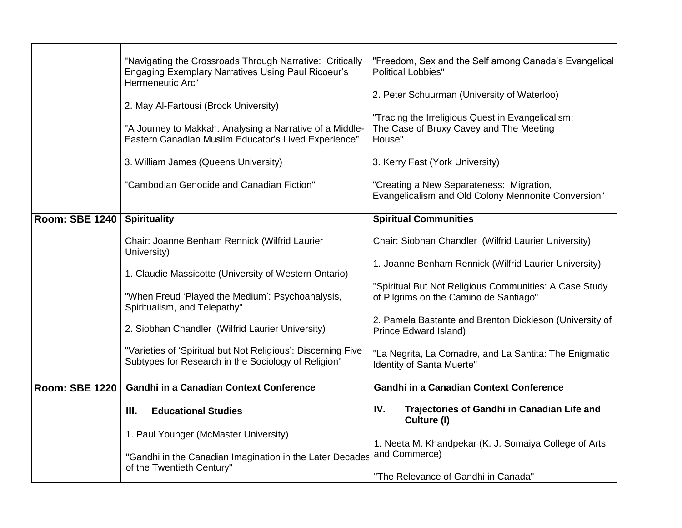|                       | "Navigating the Crossroads Through Narrative: Critically<br><b>Engaging Exemplary Narratives Using Paul Ricoeur's</b><br>Hermeneutic Arc"<br>2. May Al-Fartousi (Brock University)<br>"A Journey to Makkah: Analysing a Narrative of a Middle-<br>Eastern Canadian Muslim Educator's Lived Experience"<br>3. William James (Queens University)<br>"Cambodian Genocide and Canadian Fiction" | "Freedom, Sex and the Self among Canada's Evangelical<br><b>Political Lobbies"</b><br>2. Peter Schuurman (University of Waterloo)<br>"Tracing the Irreligious Quest in Evangelicalism:<br>The Case of Bruxy Cavey and The Meeting<br>House"<br>3. Kerry Fast (York University)<br>"Creating a New Separateness: Migration, |
|-----------------------|---------------------------------------------------------------------------------------------------------------------------------------------------------------------------------------------------------------------------------------------------------------------------------------------------------------------------------------------------------------------------------------------|----------------------------------------------------------------------------------------------------------------------------------------------------------------------------------------------------------------------------------------------------------------------------------------------------------------------------|
|                       |                                                                                                                                                                                                                                                                                                                                                                                             | Evangelicalism and Old Colony Mennonite Conversion"                                                                                                                                                                                                                                                                        |
| <b>Room: SBE 1240</b> | <b>Spirituality</b>                                                                                                                                                                                                                                                                                                                                                                         | <b>Spiritual Communities</b>                                                                                                                                                                                                                                                                                               |
|                       | Chair: Joanne Benham Rennick (Wilfrid Laurier<br>University)                                                                                                                                                                                                                                                                                                                                | Chair: Siobhan Chandler (Wilfrid Laurier University)<br>1. Joanne Benham Rennick (Wilfrid Laurier University)                                                                                                                                                                                                              |
|                       | 1. Claudie Massicotte (University of Western Ontario)                                                                                                                                                                                                                                                                                                                                       |                                                                                                                                                                                                                                                                                                                            |
|                       | "When Freud 'Played the Medium': Psychoanalysis,<br>Spiritualism, and Telepathy"                                                                                                                                                                                                                                                                                                            | "Spiritual But Not Religious Communities: A Case Study<br>of Pilgrims on the Camino de Santiago"                                                                                                                                                                                                                           |
|                       | 2. Siobhan Chandler (Wilfrid Laurier University)                                                                                                                                                                                                                                                                                                                                            | 2. Pamela Bastante and Brenton Dickieson (University of<br>Prince Edward Island)                                                                                                                                                                                                                                           |
|                       | "Varieties of 'Spiritual but Not Religious': Discerning Five<br>Subtypes for Research in the Sociology of Religion"                                                                                                                                                                                                                                                                         | "La Negrita, La Comadre, and La Santita: The Enigmatic<br>Identity of Santa Muerte"                                                                                                                                                                                                                                        |
| <b>Room: SBE 1220</b> | <b>Gandhi in a Canadian Context Conference</b>                                                                                                                                                                                                                                                                                                                                              | <b>Gandhi in a Canadian Context Conference</b>                                                                                                                                                                                                                                                                             |
|                       | <b>Educational Studies</b><br>III.                                                                                                                                                                                                                                                                                                                                                          | IV.<br>Trajectories of Gandhi in Canadian Life and<br>Culture (I)                                                                                                                                                                                                                                                          |
|                       | 1. Paul Younger (McMaster University)                                                                                                                                                                                                                                                                                                                                                       | 1. Neeta M. Khandpekar (K. J. Somaiya College of Arts                                                                                                                                                                                                                                                                      |
|                       | "Gandhi in the Canadian Imagination in the Later Decades<br>of the Twentieth Century"                                                                                                                                                                                                                                                                                                       | and Commerce)<br>"The Relevance of Gandhi in Canada"                                                                                                                                                                                                                                                                       |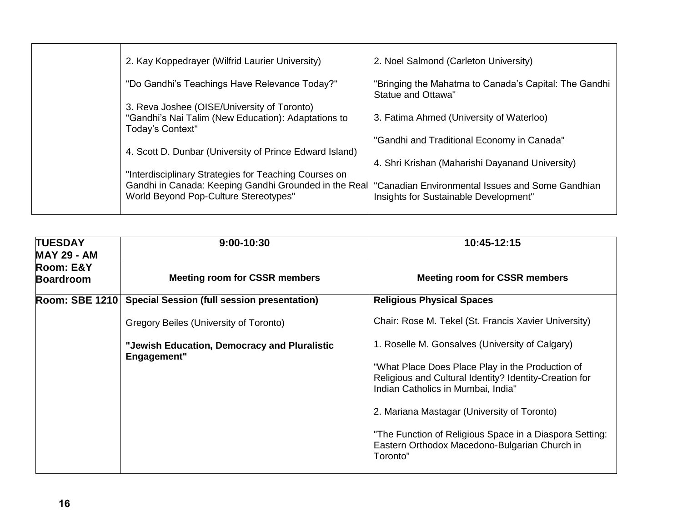| 2. Kay Koppedrayer (Wilfrid Laurier University)                                                                        | 2. Noel Salmond (Carleton University)                                                     |
|------------------------------------------------------------------------------------------------------------------------|-------------------------------------------------------------------------------------------|
| "Do Gandhi's Teachings Have Relevance Today?"                                                                          | "Bringing the Mahatma to Canada's Capital: The Gandhi<br>Statue and Ottawa"               |
| 3. Reva Joshee (OISE/University of Toronto)<br>"Gandhi's Nai Talim (New Education): Adaptations to<br>Today's Context" | 3. Fatima Ahmed (University of Waterloo)                                                  |
|                                                                                                                        | "Gandhi and Traditional Economy in Canada"                                                |
| 4. Scott D. Dunbar (University of Prince Edward Island)<br>"Interdisciplinary Strategies for Teaching Courses on       | 4. Shri Krishan (Maharishi Dayanand University)                                           |
| Gandhi in Canada: Keeping Gandhi Grounded in the Real<br>World Beyond Pop-Culture Stereotypes"                         | "Canadian Environmental Issues and Some Gandhian<br>Insights for Sustainable Development" |
|                                                                                                                        |                                                                                           |

| <b>TUESDAY</b><br><b>MAY 29 - AM</b> | 9:00-10:30                                                  | 10:45-12:15                                                                                                                                      |
|--------------------------------------|-------------------------------------------------------------|--------------------------------------------------------------------------------------------------------------------------------------------------|
| Room: E&Y<br><b>Boardroom</b>        | <b>Meeting room for CSSR members</b>                        | <b>Meeting room for CSSR members</b>                                                                                                             |
| <b>Room: SBE 1210</b>                | <b>Special Session (full session presentation)</b>          | <b>Religious Physical Spaces</b>                                                                                                                 |
|                                      | Gregory Beiles (University of Toronto)                      | Chair: Rose M. Tekel (St. Francis Xavier University)                                                                                             |
|                                      | "Jewish Education, Democracy and Pluralistic<br>Engagement" | 1. Roselle M. Gonsalves (University of Calgary)                                                                                                  |
|                                      |                                                             | "What Place Does Place Play in the Production of<br>Religious and Cultural Identity? Identity-Creation for<br>Indian Catholics in Mumbai, India" |
|                                      |                                                             | 2. Mariana Mastagar (University of Toronto)                                                                                                      |
|                                      |                                                             | "The Function of Religious Space in a Diaspora Setting:<br>Eastern Orthodox Macedono-Bulgarian Church in<br>Toronto"                             |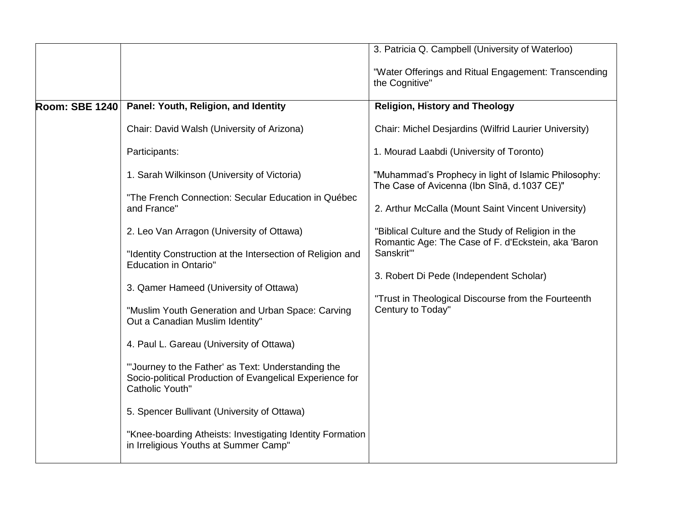|                       |                                                                                                                                          | 3. Patricia Q. Campbell (University of Waterloo)                                                          |
|-----------------------|------------------------------------------------------------------------------------------------------------------------------------------|-----------------------------------------------------------------------------------------------------------|
|                       |                                                                                                                                          | "Water Offerings and Ritual Engagement: Transcending<br>the Cognitive"                                    |
| <b>Room: SBE 1240</b> | Panel: Youth, Religion, and Identity                                                                                                     | <b>Religion, History and Theology</b>                                                                     |
|                       | Chair: David Walsh (University of Arizona)                                                                                               | Chair: Michel Desjardins (Wilfrid Laurier University)                                                     |
|                       | Participants:                                                                                                                            | 1. Mourad Laabdi (University of Toronto)                                                                  |
|                       | 1. Sarah Wilkinson (University of Victoria)                                                                                              | "Muhammad's Prophecy in light of Islamic Philosophy:<br>The Case of Avicenna (Ibn Sīnā, d.1037 CE)"       |
|                       | "The French Connection: Secular Education in Québec<br>and France"                                                                       | 2. Arthur McCalla (Mount Saint Vincent University)                                                        |
|                       | 2. Leo Van Arragon (University of Ottawa)                                                                                                | "Biblical Culture and the Study of Religion in the<br>Romantic Age: The Case of F. d'Eckstein, aka 'Baron |
|                       | "Identity Construction at the Intersection of Religion and<br><b>Education in Ontario"</b>                                               | Sanskrit"                                                                                                 |
|                       | 3. Qamer Hameed (University of Ottawa)                                                                                                   | 3. Robert Di Pede (Independent Scholar)                                                                   |
|                       |                                                                                                                                          | "Trust in Theological Discourse from the Fourteenth                                                       |
|                       | "Muslim Youth Generation and Urban Space: Carving<br>Out a Canadian Muslim Identity"                                                     | Century to Today"                                                                                         |
|                       | 4. Paul L. Gareau (University of Ottawa)                                                                                                 |                                                                                                           |
|                       | "Journey to the Father' as Text: Understanding the<br>Socio-political Production of Evangelical Experience for<br><b>Catholic Youth"</b> |                                                                                                           |
|                       | 5. Spencer Bullivant (University of Ottawa)                                                                                              |                                                                                                           |
|                       | "Knee-boarding Atheists: Investigating Identity Formation<br>in Irreligious Youths at Summer Camp"                                       |                                                                                                           |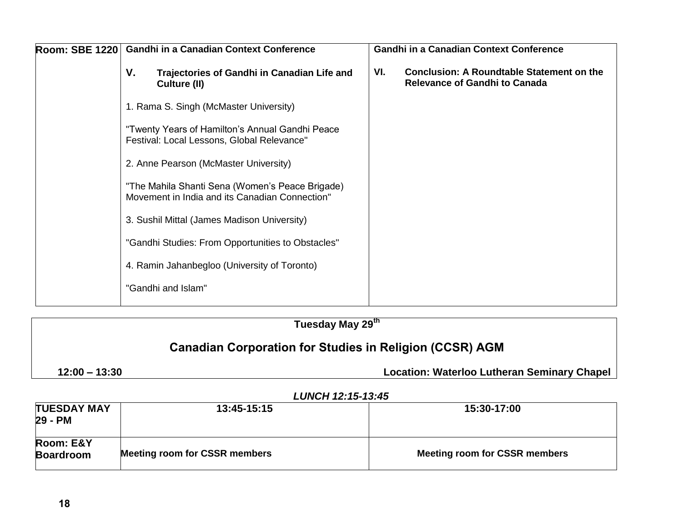|  |    | Room: SBE 1220 Gandhi in a Canadian Context Conference                                            |     | <b>Gandhi in a Canadian Context Conference</b>                                           |
|--|----|---------------------------------------------------------------------------------------------------|-----|------------------------------------------------------------------------------------------|
|  | V. | Trajectories of Gandhi in Canadian Life and<br>Culture (II)                                       | VI. | <b>Conclusion: A Roundtable Statement on the</b><br><b>Relevance of Gandhi to Canada</b> |
|  |    | 1. Rama S. Singh (McMaster University)                                                            |     |                                                                                          |
|  |    | "Twenty Years of Hamilton's Annual Gandhi Peace<br>Festival: Local Lessons, Global Relevance"     |     |                                                                                          |
|  |    | 2. Anne Pearson (McMaster University)                                                             |     |                                                                                          |
|  |    | "The Mahila Shanti Sena (Women's Peace Brigade)<br>Movement in India and its Canadian Connection" |     |                                                                                          |
|  |    | 3. Sushil Mittal (James Madison University)                                                       |     |                                                                                          |
|  |    | "Gandhi Studies: From Opportunities to Obstacles"                                                 |     |                                                                                          |
|  |    | 4. Ramin Jahanbegloo (University of Toronto)                                                      |     |                                                                                          |
|  |    | "Gandhi and Islam"                                                                                |     |                                                                                          |
|  |    |                                                                                                   |     |                                                                                          |

| Tuesday May 29 <sup>th</sup>                                   |                                                    |
|----------------------------------------------------------------|----------------------------------------------------|
| <b>Canadian Corporation for Studies in Religion (CCSR) AGM</b> |                                                    |
| $12:00 - 13:30$                                                | <b>Location: Waterloo Lutheran Seminary Chapel</b> |

| <b>TUESDAY MAY</b><br>29 - PM | 13:45-15:15                          | 15:30-17:00                          |
|-------------------------------|--------------------------------------|--------------------------------------|
| Room: E&Y<br><b>Boardroom</b> | <b>Meeting room for CSSR members</b> | <b>Meeting room for CSSR members</b> |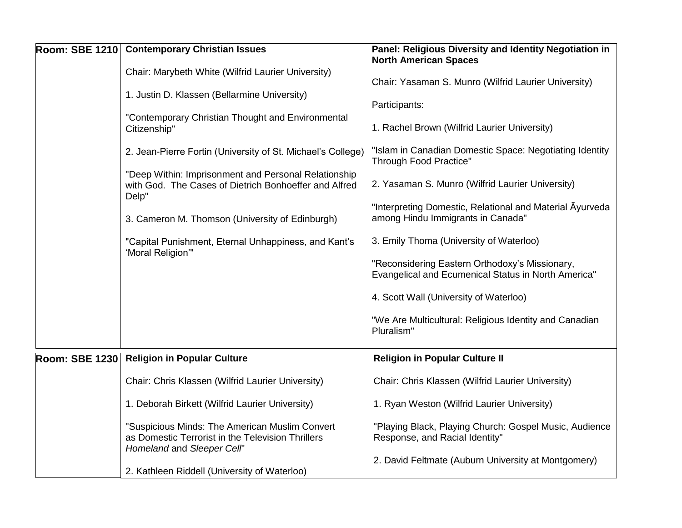| Room: SBE 1210 Contemporary Christian Issues                                                                                      | Panel: Religious Diversity and Identity Negotiation in<br><b>North American Spaces</b>                |
|-----------------------------------------------------------------------------------------------------------------------------------|-------------------------------------------------------------------------------------------------------|
| Chair: Marybeth White (Wilfrid Laurier University)                                                                                |                                                                                                       |
| 1. Justin D. Klassen (Bellarmine University)                                                                                      | Chair: Yasaman S. Munro (Wilfrid Laurier University)                                                  |
|                                                                                                                                   | Participants:                                                                                         |
| "Contemporary Christian Thought and Environmental<br>Citizenship"                                                                 | 1. Rachel Brown (Wilfrid Laurier University)                                                          |
| 2. Jean-Pierre Fortin (University of St. Michael's College)                                                                       | "Islam in Canadian Domestic Space: Negotiating Identity<br><b>Through Food Practice"</b>              |
| "Deep Within: Imprisonment and Personal Relationship<br>with God. The Cases of Dietrich Bonhoeffer and Alfred<br>Delp"            | 2. Yasaman S. Munro (Wilfrid Laurier University)                                                      |
| 3. Cameron M. Thomson (University of Edinburgh)                                                                                   | "Interpreting Domestic, Relational and Material Ayurveda<br>among Hindu Immigrants in Canada"         |
| "Capital Punishment, Eternal Unhappiness, and Kant's<br>'Moral Religion'"                                                         | 3. Emily Thoma (University of Waterloo)                                                               |
|                                                                                                                                   | "Reconsidering Eastern Orthodoxy's Missionary,<br>Evangelical and Ecumenical Status in North America" |
|                                                                                                                                   | 4. Scott Wall (University of Waterloo)                                                                |
|                                                                                                                                   | "We Are Multicultural: Religious Identity and Canadian<br>Pluralism"                                  |
| Room: SBE 1230 Religion in Popular Culture                                                                                        | <b>Religion in Popular Culture II</b>                                                                 |
| Chair: Chris Klassen (Wilfrid Laurier University)                                                                                 | Chair: Chris Klassen (Wilfrid Laurier University)                                                     |
| 1. Deborah Birkett (Wilfrid Laurier University)                                                                                   | 1. Ryan Weston (Wilfrid Laurier University)                                                           |
| "Suspicious Minds: The American Muslim Convert<br>as Domestic Terrorist in the Television Thrillers<br>Homeland and Sleeper Cell" | "Playing Black, Playing Church: Gospel Music, Audience<br>Response, and Racial Identity"              |
| 2. Kathleen Riddell (University of Waterloo)                                                                                      | 2. David Feltmate (Auburn University at Montgomery)                                                   |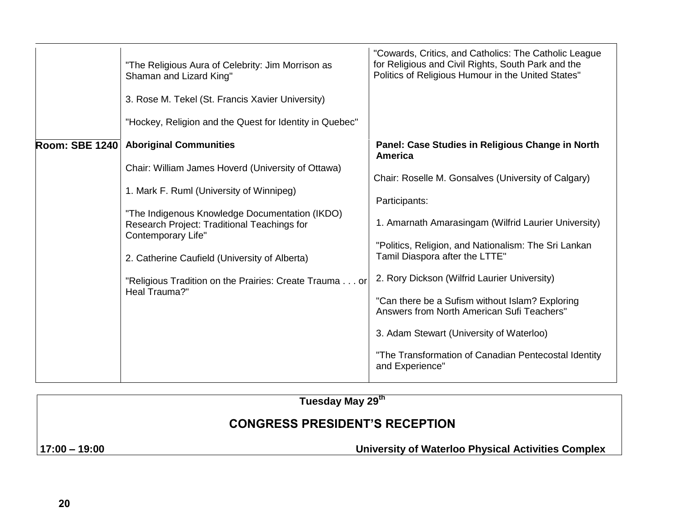|                       | "The Religious Aura of Celebrity: Jim Morrison as<br>Shaman and Lizard King"                                               | "Cowards, Critics, and Catholics: The Catholic League<br>for Religious and Civil Rights, South Park and the<br>Politics of Religious Humour in the United States" |
|-----------------------|----------------------------------------------------------------------------------------------------------------------------|-------------------------------------------------------------------------------------------------------------------------------------------------------------------|
|                       | 3. Rose M. Tekel (St. Francis Xavier University)                                                                           |                                                                                                                                                                   |
|                       | "Hockey, Religion and the Quest for Identity in Quebec"                                                                    |                                                                                                                                                                   |
| <b>Room: SBE 1240</b> | <b>Aboriginal Communities</b>                                                                                              | Panel: Case Studies in Religious Change in North<br>America                                                                                                       |
|                       | Chair: William James Hoverd (University of Ottawa)                                                                         | Chair: Roselle M. Gonsalves (University of Calgary)                                                                                                               |
|                       | 1. Mark F. Ruml (University of Winnipeg)                                                                                   | Participants:                                                                                                                                                     |
|                       | "The Indigenous Knowledge Documentation (IKDO)<br>Research Project: Traditional Teachings for<br><b>Contemporary Life"</b> | 1. Amarnath Amarasingam (Wilfrid Laurier University)                                                                                                              |
|                       | 2. Catherine Caufield (University of Alberta)                                                                              | "Politics, Religion, and Nationalism: The Sri Lankan<br>Tamil Diaspora after the LTTE"                                                                            |
|                       | "Religious Tradition on the Prairies: Create Trauma or                                                                     | 2. Rory Dickson (Wilfrid Laurier University)                                                                                                                      |
|                       | Heal Trauma?"                                                                                                              | "Can there be a Sufism without Islam? Exploring<br>Answers from North American Sufi Teachers"                                                                     |
|                       |                                                                                                                            | 3. Adam Stewart (University of Waterloo)                                                                                                                          |
|                       |                                                                                                                            | "The Transformation of Canadian Pentecostal Identity<br>and Experience"                                                                                           |

**Tuesday May 29th CONGRESS PRESIDENT'S RECEPTION 17:00 – 19:00 University of Waterloo Physical Activities Complex**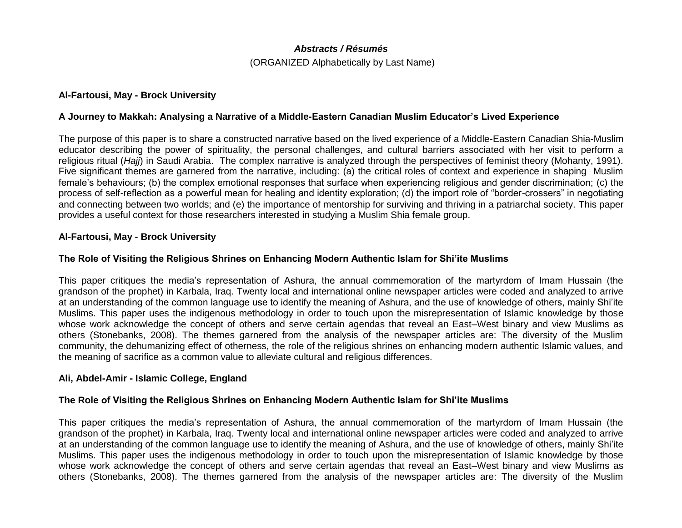### *Abstracts / Résumés*

(ORGANIZED Alphabetically by Last Name)

### **Al-Fartousi, May - Brock University**

### **A Journey to Makkah: Analysing a Narrative of a Middle-Eastern Canadian Muslim Educator's Lived Experience**

The purpose of this paper is to share a constructed narrative based on the lived experience of a Middle-Eastern Canadian Shia-Muslim educator describing the power of spirituality, the personal challenges, and cultural barriers associated with her visit to perform a religious ritual (*Hajj*) in Saudi Arabia. The complex narrative is analyzed through the perspectives of feminist theory (Mohanty, 1991). Five significant themes are garnered from the narrative, including: (a) the critical roles of context and experience in shaping Muslim female's behaviours; (b) the complex emotional responses that surface when experiencing religious and gender discrimination; (c) the process of self-reflection as a powerful mean for healing and identity exploration; (d) the import role of "border-crossers" in negotiating and connecting between two worlds; and (e) the importance of mentorship for surviving and thriving in a patriarchal society. This paper provides a useful context for those researchers interested in studying a Muslim Shia female group.

#### **Al-Fartousi, May - Brock University**

#### **The Role of Visiting the Religious Shrines on Enhancing Modern Authentic Islam for Shi'ite Muslims**

This paper critiques the media's representation of Ashura, the annual commemoration of the martyrdom of Imam Hussain (the grandson of the prophet) in Karbala, Iraq. Twenty local and international online newspaper articles were coded and analyzed to arrive at an understanding of the common language use to identify the meaning of Ashura, and the use of knowledge of others, mainly Shi'ite Muslims. This paper uses the indigenous methodology in order to touch upon the misrepresentation of Islamic knowledge by those whose work acknowledge the concept of others and serve certain agendas that reveal an East–West binary and view Muslims as others (Stonebanks, 2008). The themes garnered from the analysis of the newspaper articles are: The diversity of the Muslim community, the dehumanizing effect of otherness, the role of the religious shrines on enhancing modern authentic Islamic values, and the meaning of sacrifice as a common value to alleviate cultural and religious differences.

#### **Ali, Abdel-Amir - Islamic College, England**

#### **The Role of Visiting the Religious Shrines on Enhancing Modern Authentic Islam for Shi'ite Muslims**

This paper critiques the media's representation of Ashura, the annual commemoration of the martyrdom of Imam Hussain (the grandson of the prophet) in Karbala, Iraq. Twenty local and international online newspaper articles were coded and analyzed to arrive at an understanding of the common language use to identify the meaning of Ashura, and the use of knowledge of others, mainly Shi'ite Muslims. This paper uses the indigenous methodology in order to touch upon the misrepresentation of Islamic knowledge by those whose work acknowledge the concept of others and serve certain agendas that reveal an East–West binary and view Muslims as others (Stonebanks, 2008). The themes garnered from the analysis of the newspaper articles are: The diversity of the Muslim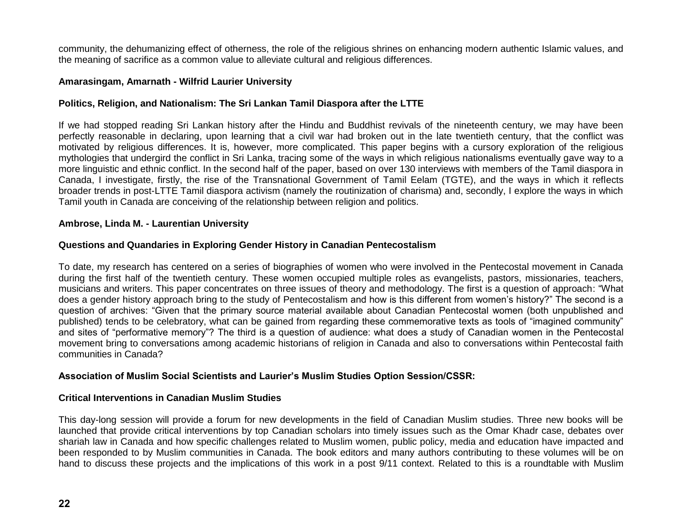community, the dehumanizing effect of otherness, the role of the religious shrines on enhancing modern authentic Islamic values, and the meaning of sacrifice as a common value to alleviate cultural and religious differences.

### **Amarasingam, Amarnath - Wilfrid Laurier University**

# **Politics, Religion, and Nationalism: The Sri Lankan Tamil Diaspora after the LTTE**

If we had stopped reading Sri Lankan history after the Hindu and Buddhist revivals of the nineteenth century, we may have been perfectly reasonable in declaring, upon learning that a civil war had broken out in the late twentieth century, that the conflict was motivated by religious differences. It is, however, more complicated. This paper begins with a cursory exploration of the religious mythologies that undergird the conflict in Sri Lanka, tracing some of the ways in which religious nationalisms eventually gave way to a more linguistic and ethnic conflict. In the second half of the paper, based on over 130 interviews with members of the Tamil diaspora in Canada, I investigate, firstly, the rise of the Transnational Government of Tamil Eelam (TGTE), and the ways in which it reflects broader trends in post-LTTE Tamil diaspora activism (namely the routinization of charisma) and, secondly, I explore the ways in which Tamil youth in Canada are conceiving of the relationship between religion and politics.

#### **Ambrose, Linda M. - Laurentian University**

### **Questions and Quandaries in Exploring Gender History in Canadian Pentecostalism**

To date, my research has centered on a series of biographies of women who were involved in the Pentecostal movement in Canada during the first half of the twentieth century. These women occupied multiple roles as evangelists, pastors, missionaries, teachers, musicians and writers. This paper concentrates on three issues of theory and methodology. The first is a question of approach: "What does a gender history approach bring to the study of Pentecostalism and how is this different from women's history?" The second is a question of archives: "Given that the primary source material available about Canadian Pentecostal women (both unpublished and published) tends to be celebratory, what can be gained from regarding these commemorative texts as tools of "imagined community" and sites of "performative memory"? The third is a question of audience: what does a study of Canadian women in the Pentecostal movement bring to conversations among academic historians of religion in Canada and also to conversations within Pentecostal faith communities in Canada?

### **Association of Muslim Social Scientists and Laurier's Muslim Studies Option Session/CSSR:**

### **Critical Interventions in Canadian Muslim Studies**

This day-long session will provide a forum for new developments in the field of Canadian Muslim studies. Three new books will be launched that provide critical interventions by top Canadian scholars into timely issues such as the Omar Khadr case, debates over shariah law in Canada and how specific challenges related to Muslim women, public policy, media and education have impacted and been responded to by Muslim communities in Canada. The book editors and many authors contributing to these volumes will be on hand to discuss these projects and the implications of this work in a post 9/11 context. Related to this is a roundtable with Muslim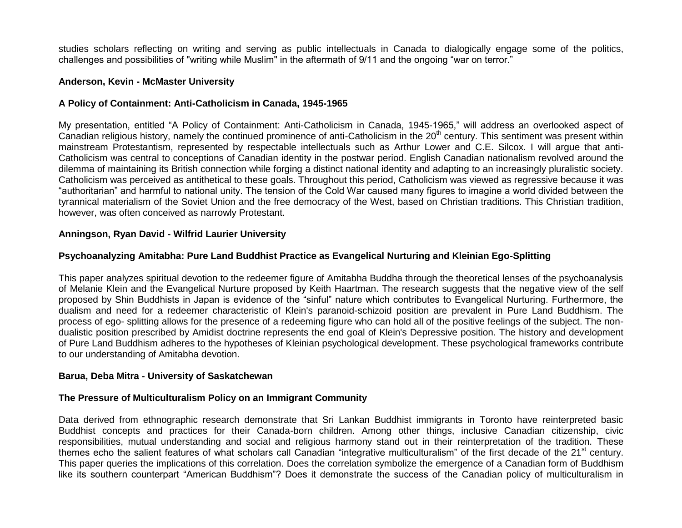studies scholars reflecting on writing and serving as public intellectuals in Canada to dialogically engage some of the politics, challenges and possibilities of "writing while Muslim" in the aftermath of 9/11 and the ongoing "war on terror."

#### **Anderson, Kevin - McMaster University**

### **A Policy of Containment: Anti-Catholicism in Canada, 1945-1965**

My presentation, entitled "A Policy of Containment: Anti-Catholicism in Canada, 1945-1965," will address an overlooked aspect of Canadian religious history, namely the continued prominence of anti-Catholicism in the 20<sup>th</sup> century. This sentiment was present within mainstream Protestantism, represented by respectable intellectuals such as Arthur Lower and C.E. Silcox. I will argue that anti-Catholicism was central to conceptions of Canadian identity in the postwar period. English Canadian nationalism revolved around the dilemma of maintaining its British connection while forging a distinct national identity and adapting to an increasingly pluralistic society. Catholicism was perceived as antithetical to these goals. Throughout this period, Catholicism was viewed as regressive because it was "authoritarian" and harmful to national unity. The tension of the Cold War caused many figures to imagine a world divided between the tyrannical materialism of the Soviet Union and the free democracy of the West, based on Christian traditions. This Christian tradition, however, was often conceived as narrowly Protestant.

### **Anningson, Ryan David - Wilfrid Laurier University**

# **Psychoanalyzing Amitabha: Pure Land Buddhist Practice as Evangelical Nurturing and Kleinian Ego-Splitting**

This paper analyzes spiritual devotion to the redeemer figure of Amitabha Buddha through the theoretical lenses of the psychoanalysis of Melanie Klein and the Evangelical Nurture proposed by Keith Haartman. The research suggests that the negative view of the self proposed by Shin Buddhists in Japan is evidence of the "sinful" nature which contributes to Evangelical Nurturing. Furthermore, the dualism and need for a redeemer characteristic of Klein's paranoid-schizoid position are prevalent in Pure Land Buddhism. The process of ego- splitting allows for the presence of a redeeming figure who can hold all of the positive feelings of the subject. The nondualistic position prescribed by Amidist doctrine represents the end goal of Klein's Depressive position. The history and development of Pure Land Buddhism adheres to the hypotheses of Kleinian psychological development. These psychological frameworks contribute to our understanding of Amitabha devotion.

### **Barua, Deba Mitra - University of Saskatchewan**

### **The Pressure of Multiculturalism Policy on an Immigrant Community**

Data derived from ethnographic research demonstrate that Sri Lankan Buddhist immigrants in Toronto have reinterpreted basic Buddhist concepts and practices for their Canada-born children. Among other things, inclusive Canadian citizenship, civic responsibilities, mutual understanding and social and religious harmony stand out in their reinterpretation of the tradition. These themes echo the salient features of what scholars call Canadian "integrative multiculturalism" of the first decade of the 21<sup>st</sup> century. This paper queries the implications of this correlation. Does the correlation symbolize the emergence of a Canadian form of Buddhism like its southern counterpart "American Buddhism"? Does it demonstrate the success of the Canadian policy of multiculturalism in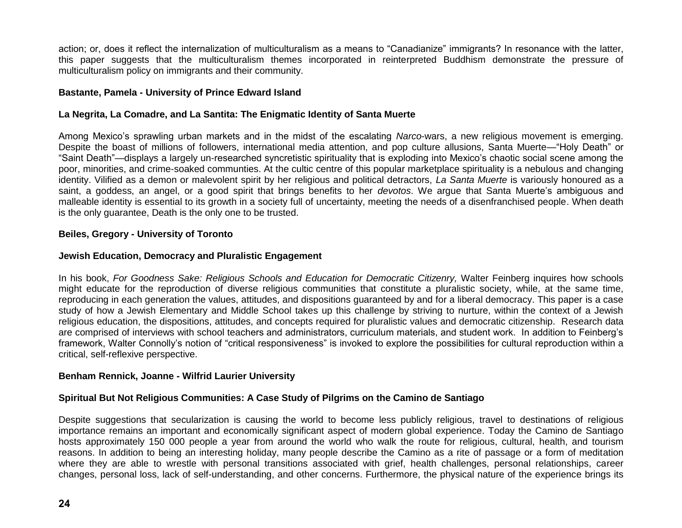action; or, does it reflect the internalization of multiculturalism as a means to "Canadianize" immigrants? In resonance with the latter, this paper suggests that the multiculturalism themes incorporated in reinterpreted Buddhism demonstrate the pressure of multiculturalism policy on immigrants and their community.

# **Bastante, Pamela - University of Prince Edward Island**

# **La Negrita, La Comadre, and La Santita: The Enigmatic Identity of Santa Muerte**

Among Mexico's sprawling urban markets and in the midst of the escalating *Narco*-wars, a new religious movement is emerging. Despite the boast of millions of followers, international media attention, and pop culture allusions, Santa Muerte—"Holy Death" or "Saint Death"—displays a largely un-researched syncretistic spirituality that is exploding into Mexico's chaotic social scene among the poor, minorities, and crime-soaked communties. At the cultic centre of this popular marketplace spirituality is a nebulous and changing identity. Vilified as a demon or malevolent spirit by her religious and political detractors, *La Santa Muerte* is variously honoured as a saint, a goddess, an angel, or a good spirit that brings benefits to her *devotos*. We argue that Santa Muerte's ambiguous and malleable identity is essential to its growth in a society full of uncertainty, meeting the needs of a disenfranchised people. When death is the only guarantee, Death is the only one to be trusted.

# **Beiles, Gregory - University of Toronto**

# **Jewish Education, Democracy and Pluralistic Engagement**

In his book, *For Goodness Sake: Religious Schools and Education for Democratic Citizenry*, Walter Feinberg inquires how schools might educate for the reproduction of diverse religious communities that constitute a pluralistic society, while, at the same time, reproducing in each generation the values, attitudes, and dispositions guaranteed by and for a liberal democracy. This paper is a case study of how a Jewish Elementary and Middle School takes up this challenge by striving to nurture, within the context of a Jewish religious education, the dispositions, attitudes, and concepts required for pluralistic values and democratic citizenship. Research data are comprised of interviews with school teachers and administrators, curriculum materials, and student work. In addition to Feinberg's framework, Walter Connolly's notion of "critical responsiveness" is invoked to explore the possibilities for cultural reproduction within a critical, self-reflexive perspective.

### **Benham Rennick, Joanne - Wilfrid Laurier University**

# **Spiritual But Not Religious Communities: A Case Study of Pilgrims on the Camino de Santiago**

Despite suggestions that secularization is causing the world to become less publicly religious, travel to destinations of religious importance remains an important and economically significant aspect of modern global experience. Today the Camino de Santiago hosts approximately 150 000 people a year from around the world who walk the route for religious, cultural, health, and tourism reasons. In addition to being an interesting holiday, many people describe the Camino as a rite of passage or a form of meditation where they are able to wrestle with personal transitions associated with grief, health challenges, personal relationships, career changes, personal loss, lack of self-understanding, and other concerns. Furthermore, the physical nature of the experience brings its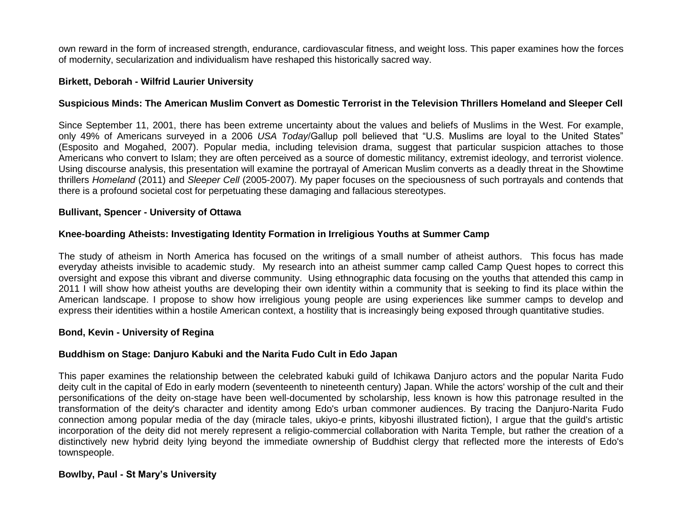own reward in the form of increased strength, endurance, cardiovascular fitness, and weight loss. This paper examines how the forces of modernity, secularization and individualism have reshaped this historically sacred way.

### **Birkett, Deborah - Wilfrid Laurier University**

### **Suspicious Minds: The American Muslim Convert as Domestic Terrorist in the Television Thrillers Homeland and Sleeper Cell**

Since September 11, 2001, there has been extreme uncertainty about the values and beliefs of Muslims in the West. For example, only 49% of Americans surveyed in a 2006 *USA Today*/Gallup poll believed that "U.S. Muslims are loyal to the United States" (Esposito and Mogahed, 2007). Popular media, including television drama, suggest that particular suspicion attaches to those Americans who convert to Islam; they are often perceived as a source of domestic militancy, extremist ideology, and terrorist violence. Using discourse analysis, this presentation will examine the portrayal of American Muslim converts as a deadly threat in the Showtime thrillers *Homeland* (2011) and *Sleeper Cell* (2005-2007). My paper focuses on the speciousness of such portrayals and contends that there is a profound societal cost for perpetuating these damaging and fallacious stereotypes.

#### **Bullivant, Spencer - University of Ottawa**

#### **Knee-boarding Atheists: Investigating Identity Formation in Irreligious Youths at Summer Camp**

The study of atheism in North America has focused on the writings of a small number of atheist authors. This focus has made everyday atheists invisible to academic study. My research into an atheist summer camp called Camp Quest hopes to correct this oversight and expose this vibrant and diverse community. Using ethnographic data focusing on the youths that attended this camp in 2011 I will show how atheist youths are developing their own identity within a community that is seeking to find its place within the American landscape. I propose to show how irreligious young people are using experiences like summer camps to develop and express their identities within a hostile American context, a hostility that is increasingly being exposed through quantitative studies.

#### **Bond, Kevin - University of Regina**

#### **Buddhism on Stage: Danjuro Kabuki and the Narita Fudo Cult in Edo Japan**

This paper examines the relationship between the celebrated kabuki guild of Ichikawa Danjuro actors and the popular Narita Fudo deity cult in the capital of Edo in early modern (seventeenth to nineteenth century) Japan. While the actors' worship of the cult and their personifications of the deity on-stage have been well-documented by scholarship, less known is how this patronage resulted in the transformation of the deity's character and identity among Edo's urban commoner audiences. By tracing the Danjuro-Narita Fudo connection among popular media of the day (miracle tales, ukiyo-e prints, kibyoshi illustrated fiction), I argue that the guild's artistic incorporation of the deity did not merely represent a religio-commercial collaboration with Narita Temple, but rather the creation of a distinctively new hybrid deity lying beyond the immediate ownership of Buddhist clergy that reflected more the interests of Edo's townspeople.

# **Bowlby, Paul - St Mary's University**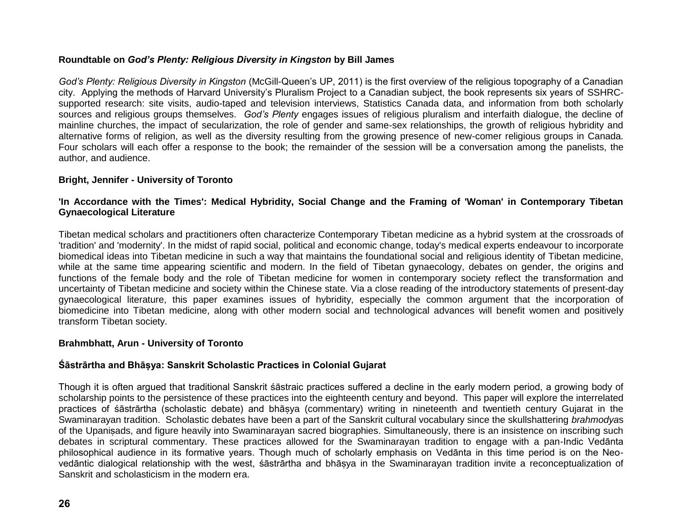# **Roundtable on** *God's Plenty: Religious Diversity in Kingston* **by Bill James**

*God's Plenty: Religious Diversity in Kingston* (McGill-Queen's UP, 2011) is the first overview of the religious topography of a Canadian city. Applying the methods of Harvard University's Pluralism Project to a Canadian subject, the book represents six years of SSHRCsupported research: site visits, audio-taped and television interviews, Statistics Canada data, and information from both scholarly sources and religious groups themselves. *God's Plenty* engages issues of religious pluralism and interfaith dialogue, the decline of mainline churches, the impact of secularization, the role of gender and same-sex relationships, the growth of religious hybridity and alternative forms of religion, as well as the diversity resulting from the growing presence of new-comer religious groups in Canada. Four scholars will each offer a response to the book; the remainder of the session will be a conversation among the panelists, the author, and audience.

# **Bright, Jennifer - University of Toronto**

# **'In Accordance with the Times': Medical Hybridity, Social Change and the Framing of 'Woman' in Contemporary Tibetan Gynaecological Literature**

Tibetan medical scholars and practitioners often characterize Contemporary Tibetan medicine as a hybrid system at the crossroads of 'tradition' and 'modernity'. In the midst of rapid social, political and economic change, today's medical experts endeavour to incorporate biomedical ideas into Tibetan medicine in such a way that maintains the foundational social and religious identity of Tibetan medicine, while at the same time appearing scientific and modern. In the field of Tibetan gynaecology, debates on gender, the origins and functions of the female body and the role of Tibetan medicine for women in contemporary society reflect the transformation and uncertainty of Tibetan medicine and society within the Chinese state. Via a close reading of the introductory statements of present-day gynaecological literature, this paper examines issues of hybridity, especially the common argument that the incorporation of biomedicine into Tibetan medicine, along with other modern social and technological advances will benefit women and positively transform Tibetan society.

### **Brahmbhatt, Arun - University of Toronto**

# **Śāstrārtha and Bhāṣya: Sanskrit Scholastic Practices in Colonial Gujarat**

Though it is often argued that traditional Sanskrit śāstraic practices suffered a decline in the early modern period, a growing body of scholarship points to the persistence of these practices into the eighteenth century and beyond. This paper will explore the interrelated practices of śāstrārtha (scholastic debate) and bhāṣya (commentary) writing in nineteenth and twentieth century Gujarat in the Swaminarayan tradition. Scholastic debates have been a part of the Sanskrit cultural vocabulary since the skullshattering *brahmodya*s of the Upaniṣads, and figure heavily into Swaminarayan sacred biographies. Simultaneously, there is an insistence on inscribing such debates in scriptural commentary. These practices allowed for the Swaminarayan tradition to engage with a pan-Indic Vedānta philosophical audience in its formative years. Though much of scholarly emphasis on Vedānta in this time period is on the Neovedāntic dialogical relationship with the west, śāstrārtha and bhāṣya in the Swaminarayan tradition invite a reconceptualization of Sanskrit and scholasticism in the modern era.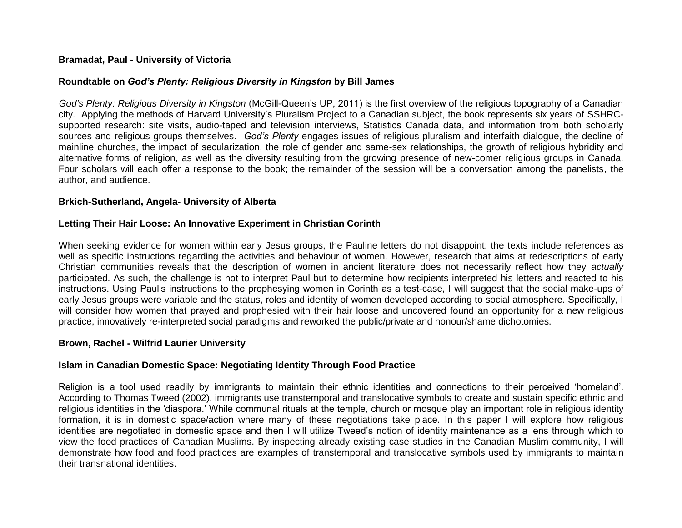### **Bramadat, Paul - University of Victoria**

### **Roundtable on** *God's Plenty: Religious Diversity in Kingston* **by Bill James**

*God's Plenty: Religious Diversity in Kingston* (McGill-Queen's UP, 2011) is the first overview of the religious topography of a Canadian city. Applying the methods of Harvard University's Pluralism Project to a Canadian subject, the book represents six years of SSHRCsupported research: site visits, audio-taped and television interviews, Statistics Canada data, and information from both scholarly sources and religious groups themselves. *God's Plenty* engages issues of religious pluralism and interfaith dialogue, the decline of mainline churches, the impact of secularization, the role of gender and same-sex relationships, the growth of religious hybridity and alternative forms of religion, as well as the diversity resulting from the growing presence of new-comer religious groups in Canada. Four scholars will each offer a response to the book; the remainder of the session will be a conversation among the panelists, the author, and audience.

### **Brkich-Sutherland, Angela- University of Alberta**

### **Letting Their Hair Loose: An Innovative Experiment in Christian Corinth**

When seeking evidence for women within early Jesus groups, the Pauline letters do not disappoint: the texts include references as well as specific instructions regarding the activities and behaviour of women. However, research that aims at redescriptions of early Christian communities reveals that the description of women in ancient literature does not necessarily reflect how they *actually*  participated. As such, the challenge is not to interpret Paul but to determine how recipients interpreted his letters and reacted to his instructions. Using Paul's instructions to the prophesying women in Corinth as a test-case, I will suggest that the social make-ups of early Jesus groups were variable and the status, roles and identity of women developed according to social atmosphere. Specifically, I will consider how women that prayed and prophesied with their hair loose and uncovered found an opportunity for a new religious practice, innovatively re-interpreted social paradigms and reworked the public/private and honour/shame dichotomies.

### **Brown, Rachel - Wilfrid Laurier University**

# **Islam in Canadian Domestic Space: Negotiating Identity Through Food Practice**

Religion is a tool used readily by immigrants to maintain their ethnic identities and connections to their perceived 'homeland'. According to Thomas Tweed (2002), immigrants use transtemporal and translocative symbols to create and sustain specific ethnic and religious identities in the 'diaspora.' While communal rituals at the temple, church or mosque play an important role in religious identity formation, it is in domestic space/action where many of these negotiations take place. In this paper I will explore how religious identities are negotiated in domestic space and then I will utilize Tweed's notion of identity maintenance as a lens through which to view the food practices of Canadian Muslims. By inspecting already existing case studies in the Canadian Muslim community, I will demonstrate how food and food practices are examples of transtemporal and translocative symbols used by immigrants to maintain their transnational identities.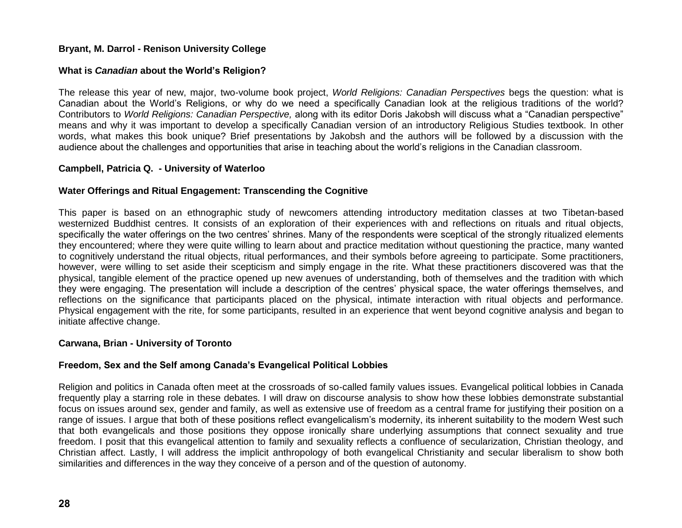# **Bryant, M. Darrol - Renison University College**

# **What is** *Canadian* **about the World's Religion?**

The release this year of new, major, two-volume book project, *World Religions: Canadian Perspectives* begs the question: what is Canadian about the World's Religions, or why do we need a specifically Canadian look at the religious traditions of the world? Contributors to *World Religions: Canadian Perspective,* along with its editor Doris Jakobsh will discuss what a "Canadian perspective" means and why it was important to develop a specifically Canadian version of an introductory Religious Studies textbook. In other words, what makes this book unique? Brief presentations by Jakobsh and the authors will be followed by a discussion with the audience about the challenges and opportunities that arise in teaching about the world's religions in the Canadian classroom.

# **Campbell, Patricia Q. - University of Waterloo**

# **Water Offerings and Ritual Engagement: Transcending the Cognitive**

This paper is based on an ethnographic study of newcomers attending introductory meditation classes at two Tibetan-based westernized Buddhist centres. It consists of an exploration of their experiences with and reflections on rituals and ritual objects, specifically the water offerings on the two centres' shrines. Many of the respondents were sceptical of the strongly ritualized elements they encountered; where they were quite willing to learn about and practice meditation without questioning the practice, many wanted to cognitively understand the ritual objects, ritual performances, and their symbols before agreeing to participate. Some practitioners, however, were willing to set aside their scepticism and simply engage in the rite. What these practitioners discovered was that the physical, tangible element of the practice opened up new avenues of understanding, both of themselves and the tradition with which they were engaging. The presentation will include a description of the centres' physical space, the water offerings themselves, and reflections on the significance that participants placed on the physical, intimate interaction with ritual objects and performance. Physical engagement with the rite, for some participants, resulted in an experience that went beyond cognitive analysis and began to initiate affective change.

# **Carwana, Brian - University of Toronto**

# **Freedom, Sex and the Self among Canada's Evangelical Political Lobbies**

Religion and politics in Canada often meet at the crossroads of so-called family values issues. Evangelical political lobbies in Canada frequently play a starring role in these debates. I will draw on discourse analysis to show how these lobbies demonstrate substantial focus on issues around sex, gender and family, as well as extensive use of freedom as a central frame for justifying their position on a range of issues. I argue that both of these positions reflect evangelicalism's modernity, its inherent suitability to the modern West such that both evangelicals and those positions they oppose ironically share underlying assumptions that connect sexuality and true freedom. I posit that this evangelical attention to family and sexuality reflects a confluence of secularization, Christian theology, and Christian affect. Lastly, I will address the implicit anthropology of both evangelical Christianity and secular liberalism to show both similarities and differences in the way they conceive of a person and of the question of autonomy.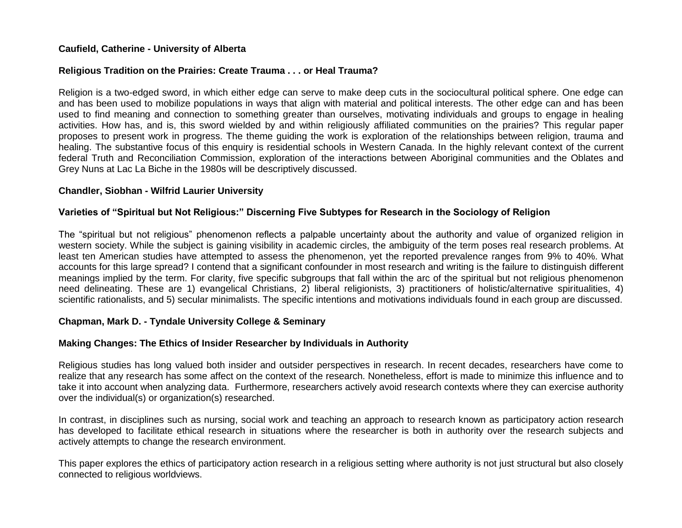# **Caufield, Catherine - University of Alberta**

### **Religious Tradition on the Prairies: Create Trauma . . . or Heal Trauma?**

Religion is a two-edged sword, in which either edge can serve to make deep cuts in the sociocultural political sphere. One edge can and has been used to mobilize populations in ways that align with material and political interests. The other edge can and has been used to find meaning and connection to something greater than ourselves, motivating individuals and groups to engage in healing activities. How has, and is, this sword wielded by and within religiously affiliated communities on the prairies? This regular paper proposes to present work in progress. The theme guiding the work is exploration of the relationships between religion, trauma and healing. The substantive focus of this enquiry is residential schools in Western Canada. In the highly relevant context of the current federal Truth and Reconciliation Commission, exploration of the interactions between Aboriginal communities and the Oblates and Grey Nuns at Lac La Biche in the 1980s will be descriptively discussed.

# **Chandler, Siobhan - Wilfrid Laurier University**

# **Varieties of "Spiritual but Not Religious:" Discerning Five Subtypes for Research in the Sociology of Religion**

The "spiritual but not religious" phenomenon reflects a palpable uncertainty about the authority and value of organized religion in western society. While the subject is gaining visibility in academic circles, the ambiguity of the term poses real research problems. At least ten American studies have attempted to assess the phenomenon, yet the reported prevalence ranges from 9% to 40%. What accounts for this large spread? I contend that a significant confounder in most research and writing is the failure to distinguish different meanings implied by the term. For clarity, five specific subgroups that fall within the arc of the spiritual but not religious phenomenon need delineating. These are 1) evangelical Christians, 2) liberal religionists, 3) practitioners of holistic/alternative spiritualities, 4) scientific rationalists, and 5) secular minimalists. The specific intentions and motivations individuals found in each group are discussed.

### **Chapman, Mark D. - Tyndale University College & Seminary**

# **Making Changes: The Ethics of Insider Researcher by Individuals in Authority**

Religious studies has long valued both insider and outsider perspectives in research. In recent decades, researchers have come to realize that any research has some affect on the context of the research. Nonetheless, effort is made to minimize this influence and to take it into account when analyzing data. Furthermore, researchers actively avoid research contexts where they can exercise authority over the individual(s) or organization(s) researched.

In contrast, in disciplines such as nursing, social work and teaching an approach to research known as participatory action research has developed to facilitate ethical research in situations where the researcher is both in authority over the research subjects and actively attempts to change the research environment.

This paper explores the ethics of participatory action research in a religious setting where authority is not just structural but also closely connected to religious worldviews.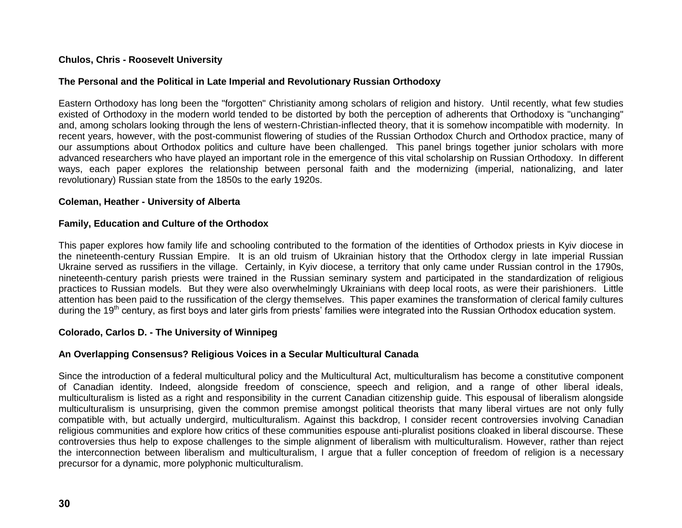# **Chulos, Chris - Roosevelt University**

### **The Personal and the Political in Late Imperial and Revolutionary Russian Orthodoxy**

Eastern Orthodoxy has long been the "forgotten" Christianity among scholars of religion and history. Until recently, what few studies existed of Orthodoxy in the modern world tended to be distorted by both the perception of adherents that Orthodoxy is "unchanging" and, among scholars looking through the lens of western-Christian-inflected theory, that it is somehow incompatible with modernity. In recent years, however, with the post-communist flowering of studies of the Russian Orthodox Church and Orthodox practice, many of our assumptions about Orthodox politics and culture have been challenged. This panel brings together junior scholars with more advanced researchers who have played an important role in the emergence of this vital scholarship on Russian Orthodoxy. In different ways, each paper explores the relationship between personal faith and the modernizing (imperial, nationalizing, and later revolutionary) Russian state from the 1850s to the early 1920s.

#### **Coleman, Heather - University of Alberta**

#### **Family, Education and Culture of the Orthodox**

This paper explores how family life and schooling contributed to the formation of the identities of Orthodox priests in Kyiv diocese in the nineteenth-century Russian Empire. It is an old truism of Ukrainian history that the Orthodox clergy in late imperial Russian Ukraine served as russifiers in the village. Certainly, in Kyiv diocese, a territory that only came under Russian control in the 1790s, nineteenth-century parish priests were trained in the Russian seminary system and participated in the standardization of religious practices to Russian models. But they were also overwhelmingly Ukrainians with deep local roots, as were their parishioners. Little attention has been paid to the russification of the clergy themselves. This paper examines the transformation of clerical family cultures during the 19<sup>th</sup> century, as first boys and later girls from priests' families were integrated into the Russian Orthodox education system.

# **Colorado, Carlos D. - The University of Winnipeg**

### **An Overlapping Consensus? Religious Voices in a Secular Multicultural Canada**

Since the introduction of a federal multicultural policy and the Multicultural Act, multiculturalism has become a constitutive component of Canadian identity. Indeed, alongside freedom of conscience, speech and religion, and a range of other liberal ideals, multiculturalism is listed as a right and responsibility in the current Canadian citizenship guide. This espousal of liberalism alongside multiculturalism is unsurprising, given the common premise amongst political theorists that many liberal virtues are not only fully compatible with, but actually undergird, multiculturalism. Against this backdrop, I consider recent controversies involving Canadian religious communities and explore how critics of these communities espouse anti-pluralist positions cloaked in liberal discourse. These controversies thus help to expose challenges to the simple alignment of liberalism with multiculturalism. However, rather than reject the interconnection between liberalism and multiculturalism, I argue that a fuller conception of freedom of religion is a necessary precursor for a dynamic, more polyphonic multiculturalism.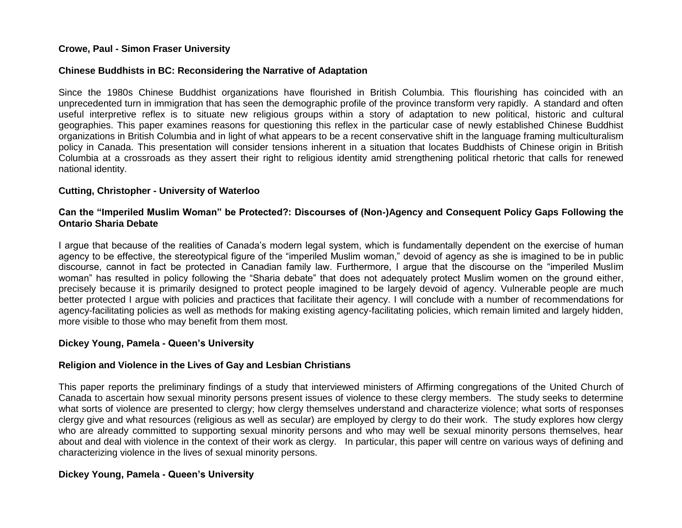### **Crowe, Paul - Simon Fraser University**

#### **Chinese Buddhists in BC: Reconsidering the Narrative of Adaptation**

Since the 1980s Chinese Buddhist organizations have flourished in British Columbia. This flourishing has coincided with an unprecedented turn in immigration that has seen the demographic profile of the province transform very rapidly. A standard and often useful interpretive reflex is to situate new religious groups within a story of adaptation to new political, historic and cultural geographies. This paper examines reasons for questioning this reflex in the particular case of newly established Chinese Buddhist organizations in British Columbia and in light of what appears to be a recent conservative shift in the language framing multiculturalism policy in Canada. This presentation will consider tensions inherent in a situation that locates Buddhists of Chinese origin in British Columbia at a crossroads as they assert their right to religious identity amid strengthening political rhetoric that calls for renewed national identity.

#### **Cutting, Christopher - University of Waterloo**

### **Can the "Imperiled Muslim Woman" be Protected?: Discourses of (Non-)Agency and Consequent Policy Gaps Following the Ontario Sharia Debate**

I argue that because of the realities of Canada's modern legal system, which is fundamentally dependent on the exercise of human agency to be effective, the stereotypical figure of the "imperiled Muslim woman," devoid of agency as she is imagined to be in public discourse, cannot in fact be protected in Canadian family law. Furthermore, I argue that the discourse on the "imperiled Muslim woman" has resulted in policy following the "Sharia debate" that does not adequately protect Muslim women on the ground either, precisely because it is primarily designed to protect people imagined to be largely devoid of agency. Vulnerable people are much better protected I argue with policies and practices that facilitate their agency. I will conclude with a number of recommendations for agency-facilitating policies as well as methods for making existing agency-facilitating policies, which remain limited and largely hidden, more visible to those who may benefit from them most.

### **Dickey Young, Pamela - Queen's University**

### **Religion and Violence in the Lives of Gay and Lesbian Christians**

This paper reports the preliminary findings of a study that interviewed ministers of Affirming congregations of the United Church of Canada to ascertain how sexual minority persons present issues of violence to these clergy members. The study seeks to determine what sorts of violence are presented to clergy; how clergy themselves understand and characterize violence; what sorts of responses clergy give and what resources (religious as well as secular) are employed by clergy to do their work. The study explores how clergy who are already committed to supporting sexual minority persons and who may well be sexual minority persons themselves, hear about and deal with violence in the context of their work as clergy. In particular, this paper will centre on various ways of defining and characterizing violence in the lives of sexual minority persons.

### **Dickey Young, Pamela - Queen's University**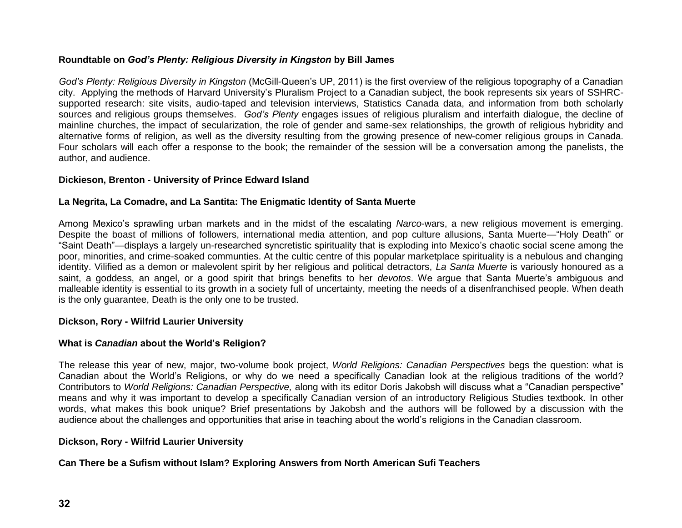# **Roundtable on** *God's Plenty: Religious Diversity in Kingston* **by Bill James**

*God's Plenty: Religious Diversity in Kingston* (McGill-Queen's UP, 2011) is the first overview of the religious topography of a Canadian city. Applying the methods of Harvard University's Pluralism Project to a Canadian subject, the book represents six years of SSHRCsupported research: site visits, audio-taped and television interviews, Statistics Canada data, and information from both scholarly sources and religious groups themselves. *God's Plenty* engages issues of religious pluralism and interfaith dialogue, the decline of mainline churches, the impact of secularization, the role of gender and same-sex relationships, the growth of religious hybridity and alternative forms of religion, as well as the diversity resulting from the growing presence of new-comer religious groups in Canada. Four scholars will each offer a response to the book; the remainder of the session will be a conversation among the panelists, the author, and audience.

# **Dickieson, Brenton - University of Prince Edward Island**

# **La Negrita, La Comadre, and La Santita: The Enigmatic Identity of Santa Muerte**

Among Mexico's sprawling urban markets and in the midst of the escalating *Narco*-wars, a new religious movement is emerging. Despite the boast of millions of followers, international media attention, and pop culture allusions, Santa Muerte—"Holy Death" or "Saint Death"—displays a largely un-researched syncretistic spirituality that is exploding into Mexico's chaotic social scene among the poor, minorities, and crime-soaked communties. At the cultic centre of this popular marketplace spirituality is a nebulous and changing identity. Vilified as a demon or malevolent spirit by her religious and political detractors, *La Santa Muerte* is variously honoured as a saint, a goddess, an angel, or a good spirit that brings benefits to her *devotos*. We argue that Santa Muerte's ambiguous and malleable identity is essential to its growth in a society full of uncertainty, meeting the needs of a disenfranchised people. When death is the only guarantee, Death is the only one to be trusted.

### **Dickson, Rory - Wilfrid Laurier University**

# **What is** *Canadian* **about the World's Religion?**

The release this year of new, major, two-volume book project, *World Religions: Canadian Perspectives* begs the question: what is Canadian about the World's Religions, or why do we need a specifically Canadian look at the religious traditions of the world? Contributors to *World Religions: Canadian Perspective,* along with its editor Doris Jakobsh will discuss what a "Canadian perspective" means and why it was important to develop a specifically Canadian version of an introductory Religious Studies textbook. In other words, what makes this book unique? Brief presentations by Jakobsh and the authors will be followed by a discussion with the audience about the challenges and opportunities that arise in teaching about the world's religions in the Canadian classroom.

# **Dickson, Rory - Wilfrid Laurier University**

# **Can There be a Sufism without Islam? Exploring Answers from North American Sufi Teachers**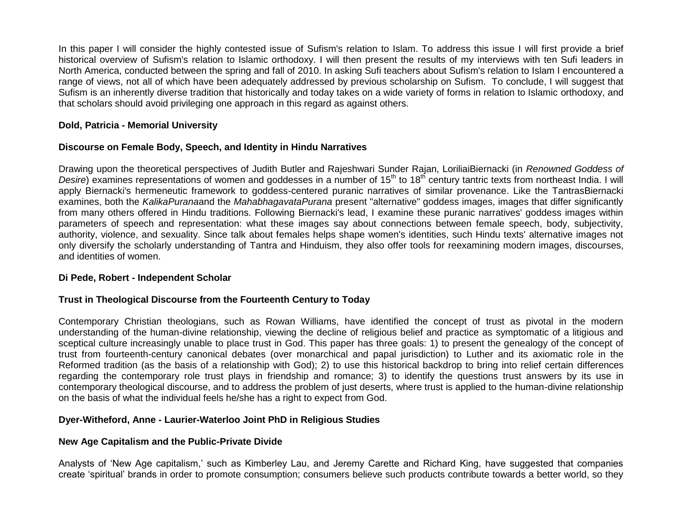In this paper I will consider the highly contested issue of Sufism's relation to Islam. To address this issue I will first provide a brief historical overview of Sufism's relation to Islamic orthodoxy. I will then present the results of my interviews with ten Sufi leaders in North America, conducted between the spring and fall of 2010. In asking Sufi teachers about Sufism's relation to Islam I encountered a range of views, not all of which have been adequately addressed by previous scholarship on Sufism. To conclude, I will suggest that Sufism is an inherently diverse tradition that historically and today takes on a wide variety of forms in relation to Islamic orthodoxy, and that scholars should avoid privileging one approach in this regard as against others.

# **Dold, Patricia - Memorial University**

# **Discourse on Female Body, Speech, and Identity in Hindu Narratives**

Drawing upon the theoretical perspectives of Judith Butler and Rajeshwari Sunder Rajan, LoriliaiBiernacki (in *Renowned Goddess of Desire*) examines representations of women and goddesses in a number of 15<sup>th</sup> to 18<sup>th</sup> century tantric texts from northeast India. I will apply Biernacki's hermeneutic framework to goddess-centered puranic narratives of similar provenance. Like the TantrasBiernacki examines, both the *KalikaPurana*and the *MahabhagavataPurana* present "alternative" goddess images, images that differ significantly from many others offered in Hindu traditions. Following Biernacki's lead, I examine these puranic narratives' goddess images within parameters of speech and representation: what these images say about connections between female speech, body, subjectivity, authority, violence, and sexuality. Since talk about females helps shape women's identities, such Hindu texts' alternative images not only diversify the scholarly understanding of Tantra and Hinduism, they also offer tools for reexamining modern images, discourses, and identities of women.

# **Di Pede, Robert - Independent Scholar**

# **Trust in Theological Discourse from the Fourteenth Century to Today**

Contemporary Christian theologians, such as Rowan Williams, have identified the concept of trust as pivotal in the modern understanding of the human-divine relationship, viewing the decline of religious belief and practice as symptomatic of a litigious and sceptical culture increasingly unable to place trust in God. This paper has three goals: 1) to present the genealogy of the concept of trust from fourteenth-century canonical debates (over monarchical and papal jurisdiction) to Luther and its axiomatic role in the Reformed tradition (as the basis of a relationship with God); 2) to use this historical backdrop to bring into relief certain differences regarding the contemporary role trust plays in friendship and romance; 3) to identify the questions trust answers by its use in contemporary theological discourse, and to address the problem of just deserts, where trust is applied to the human-divine relationship on the basis of what the individual feels he/she has a right to expect from God.

# **Dyer-Witheford, Anne - Laurier-Waterloo Joint PhD in Religious Studies**

# **New Age Capitalism and the Public-Private Divide**

Analysts of 'New Age capitalism,' such as Kimberley Lau, and Jeremy Carette and Richard King, have suggested that companies create 'spiritual' brands in order to promote consumption; consumers believe such products contribute towards a better world, so they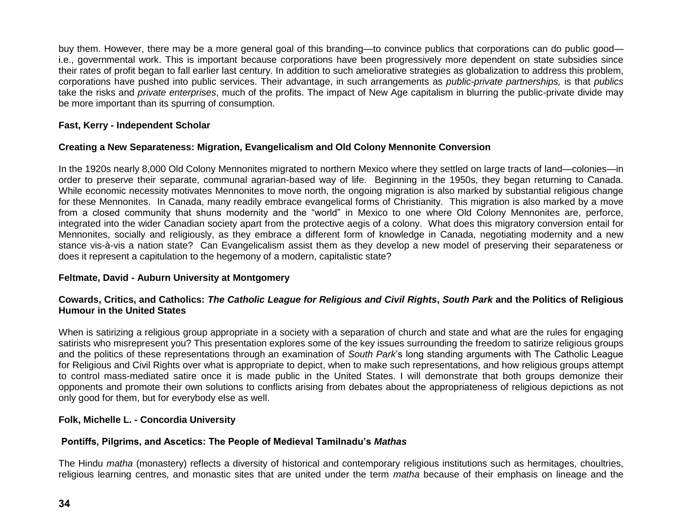buy them. However, there may be a more general goal of this branding—to convince publics that corporations can do public good i.e., governmental work. This is important because corporations have been progressively more dependent on state subsidies since their rates of profit began to fall earlier last century. In addition to such ameliorative strategies as globalization to address this problem, corporations have pushed into public services. Their advantage, in such arrangements as *public-private partnerships,* is that *publics*  take the risks and *private enterprises*, much of the profits. The impact of New Age capitalism in blurring the public-private divide may be more important than its spurring of consumption.

# **Fast, Kerry - Independent Scholar**

# **Creating a New Separateness: Migration, Evangelicalism and Old Colony Mennonite Conversion**

In the 1920s nearly 8,000 Old Colony Mennonites migrated to northern Mexico where they settled on large tracts of land—colonies—in order to preserve their separate, communal agrarian-based way of life. Beginning in the 1950s, they began returning to Canada. While economic necessity motivates Mennonites to move north, the ongoing migration is also marked by substantial religious change for these Mennonites. In Canada, many readily embrace evangelical forms of Christianity. This migration is also marked by a move from a closed community that shuns modernity and the "world" in Mexico to one where Old Colony Mennonites are, perforce, integrated into the wider Canadian society apart from the protective aegis of a colony. What does this migratory conversion entail for Mennonites, socially and religiously, as they embrace a different form of knowledge in Canada, negotiating modernity and a new stance vis-à-vis a nation state? Can Evangelicalism assist them as they develop a new model of preserving their separateness or does it represent a capitulation to the hegemony of a modern, capitalistic state?

# **Feltmate, David - Auburn University at Montgomery**

# **Cowards, Critics, and Catholics:** *The Catholic League for Religious and Civil Rights***,** *South Park* **and the Politics of Religious Humour in the United States**

When is satirizing a religious group appropriate in a society with a separation of church and state and what are the rules for engaging satirists who misrepresent you? This presentation explores some of the key issues surrounding the freedom to satirize religious groups and the politics of these representations through an examination of *South Park*'s long standing arguments with The Catholic League for Religious and Civil Rights over what is appropriate to depict, when to make such representations, and how religious groups attempt to control mass-mediated satire once it is made public in the United States. I will demonstrate that both groups demonize their opponents and promote their own solutions to conflicts arising from debates about the appropriateness of religious depictions as not only good for them, but for everybody else as well.

# **Folk, Michelle L. - Concordia University**

# **Pontiffs, Pilgrims, and Ascetics: The People of Medieval Tamilnadu's** *Mathas*

The Hindu *matha* (monastery) reflects a diversity of historical and contemporary religious institutions such as hermitages, choultries, religious learning centres, and monastic sites that are united under the term *matha* because of their emphasis on lineage and the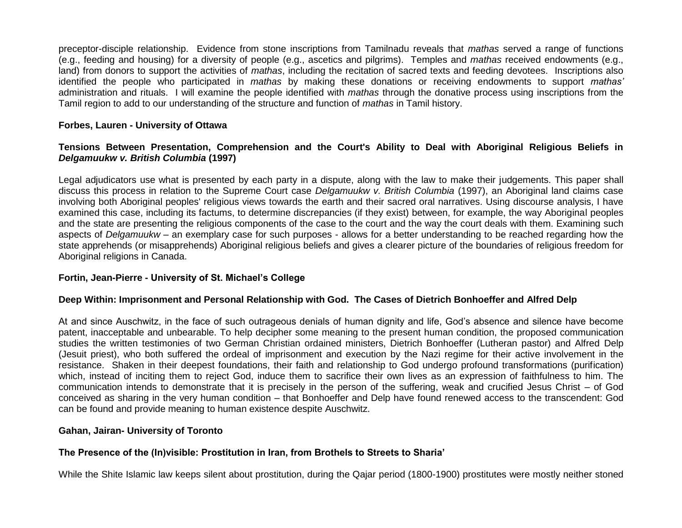preceptor-disciple relationship. Evidence from stone inscriptions from Tamilnadu reveals that *mathas* served a range of functions (e.g., feeding and housing) for a diversity of people (e.g., ascetics and pilgrims). Temples and *mathas* received endowments (e.g., land) from donors to support the activities of *mathas*, including the recitation of sacred texts and feeding devotees. Inscriptions also identified the people who participated in *mathas* by making these donations or receiving endowments to support *mathas'* administration and rituals. I will examine the people identified with *mathas* through the donative process using inscriptions from the Tamil region to add to our understanding of the structure and function of *mathas* in Tamil history.

### **Forbes, Lauren - University of Ottawa**

# **Tensions Between Presentation, Comprehension and the Court's Ability to Deal with Aboriginal Religious Beliefs in**  *Delgamuukw v. British Columbia* **(1997)**

Legal adjudicators use what is presented by each party in a dispute, along with the law to make their judgements. This paper shall discuss this process in relation to the Supreme Court case *Delgamuukw v. British Columbia* (1997), an Aboriginal land claims case involving both Aboriginal peoples' religious views towards the earth and their sacred oral narratives. Using discourse analysis, I have examined this case, including its factums, to determine discrepancies (if they exist) between, for example, the way Aboriginal peoples and the state are presenting the religious components of the case to the court and the way the court deals with them. Examining such aspects of *Delgamuukw* – an exemplary case for such purposes - allows for a better understanding to be reached regarding how the state apprehends (or misapprehends) Aboriginal religious beliefs and gives a clearer picture of the boundaries of religious freedom for Aboriginal religions in Canada.

### **Fortin, Jean-Pierre - University of St. Michael's College**

### **Deep Within: Imprisonment and Personal Relationship with God. The Cases of Dietrich Bonhoeffer and Alfred Delp**

At and since Auschwitz, in the face of such outrageous denials of human dignity and life, God's absence and silence have become patent, inacceptable and unbearable. To help decipher some meaning to the present human condition, the proposed communication studies the written testimonies of two German Christian ordained ministers, Dietrich Bonhoeffer (Lutheran pastor) and Alfred Delp (Jesuit priest), who both suffered the ordeal of imprisonment and execution by the Nazi regime for their active involvement in the resistance. Shaken in their deepest foundations, their faith and relationship to God undergo profound transformations (purification) which, instead of inciting them to reject God, induce them to sacrifice their own lives as an expression of faithfulness to him. The communication intends to demonstrate that it is precisely in the person of the suffering, weak and crucified Jesus Christ – of God conceived as sharing in the very human condition – that Bonhoeffer and Delp have found renewed access to the transcendent: God can be found and provide meaning to human existence despite Auschwitz.

### **Gahan, Jairan- University of Toronto**

### **The Presence of the (In)visible: Prostitution in Iran, from Brothels to Streets to Sharia'**

While the Shite Islamic law keeps silent about prostitution, during the Qajar period (1800-1900) prostitutes were mostly neither stoned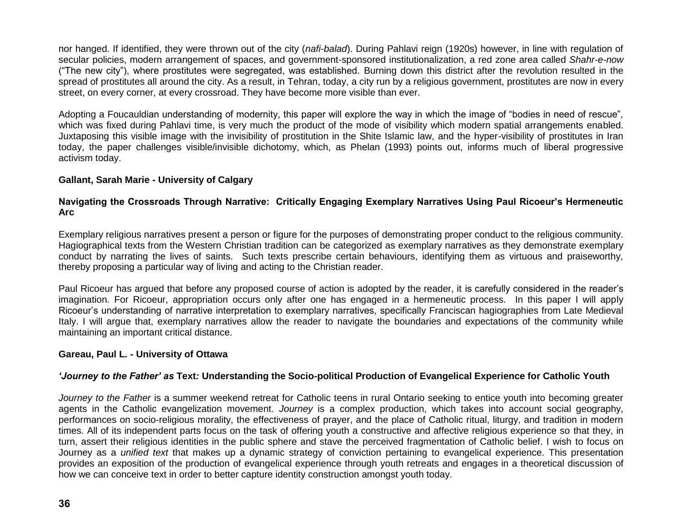nor hanged. If identified, they were thrown out of the city (*nafi-balad*). During Pahlavi reign (1920s) however, in line with regulation of secular policies, modern arrangement of spaces, and government-sponsored institutionalization, a red zone area called *Shahr-e-now* ("The new city"), where prostitutes were segregated, was established. Burning down this district after the revolution resulted in the spread of prostitutes all around the city. As a result, in Tehran, today, a city run by a religious government, prostitutes are now in every street, on every corner, at every crossroad. They have become more visible than ever.

Adopting a Foucauldian understanding of modernity, this paper will explore the way in which the image of "bodies in need of rescue", which was fixed during Pahlavi time, is very much the product of the mode of visibility which modern spatial arrangements enabled. Juxtaposing this visible image with the invisibility of prostitution in the Shite Islamic law, and the hyper-visibility of prostitutes in Iran today, the paper challenges visible/invisible dichotomy, which, as Phelan (1993) points out, informs much of liberal progressive activism today.

# **Gallant, Sarah Marie - University of Calgary**

# **Navigating the Crossroads Through Narrative: Critically Engaging Exemplary Narratives Using Paul Ricoeur's Hermeneutic Arc**

Exemplary religious narratives present a person or figure for the purposes of demonstrating proper conduct to the religious community. Hagiographical texts from the Western Christian tradition can be categorized as exemplary narratives as they demonstrate exemplary conduct by narrating the lives of saints. Such texts prescribe certain behaviours, identifying them as virtuous and praiseworthy, thereby proposing a particular way of living and acting to the Christian reader.

Paul Ricoeur has argued that before any proposed course of action is adopted by the reader, it is carefully considered in the reader's imagination. For Ricoeur, appropriation occurs only after one has engaged in a hermeneutic process. In this paper I will apply Ricoeur's understanding of narrative interpretation to exemplary narratives, specifically Franciscan hagiographies from Late Medieval Italy. I will argue that, exemplary narratives allow the reader to navigate the boundaries and expectations of the community while maintaining an important critical distance.

### **Gareau, Paul L. - University of Ottawa**

### *'Journey to the Father' as* **Text***:* **Understanding the Socio-political Production of Evangelical Experience for Catholic Youth**

*Journey to the Father* is a summer weekend retreat for Catholic teens in rural Ontario seeking to entice youth into becoming greater agents in the Catholic evangelization movement. *Journey* is a complex production, which takes into account social geography, performances on socio-religious morality, the effectiveness of prayer, and the place of Catholic ritual, liturgy, and tradition in modern times. All of its independent parts focus on the task of offering youth a constructive and affective religious experience so that they, in turn, assert their religious identities in the public sphere and stave the perceived fragmentation of Catholic belief. I wish to focus on Journey as a *unified text* that makes up a dynamic strategy of conviction pertaining to evangelical experience. This presentation provides an exposition of the production of evangelical experience through youth retreats and engages in a theoretical discussion of how we can conceive text in order to better capture identity construction amongst youth today.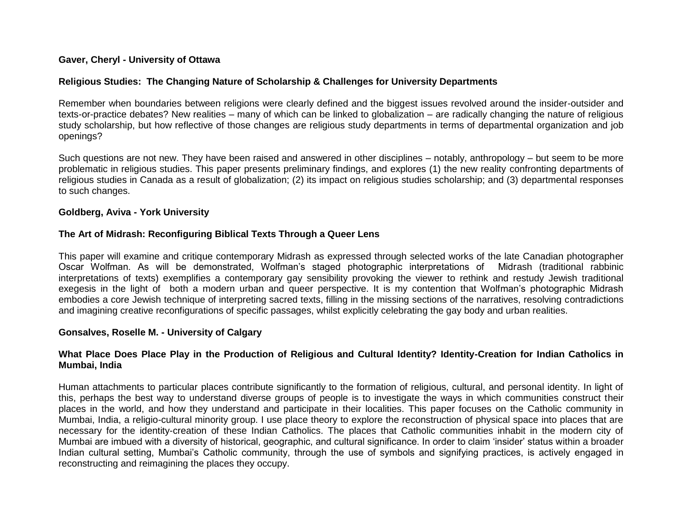### **Gaver, Cheryl - University of Ottawa**

### **Religious Studies: The Changing Nature of Scholarship & Challenges for University Departments**

Remember when boundaries between religions were clearly defined and the biggest issues revolved around the insider-outsider and texts-or-practice debates? New realities – many of which can be linked to globalization – are radically changing the nature of religious study scholarship, but how reflective of those changes are religious study departments in terms of departmental organization and job openings?

Such questions are not new. They have been raised and answered in other disciplines – notably, anthropology – but seem to be more problematic in religious studies. This paper presents preliminary findings, and explores (1) the new reality confronting departments of religious studies in Canada as a result of globalization; (2) its impact on religious studies scholarship; and (3) departmental responses to such changes.

#### **Goldberg, Aviva - York University**

### **The Art of Midrash: Reconfiguring Biblical Texts Through a Queer Lens**

This paper will examine and critique contemporary Midrash as expressed through selected works of the late Canadian photographer Oscar Wolfman. As will be demonstrated, Wolfman's staged photographic interpretations of Midrash (traditional rabbinic interpretations of texts) exemplifies a contemporary gay sensibility provoking the viewer to rethink and restudy Jewish traditional exegesis in the light of both a modern urban and queer perspective. It is my contention that Wolfman's photographic Midrash embodies a core Jewish technique of interpreting sacred texts, filling in the missing sections of the narratives, resolving contradictions and imagining creative reconfigurations of specific passages, whilst explicitly celebrating the gay body and urban realities.

### **Gonsalves, Roselle M. - University of Calgary**

# **What Place Does Place Play in the Production of Religious and Cultural Identity? Identity-Creation for Indian Catholics in Mumbai, India**

Human attachments to particular places contribute significantly to the formation of religious, cultural, and personal identity. In light of this, perhaps the best way to understand diverse groups of people is to investigate the ways in which communities construct their places in the world, and how they understand and participate in their localities. This paper focuses on the Catholic community in Mumbai, India, a religio-cultural minority group. I use place theory to explore the reconstruction of physical space into places that are necessary for the identity-creation of these Indian Catholics. The places that Catholic communities inhabit in the modern city of Mumbai are imbued with a diversity of historical, geographic, and cultural significance. In order to claim 'insider' status within a broader Indian cultural setting, Mumbai's Catholic community, through the use of symbols and signifying practices, is actively engaged in reconstructing and reimagining the places they occupy.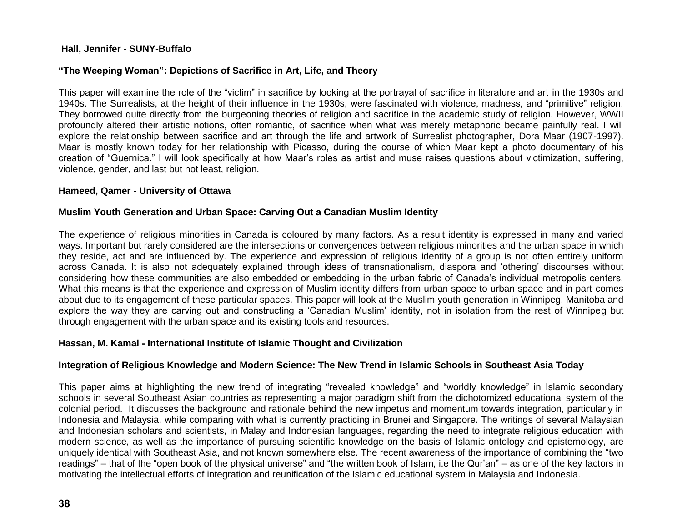# **Hall, Jennifer - SUNY-Buffalo**

# **"The Weeping Woman": Depictions of Sacrifice in Art, Life, and Theory**

This paper will examine the role of the "victim" in sacrifice by looking at the portrayal of sacrifice in literature and art in the 1930s and 1940s. The Surrealists, at the height of their influence in the 1930s, were fascinated with violence, madness, and "primitive" religion. They borrowed quite directly from the burgeoning theories of religion and sacrifice in the academic study of religion. However, WWII profoundly altered their artistic notions, often romantic, of sacrifice when what was merely metaphoric became painfully real. I will explore the relationship between sacrifice and art through the life and artwork of Surrealist photographer, Dora Maar (1907-1997). Maar is mostly known today for her relationship with Picasso, during the course of which Maar kept a photo documentary of his creation of "Guernica." I will look specifically at how Maar's roles as artist and muse raises questions about victimization, suffering, violence, gender, and last but not least, religion.

### **Hameed, Qamer - University of Ottawa**

# **Muslim Youth Generation and Urban Space: Carving Out a Canadian Muslim Identity**

The experience of religious minorities in Canada is coloured by many factors. As a result identity is expressed in many and varied ways. Important but rarely considered are the intersections or convergences between religious minorities and the urban space in which they reside, act and are influenced by. The experience and expression of religious identity of a group is not often entirely uniform across Canada. It is also not adequately explained through ideas of transnationalism, diaspora and 'othering' discourses without considering how these communities are also embedded or embedding in the urban fabric of Canada's individual metropolis centers. What this means is that the experience and expression of Muslim identity differs from urban space to urban space and in part comes about due to its engagement of these particular spaces. This paper will look at the Muslim youth generation in Winnipeg, Manitoba and explore the way they are carving out and constructing a 'Canadian Muslim' identity, not in isolation from the rest of Winnipeg but through engagement with the urban space and its existing tools and resources.

# **Hassan, M. Kamal - International Institute of Islamic Thought and Civilization**

# **Integration of Religious Knowledge and Modern Science: The New Trend in Islamic Schools in Southeast Asia Today**

This paper aims at highlighting the new trend of integrating "revealed knowledge" and "worldly knowledge" in Islamic secondary schools in several Southeast Asian countries as representing a major paradigm shift from the dichotomized educational system of the colonial period. It discusses the background and rationale behind the new impetus and momentum towards integration, particularly in Indonesia and Malaysia, while comparing with what is currently practicing in Brunei and Singapore. The writings of several Malaysian and Indonesian scholars and scientists, in Malay and Indonesian languages, regarding the need to integrate religious education with modern science, as well as the importance of pursuing scientific knowledge on the basis of Islamic ontology and epistemology, are uniquely identical with Southeast Asia, and not known somewhere else. The recent awareness of the importance of combining the "two readings" – that of the "open book of the physical universe" and "the written book of Islam, i.e the Qur'an" – as one of the key factors in motivating the intellectual efforts of integration and reunification of the Islamic educational system in Malaysia and Indonesia.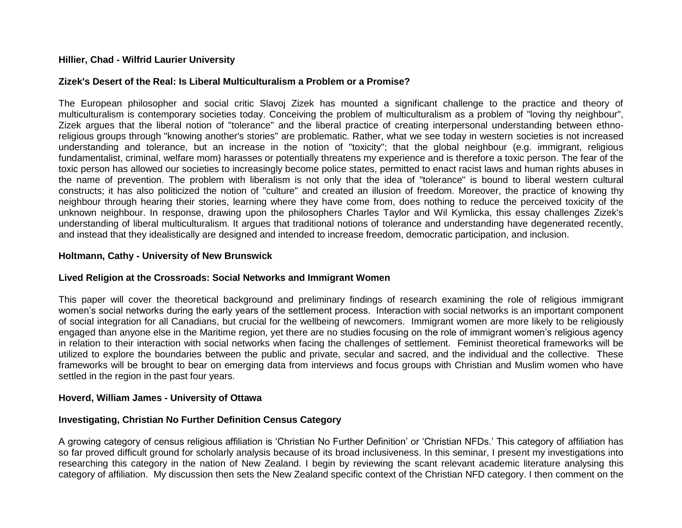### **Hillier, Chad - Wilfrid Laurier University**

### **Zizek's Desert of the Real: Is Liberal Multiculturalism a Problem or a Promise?**

The European philosopher and social critic Slavoj Zizek has mounted a significant challenge to the practice and theory of multiculturalism is contemporary societies today. Conceiving the problem of multiculturalism as a problem of "loving thy neighbour", Zizek argues that the liberal notion of "tolerance" and the liberal practice of creating interpersonal understanding between ethnoreligious groups through "knowing another's stories" are problematic. Rather, what we see today in western societies is not increased understanding and tolerance, but an increase in the notion of "toxicity"; that the global neighbour (e.g. immigrant, religious fundamentalist, criminal, welfare mom) harasses or potentially threatens my experience and is therefore a toxic person. The fear of the toxic person has allowed our societies to increasingly become police states, permitted to enact racist laws and human rights abuses in the name of prevention. The problem with liberalism is not only that the idea of "tolerance" is bound to liberal western cultural constructs; it has also politicized the notion of "culture" and created an illusion of freedom. Moreover, the practice of knowing thy neighbour through hearing their stories, learning where they have come from, does nothing to reduce the perceived toxicity of the unknown neighbour. In response, drawing upon the philosophers Charles Taylor and Wil Kymlicka, this essay challenges Zizek's understanding of liberal multiculturalism. It argues that traditional notions of tolerance and understanding have degenerated recently, and instead that they idealistically are designed and intended to increase freedom, democratic participation, and inclusion.

#### **Holtmann, Cathy - University of New Brunswick**

### **Lived Religion at the Crossroads: Social Networks and Immigrant Women**

This paper will cover the theoretical background and preliminary findings of research examining the role of religious immigrant women's social networks during the early years of the settlement process. Interaction with social networks is an important component of social integration for all Canadians, but crucial for the wellbeing of newcomers. Immigrant women are more likely to be religiously engaged than anyone else in the Maritime region, yet there are no studies focusing on the role of immigrant women's religious agency in relation to their interaction with social networks when facing the challenges of settlement. Feminist theoretical frameworks will be utilized to explore the boundaries between the public and private, secular and sacred, and the individual and the collective. These frameworks will be brought to bear on emerging data from interviews and focus groups with Christian and Muslim women who have settled in the region in the past four years.

#### **Hoverd, William James - University of Ottawa**

### **Investigating, Christian No Further Definition Census Category**

A growing category of census religious affiliation is 'Christian No Further Definition' or 'Christian NFDs.' This category of affiliation has so far proved difficult ground for scholarly analysis because of its broad inclusiveness. In this seminar, I present my investigations into researching this category in the nation of New Zealand. I begin by reviewing the scant relevant academic literature analysing this category of affiliation. My discussion then sets the New Zealand specific context of the Christian NFD category. I then comment on the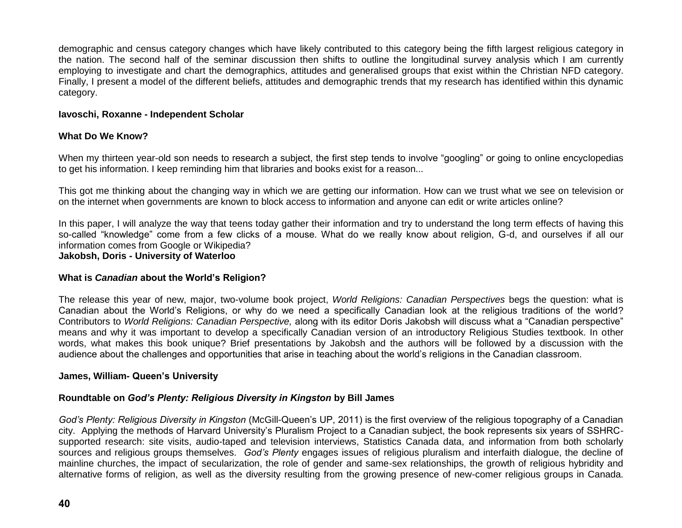demographic and census category changes which have likely contributed to this category being the fifth largest religious category in the nation. The second half of the seminar discussion then shifts to outline the longitudinal survey analysis which I am currently employing to investigate and chart the demographics, attitudes and generalised groups that exist within the Christian NFD category. Finally, I present a model of the different beliefs, attitudes and demographic trends that my research has identified within this dynamic category.

### **Iavoschi, Roxanne - Independent Scholar**

# **What Do We Know?**

When my thirteen year-old son needs to research a subject, the first step tends to involve "googling" or going to online encyclopedias to get his information. I keep reminding him that libraries and books exist for a reason...

This got me thinking about the changing way in which we are getting our information. How can we trust what we see on television or on the internet when governments are known to block access to information and anyone can edit or write articles online?

In this paper, I will analyze the way that teens today gather their information and try to understand the long term effects of having this so-called "knowledge" come from a few clicks of a mouse. What do we really know about religion, G-d, and ourselves if all our information comes from Google or Wikipedia?

**Jakobsh, Doris - University of Waterloo**

### **What is** *Canadian* **about the World's Religion?**

The release this year of new, major, two-volume book project, *World Religions: Canadian Perspectives* begs the question: what is Canadian about the World's Religions, or why do we need a specifically Canadian look at the religious traditions of the world? Contributors to *World Religions: Canadian Perspective,* along with its editor Doris Jakobsh will discuss what a "Canadian perspective" means and why it was important to develop a specifically Canadian version of an introductory Religious Studies textbook. In other words, what makes this book unique? Brief presentations by Jakobsh and the authors will be followed by a discussion with the audience about the challenges and opportunities that arise in teaching about the world's religions in the Canadian classroom.

### **James, William- Queen's University**

### **Roundtable on** *God's Plenty: Religious Diversity in Kingston* **by Bill James**

*God's Plenty: Religious Diversity in Kingston* (McGill-Queen's UP, 2011) is the first overview of the religious topography of a Canadian city. Applying the methods of Harvard University's Pluralism Project to a Canadian subject, the book represents six years of SSHRCsupported research: site visits, audio-taped and television interviews, Statistics Canada data, and information from both scholarly sources and religious groups themselves. *God's Plenty* engages issues of religious pluralism and interfaith dialogue, the decline of mainline churches, the impact of secularization, the role of gender and same-sex relationships, the growth of religious hybridity and alternative forms of religion, as well as the diversity resulting from the growing presence of new-comer religious groups in Canada.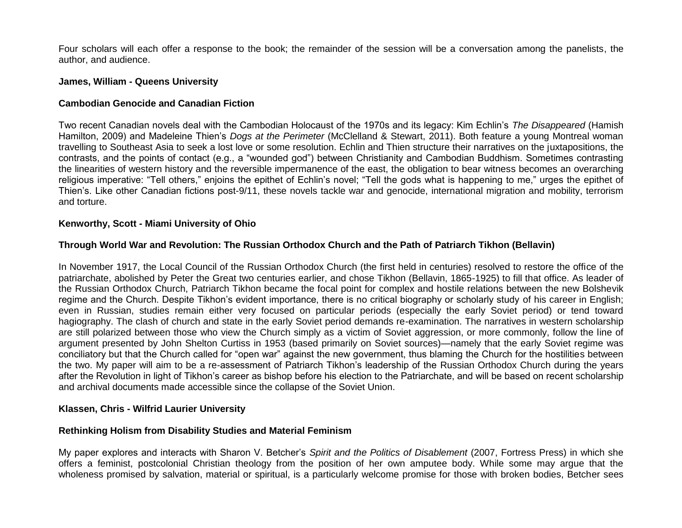Four scholars will each offer a response to the book; the remainder of the session will be a conversation among the panelists, the author, and audience.

#### **James, William - Queens University**

### **Cambodian Genocide and Canadian Fiction**

Two recent Canadian novels deal with the Cambodian Holocaust of the 1970s and its legacy: Kim Echlin's *The Disappeared* (Hamish Hamilton, 2009) and Madeleine Thien's *Dogs at the Perimeter* (McClelland & Stewart, 2011). Both feature a young Montreal woman travelling to Southeast Asia to seek a lost love or some resolution. Echlin and Thien structure their narratives on the juxtapositions, the contrasts, and the points of contact (e.g., a "wounded god") between Christianity and Cambodian Buddhism. Sometimes contrasting the linearities of western history and the reversible impermanence of the east, the obligation to bear witness becomes an overarching religious imperative: "Tell others," enjoins the epithet of Echlin's novel; "Tell the gods what is happening to me," urges the epithet of Thien's. Like other Canadian fictions post-9/11, these novels tackle war and genocide, international migration and mobility, terrorism and torture.

#### **Kenworthy, Scott - Miami University of Ohio**

# **Through World War and Revolution: The Russian Orthodox Church and the Path of Patriarch Tikhon (Bellavin)**

In November 1917, the Local Council of the Russian Orthodox Church (the first held in centuries) resolved to restore the office of the patriarchate, abolished by Peter the Great two centuries earlier, and chose Tikhon (Bellavin, 1865-1925) to fill that office. As leader of the Russian Orthodox Church, Patriarch Tikhon became the focal point for complex and hostile relations between the new Bolshevik regime and the Church. Despite Tikhon's evident importance, there is no critical biography or scholarly study of his career in English; even in Russian, studies remain either very focused on particular periods (especially the early Soviet period) or tend toward hagiography. The clash of church and state in the early Soviet period demands re-examination. The narratives in western scholarship are still polarized between those who view the Church simply as a victim of Soviet aggression, or more commonly, follow the line of argument presented by John Shelton Curtiss in 1953 (based primarily on Soviet sources)—namely that the early Soviet regime was conciliatory but that the Church called for "open war" against the new government, thus blaming the Church for the hostilities between the two. My paper will aim to be a re-assessment of Patriarch Tikhon's leadership of the Russian Orthodox Church during the years after the Revolution in light of Tikhon's career as bishop before his election to the Patriarchate, and will be based on recent scholarship and archival documents made accessible since the collapse of the Soviet Union.

### **Klassen, Chris - Wilfrid Laurier University**

### **Rethinking Holism from Disability Studies and Material Feminism**

My paper explores and interacts with Sharon V. Betcher's *Spirit and the Politics of Disablement* (2007, Fortress Press) in which she offers a feminist, postcolonial Christian theology from the position of her own amputee body. While some may argue that the wholeness promised by salvation, material or spiritual, is a particularly welcome promise for those with broken bodies, Betcher sees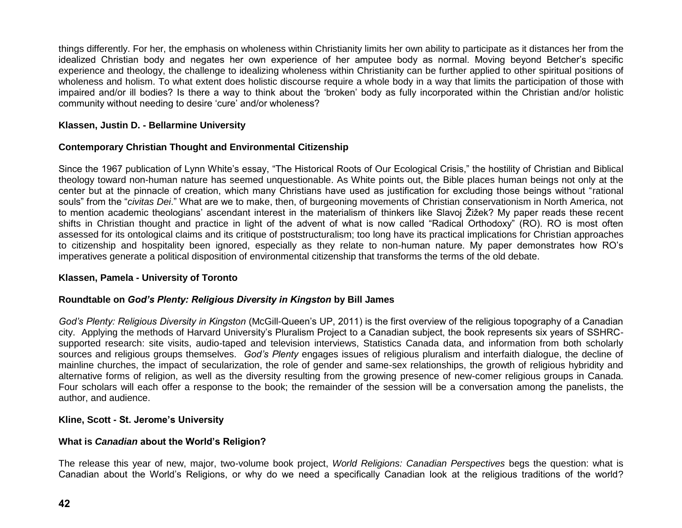things differently. For her, the emphasis on wholeness within Christianity limits her own ability to participate as it distances her from the idealized Christian body and negates her own experience of her amputee body as normal. Moving beyond Betcher's specific experience and theology, the challenge to idealizing wholeness within Christianity can be further applied to other spiritual positions of wholeness and holism. To what extent does holistic discourse require a whole body in a way that limits the participation of those with impaired and/or ill bodies? Is there a way to think about the 'broken' body as fully incorporated within the Christian and/or holistic community without needing to desire 'cure' and/or wholeness?

# **Klassen, Justin D. - Bellarmine University**

# **Contemporary Christian Thought and Environmental Citizenship**

Since the 1967 publication of Lynn White's essay, "The Historical Roots of Our Ecological Crisis," the hostility of Christian and Biblical theology toward non-human nature has seemed unquestionable. As White points out, the Bible places human beings not only at the center but at the pinnacle of creation, which many Christians have used as justification for excluding those beings without "rational souls" from the "*civitas Dei*." What are we to make, then, of burgeoning movements of Christian conservationism in North America, not to mention academic theologians' ascendant interest in the materialism of thinkers like Slavoj Žižek? My paper reads these recent shifts in Christian thought and practice in light of the advent of what is now called "Radical Orthodoxy" (RO). RO is most often assessed for its ontological claims and its critique of poststructuralism; too long have its practical implications for Christian approaches to citizenship and hospitality been ignored, especially as they relate to non-human nature. My paper demonstrates how RO's imperatives generate a political disposition of environmental citizenship that transforms the terms of the old debate.

### **Klassen, Pamela - University of Toronto**

### **Roundtable on** *God's Plenty: Religious Diversity in Kingston* **by Bill James**

*God's Plenty: Religious Diversity in Kingston* (McGill-Queen's UP, 2011) is the first overview of the religious topography of a Canadian city. Applying the methods of Harvard University's Pluralism Project to a Canadian subject, the book represents six years of SSHRCsupported research: site visits, audio-taped and television interviews, Statistics Canada data, and information from both scholarly sources and religious groups themselves. *God's Plenty* engages issues of religious pluralism and interfaith dialogue, the decline of mainline churches, the impact of secularization, the role of gender and same-sex relationships, the growth of religious hybridity and alternative forms of religion, as well as the diversity resulting from the growing presence of new-comer religious groups in Canada. Four scholars will each offer a response to the book; the remainder of the session will be a conversation among the panelists, the author, and audience.

### **Kline, Scott - St. Jerome's University**

# **What is** *Canadian* **about the World's Religion?**

The release this year of new, major, two-volume book project, *World Religions: Canadian Perspectives* begs the question: what is Canadian about the World's Religions, or why do we need a specifically Canadian look at the religious traditions of the world?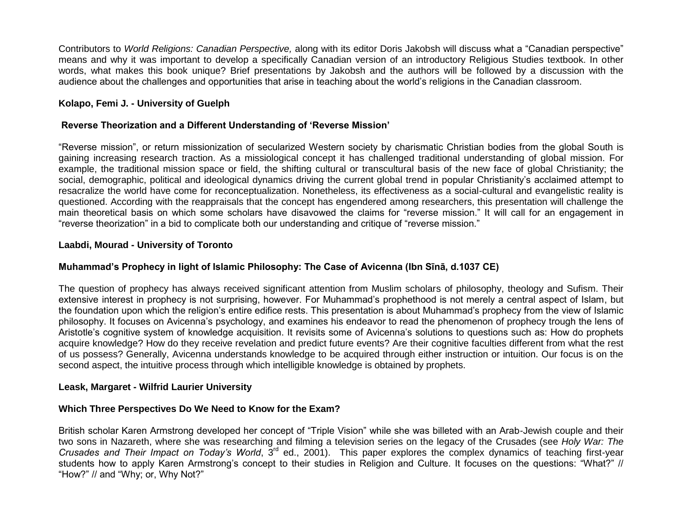Contributors to *World Religions: Canadian Perspective,* along with its editor Doris Jakobsh will discuss what a "Canadian perspective" means and why it was important to develop a specifically Canadian version of an introductory Religious Studies textbook. In other words, what makes this book unique? Brief presentations by Jakobsh and the authors will be followed by a discussion with the audience about the challenges and opportunities that arise in teaching about the world's religions in the Canadian classroom.

# **Kolapo, Femi J. - University of Guelph**

### **Reverse Theorization and a Different Understanding of 'Reverse Mission'**

"Reverse mission", or return missionization of secularized Western society by charismatic Christian bodies from the global South is gaining increasing research traction. As a missiological concept it has challenged traditional understanding of global mission. For example, the traditional mission space or field, the shifting cultural or transcultural basis of the new face of global Christianity; the social, demographic, political and ideological dynamics driving the current global trend in popular Christianity's acclaimed attempt to resacralize the world have come for reconceptualization. Nonetheless, its effectiveness as a social-cultural and evangelistic reality is questioned. According with the reappraisals that the concept has engendered among researchers, this presentation will challenge the main theoretical basis on which some scholars have disavowed the claims for "reverse mission." It will call for an engagement in "reverse theorization" in a bid to complicate both our understanding and critique of "reverse mission."

### **Laabdi, Mourad - University of Toronto**

# **Muhammad's Prophecy in light of Islamic Philosophy: The Case of Avicenna (Ibn Sīnā, d.1037 CE)**

The question of prophecy has always received significant attention from Muslim scholars of philosophy, theology and Sufism. Their extensive interest in prophecy is not surprising, however. For Muhammad's prophethood is not merely a central aspect of Islam, but the foundation upon which the religion's entire edifice rests. This presentation is about Muhammad's prophecy from the view of Islamic philosophy. It focuses on Avicenna's psychology, and examines his endeavor to read the phenomenon of prophecy trough the lens of Aristotle's cognitive system of knowledge acquisition. It revisits some of Avicenna's solutions to questions such as: How do prophets acquire knowledge? How do they receive revelation and predict future events? Are their cognitive faculties different from what the rest of us possess? Generally, Avicenna understands knowledge to be acquired through either instruction or intuition. Our focus is on the second aspect, the intuitive process through which intelligible knowledge is obtained by prophets.

### **Leask, Margaret - Wilfrid Laurier University**

### **Which Three Perspectives Do We Need to Know for the Exam?**

British scholar Karen Armstrong developed her concept of "Triple Vision" while she was billeted with an Arab-Jewish couple and their two sons in Nazareth, where she was researching and filming a television series on the legacy of the Crusades (see *Holy War: The Crusades and Their Impact on Today's World*, 3rd ed., 2001). This paper explores the complex dynamics of teaching first-year students how to apply Karen Armstrong's concept to their studies in Religion and Culture. It focuses on the questions: "What?" // "How?" // and "Why; or, Why Not?"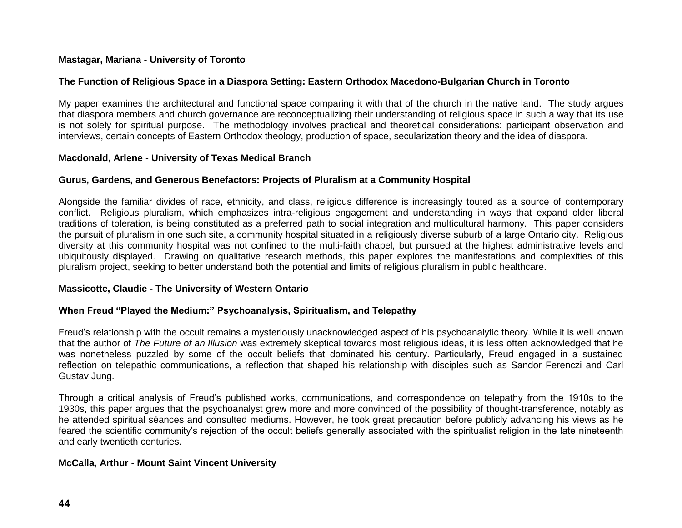# **Mastagar, Mariana - University of Toronto**

# **The Function of Religious Space in a Diaspora Setting: Eastern Orthodox Macedono-Bulgarian Church in Toronto**

My paper examines the architectural and functional space comparing it with that of the church in the native land. The study argues that diaspora members and church governance are reconceptualizing their understanding of religious space in such a way that its use is not solely for spiritual purpose. The methodology involves practical and theoretical considerations: participant observation and interviews, certain concepts of Eastern Orthodox theology, production of space, secularization theory and the idea of diaspora.

### **Macdonald, Arlene - University of Texas Medical Branch**

# **Gurus, Gardens, and Generous Benefactors: Projects of Pluralism at a Community Hospital**

Alongside the familiar divides of race, ethnicity, and class, religious difference is increasingly touted as a source of contemporary conflict. Religious pluralism, which emphasizes intra-religious engagement and understanding in ways that expand older liberal traditions of toleration, is being constituted as a preferred path to social integration and multicultural harmony. This paper considers the pursuit of pluralism in one such site, a community hospital situated in a religiously diverse suburb of a large Ontario city. Religious diversity at this community hospital was not confined to the multi-faith chapel, but pursued at the highest administrative levels and ubiquitously displayed. Drawing on qualitative research methods, this paper explores the manifestations and complexities of this pluralism project, seeking to better understand both the potential and limits of religious pluralism in public healthcare.

### **Massicotte, Claudie - The University of Western Ontario**

# **When Freud "Played the Medium:" Psychoanalysis, Spiritualism, and Telepathy**

Freud's relationship with the occult remains a mysteriously unacknowledged aspect of his psychoanalytic theory. While it is well known that the author of *The Future of an Illusion* was extremely skeptical towards most religious ideas, it is less often acknowledged that he was nonetheless puzzled by some of the occult beliefs that dominated his century. Particularly, Freud engaged in a sustained reflection on telepathic communications, a reflection that shaped his relationship with disciples such as Sandor Ferenczi and Carl Gustav Jung.

Through a critical analysis of Freud's published works, communications, and correspondence on telepathy from the 1910s to the 1930s, this paper argues that the psychoanalyst grew more and more convinced of the possibility of thought-transference, notably as he attended spiritual séances and consulted mediums. However, he took great precaution before publicly advancing his views as he feared the scientific community's rejection of the occult beliefs generally associated with the spiritualist religion in the late nineteenth and early twentieth centuries.

# **McCalla, Arthur - Mount Saint Vincent University**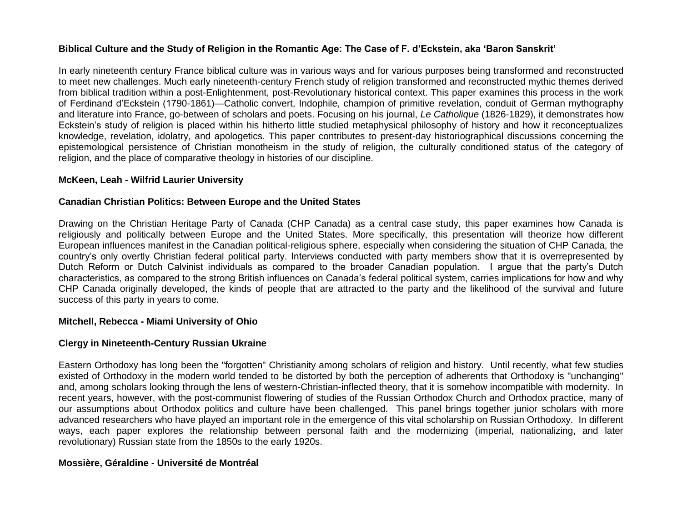# **Biblical Culture and the Study of Religion in the Romantic Age: The Case of F. d'Eckstein, aka 'Baron Sanskrit'**

In early nineteenth century France biblical culture was in various ways and for various purposes being transformed and reconstructed to meet new challenges. Much early nineteenth-century French study of religion transformed and reconstructed mythic themes derived from biblical tradition within a post-Enlightenment, post-Revolutionary historical context. This paper examines this process in the work of Ferdinand d'Eckstein (1790-1861)—Catholic convert, Indophile, champion of primitive revelation, conduit of German mythography and literature into France, go-between of scholars and poets. Focusing on his journal, *Le Catholique* (1826-1829), it demonstrates how Eckstein's study of religion is placed within his hitherto little studied metaphysical philosophy of history and how it reconceptualizes knowledge, revelation, idolatry, and apologetics. This paper contributes to present-day historiographical discussions concerning the epistemological persistence of Christian monotheism in the study of religion, the culturally conditioned status of the category of religion, and the place of comparative theology in histories of our discipline.

### **McKeen, Leah - Wilfrid Laurier University**

#### **Canadian Christian Politics: Between Europe and the United States**

Drawing on the Christian Heritage Party of Canada (CHP Canada) as a central case study, this paper examines how Canada is religiously and politically between Europe and the United States. More specifically, this presentation will theorize how different European influences manifest in the Canadian political-religious sphere, especially when considering the situation of CHP Canada, the country's only overtly Christian federal political party. Interviews conducted with party members show that it is overrepresented by Dutch Reform or Dutch Calvinist individuals as compared to the broader Canadian population. I argue that the party's Dutch characteristics, as compared to the strong British influences on Canada's federal political system, carries implications for how and why CHP Canada originally developed, the kinds of people that are attracted to the party and the likelihood of the survival and future success of this party in years to come.

#### **Mitchell, Rebecca - Miami University of Ohio**

### **Clergy in Nineteenth-Century Russian Ukraine**

Eastern Orthodoxy has long been the "forgotten" Christianity among scholars of religion and history. Until recently, what few studies existed of Orthodoxy in the modern world tended to be distorted by both the perception of adherents that Orthodoxy is "unchanging" and, among scholars looking through the lens of western-Christian-inflected theory, that it is somehow incompatible with modernity. In recent years, however, with the post-communist flowering of studies of the Russian Orthodox Church and Orthodox practice, many of our assumptions about Orthodox politics and culture have been challenged. This panel brings together junior scholars with more advanced researchers who have played an important role in the emergence of this vital scholarship on Russian Orthodoxy. In different ways, each paper explores the relationship between personal faith and the modernizing (imperial, nationalizing, and later revolutionary) Russian state from the 1850s to the early 1920s.

### **Mossière, Géraldine - Université de Montréal**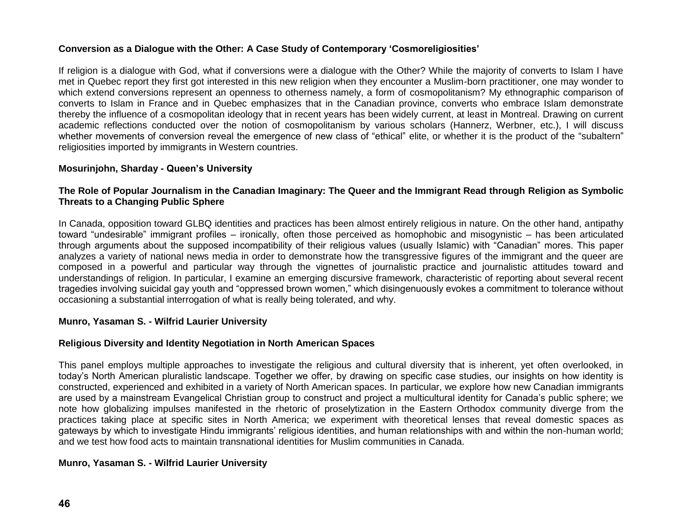# **Conversion as a Dialogue with the Other: A Case Study of Contemporary 'Cosmoreligiosities'**

If religion is a dialogue with God, what if conversions were a dialogue with the Other? While the majority of converts to Islam I have met in Quebec report they first got interested in this new religion when they encounter a Muslim-born practitioner, one may wonder to which extend conversions represent an openness to otherness namely, a form of cosmopolitanism? My ethnographic comparison of converts to Islam in France and in Quebec emphasizes that in the Canadian province, converts who embrace Islam demonstrate thereby the influence of a cosmopolitan ideology that in recent years has been widely current, at least in Montreal. Drawing on current academic reflections conducted over the notion of cosmopolitanism by various scholars (Hannerz, Werbner, etc.), I will discuss whether movements of conversion reveal the emergence of new class of "ethical" elite, or whether it is the product of the "subaltern" religiosities imported by immigrants in Western countries.

# **Mosurinjohn, Sharday - Queen's University**

# **The Role of Popular Journalism in the Canadian Imaginary: The Queer and the Immigrant Read through Religion as Symbolic Threats to a Changing Public Sphere**

In Canada, opposition toward GLBQ identities and practices has been almost entirely religious in nature. On the other hand, antipathy toward "undesirable" immigrant profiles – ironically, often those perceived as homophobic and misogynistic – has been articulated through arguments about the supposed incompatibility of their religious values (usually Islamic) with "Canadian" mores. This paper analyzes a variety of national news media in order to demonstrate how the transgressive figures of the immigrant and the queer are composed in a powerful and particular way through the vignettes of journalistic practice and journalistic attitudes toward and understandings of religion. In particular, I examine an emerging discursive framework, characteristic of reporting about several recent tragedies involving suicidal gay youth and "oppressed brown women," which disingenuously evokes a commitment to tolerance without occasioning a substantial interrogation of what is really being tolerated, and why.

# **Munro, Yasaman S. - Wilfrid Laurier University**

# **Religious Diversity and Identity Negotiation in North American Spaces**

This panel employs multiple approaches to investigate the religious and cultural diversity that is inherent, yet often overlooked, in today's North American pluralistic landscape. Together we offer, by drawing on specific case studies, our insights on how identity is constructed, experienced and exhibited in a variety of North American spaces. In particular, we explore how new Canadian immigrants are used by a mainstream Evangelical Christian group to construct and project a multicultural identity for Canada's public sphere; we note how globalizing impulses manifested in the rhetoric of proselytization in the Eastern Orthodox community diverge from the practices taking place at specific sites in North America; we experiment with theoretical lenses that reveal domestic spaces as gateways by which to investigate Hindu immigrants' religious identities, and human relationships with and within the non-human world; and we test how food acts to maintain transnational identities for Muslim communities in Canada.

# **Munro, Yasaman S. - Wilfrid Laurier University**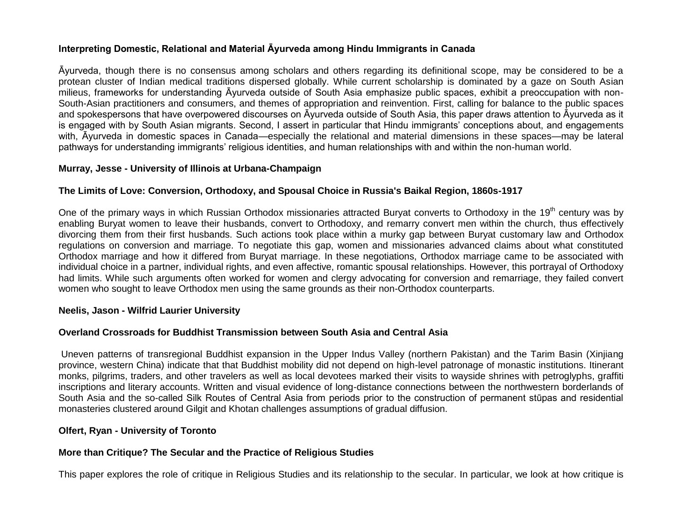# **Interpreting Domestic, Relational and Material Āyurveda among Hindu Immigrants in Canada**

Āyurveda, though there is no consensus among scholars and others regarding its definitional scope, may be considered to be a protean cluster of Indian medical traditions dispersed globally. While current scholarship is dominated by a gaze on South Asian milieus, frameworks for understanding Āyurveda outside of South Asia emphasize public spaces, exhibit a preoccupation with non-South-Asian practitioners and consumers, and themes of appropriation and reinvention. First, calling for balance to the public spaces and spokespersons that have overpowered discourses on Āyurveda outside of South Asia, this paper draws attention to Āyurveda as it is engaged with by South Asian migrants. Second, I assert in particular that Hindu immigrants' conceptions about, and engagements with, Āyurveda in domestic spaces in Canada—especially the relational and material dimensions in these spaces—may be lateral pathways for understanding immigrants' religious identities, and human relationships with and within the non-human world.

# **Murray, Jesse - University of Illinois at Urbana-Champaign**

# **The Limits of Love: Conversion, Orthodoxy, and Spousal Choice in Russia's Baikal Region, 1860s-1917**

One of the primary ways in which Russian Orthodox missionaries attracted Buryat converts to Orthodoxy in the 19<sup>th</sup> century was by enabling Buryat women to leave their husbands, convert to Orthodoxy, and remarry convert men within the church, thus effectively divorcing them from their first husbands. Such actions took place within a murky gap between Buryat customary law and Orthodox regulations on conversion and marriage. To negotiate this gap, women and missionaries advanced claims about what constituted Orthodox marriage and how it differed from Buryat marriage. In these negotiations, Orthodox marriage came to be associated with individual choice in a partner, individual rights, and even affective, romantic spousal relationships. However, this portrayal of Orthodoxy had limits. While such arguments often worked for women and clergy advocating for conversion and remarriage, they failed convert women who sought to leave Orthodox men using the same grounds as their non-Orthodox counterparts.

### **Neelis, Jason - Wilfrid Laurier University**

### **Overland Crossroads for Buddhist Transmission between South Asia and Central Asia**

Uneven patterns of transregional Buddhist expansion in the Upper Indus Valley (northern Pakistan) and the Tarim Basin (Xinjiang province, western China) indicate that that Buddhist mobility did not depend on high-level patronage of monastic institutions. Itinerant monks, pilgrims, traders, and other travelers as well as local devotees marked their visits to wayside shrines with petroglyphs, graffiti inscriptions and literary accounts. Written and visual evidence of long-distance connections between the northwestern borderlands of South Asia and the so-called Silk Routes of Central Asia from periods prior to the construction of permanent stūpas and residential monasteries clustered around Gilgit and Khotan challenges assumptions of gradual diffusion.

### **Olfert, Ryan - University of Toronto**

# **More than Critique? The Secular and the Practice of Religious Studies**

This paper explores the role of critique in Religious Studies and its relationship to the secular. In particular, we look at how critique is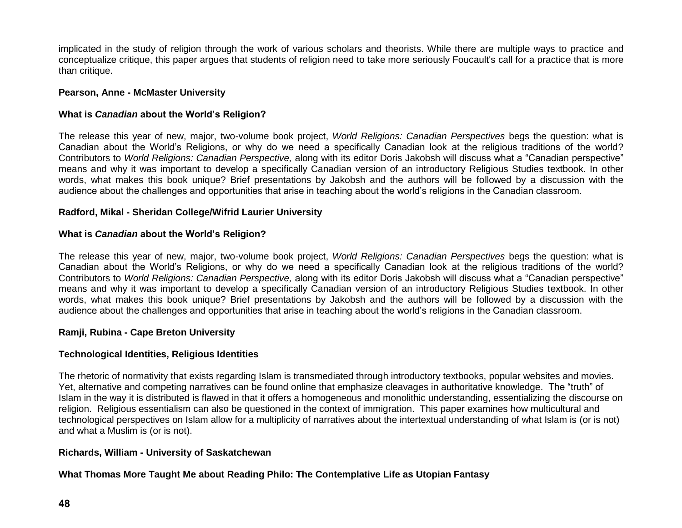implicated in the study of religion through the work of various scholars and theorists. While there are multiple ways to practice and conceptualize critique, this paper argues that students of religion need to take more seriously Foucault's call for a practice that is more than critique.

# **Pearson, Anne - McMaster University**

# **What is** *Canadian* **about the World's Religion?**

The release this year of new, major, two-volume book project, *World Religions: Canadian Perspectives* begs the question: what is Canadian about the World's Religions, or why do we need a specifically Canadian look at the religious traditions of the world? Contributors to *World Religions: Canadian Perspective,* along with its editor Doris Jakobsh will discuss what a "Canadian perspective" means and why it was important to develop a specifically Canadian version of an introductory Religious Studies textbook. In other words, what makes this book unique? Brief presentations by Jakobsh and the authors will be followed by a discussion with the audience about the challenges and opportunities that arise in teaching about the world's religions in the Canadian classroom.

# **Radford, Mikal - Sheridan College/Wifrid Laurier University**

# **What is** *Canadian* **about the World's Religion?**

The release this year of new, major, two-volume book project, *World Religions: Canadian Perspectives* begs the question: what is Canadian about the World's Religions, or why do we need a specifically Canadian look at the religious traditions of the world? Contributors to *World Religions: Canadian Perspective,* along with its editor Doris Jakobsh will discuss what a "Canadian perspective" means and why it was important to develop a specifically Canadian version of an introductory Religious Studies textbook. In other words, what makes this book unique? Brief presentations by Jakobsh and the authors will be followed by a discussion with the audience about the challenges and opportunities that arise in teaching about the world's religions in the Canadian classroom.

# **Ramji, Rubina - Cape Breton University**

# **Technological Identities, Religious Identities**

The rhetoric of normativity that exists regarding Islam is transmediated through introductory textbooks, popular websites and movies. Yet, alternative and competing narratives can be found online that emphasize cleavages in authoritative knowledge. The "truth" of Islam in the way it is distributed is flawed in that it offers a homogeneous and monolithic understanding, essentializing the discourse on religion. Religious essentialism can also be questioned in the context of immigration. This paper examines how multicultural and technological perspectives on Islam allow for a multiplicity of narratives about the intertextual understanding of what Islam is (or is not) and what a Muslim is (or is not).

# **Richards, William - University of Saskatchewan**

# **What Thomas More Taught Me about Reading Philo: The Contemplative Life as Utopian Fantasy**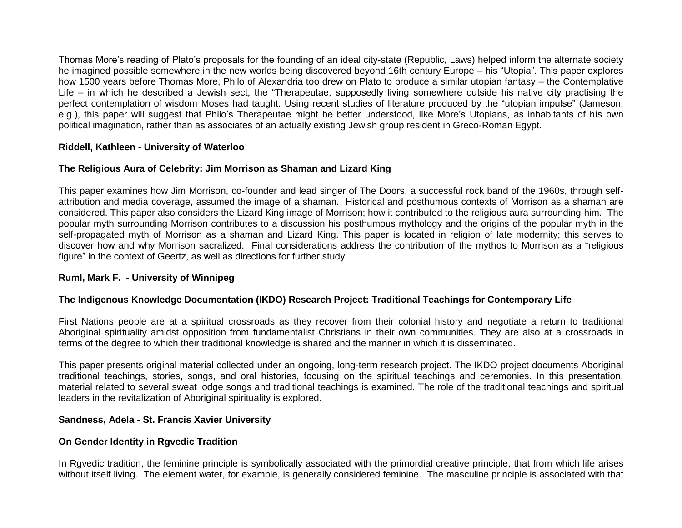Thomas More's reading of Plato's proposals for the founding of an ideal city-state (Republic, Laws) helped inform the alternate society he imagined possible somewhere in the new worlds being discovered beyond 16th century Europe – his "Utopia". This paper explores how 1500 years before Thomas More, Philo of Alexandria too drew on Plato to produce a similar utopian fantasy – the Contemplative Life – in which he described a Jewish sect, the "Therapeutae, supposedly living somewhere outside his native city practising the perfect contemplation of wisdom Moses had taught. Using recent studies of literature produced by the "utopian impulse" (Jameson, e.g.), this paper will suggest that Philo's Therapeutae might be better understood, like More's Utopians, as inhabitants of his own political imagination, rather than as associates of an actually existing Jewish group resident in Greco-Roman Egypt.

# **Riddell, Kathleen - University of Waterloo**

# **The Religious Aura of Celebrity: Jim Morrison as Shaman and Lizard King**

This paper examines how Jim Morrison, co-founder and lead singer of The Doors, a successful rock band of the 1960s, through selfattribution and media coverage, assumed the image of a shaman. Historical and posthumous contexts of Morrison as a shaman are considered. This paper also considers the Lizard King image of Morrison; how it contributed to the religious aura surrounding him. The popular myth surrounding Morrison contributes to a discussion his posthumous mythology and the origins of the popular myth in the self-propagated myth of Morrison as a shaman and Lizard King. This paper is located in religion of late modernity; this serves to discover how and why Morrison sacralized. Final considerations address the contribution of the mythos to Morrison as a "religious figure" in the context of Geertz, as well as directions for further study.

# **Ruml, Mark F. - University of Winnipeg**

# **The Indigenous Knowledge Documentation (IKDO) Research Project: Traditional Teachings for Contemporary Life**

First Nations people are at a spiritual crossroads as they recover from their colonial history and negotiate a return to traditional Aboriginal spirituality amidst opposition from fundamentalist Christians in their own communities. They are also at a crossroads in terms of the degree to which their traditional knowledge is shared and the manner in which it is disseminated.

This paper presents original material collected under an ongoing, long-term research project. The IKDO project documents Aboriginal traditional teachings, stories, songs, and oral histories, focusing on the spiritual teachings and ceremonies. In this presentation, material related to several sweat lodge songs and traditional teachings is examined. The role of the traditional teachings and spiritual leaders in the revitalization of Aboriginal spirituality is explored.

# **Sandness, Adela - St. Francis Xavier University**

# **On Gender Identity in Rgvedic Tradition**

In Rgvedic tradition, the feminine principle is symbolically associated with the primordial creative principle, that from which life arises without itself living. The element water, for example, is generally considered feminine. The masculine principle is associated with that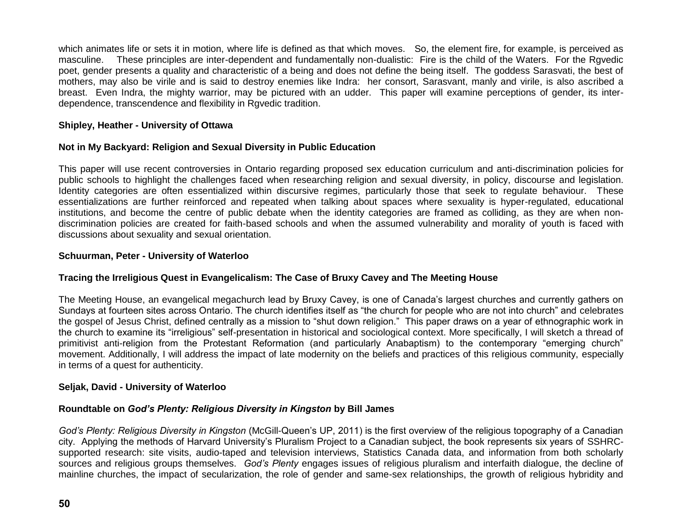which animates life or sets it in motion, where life is defined as that which moves. So, the element fire, for example, is perceived as masculine. These principles are inter-dependent and fundamentally non-dualistic: Fire is the child of the Waters. For the Rgvedic poet, gender presents a quality and characteristic of a being and does not define the being itself. The goddess Sarasvati, the best of mothers, may also be virile and is said to destroy enemies like Indra: her consort, Sarasvant, manly and virile, is also ascribed a breast. Even Indra, the mighty warrior, may be pictured with an udder. This paper will examine perceptions of gender, its interdependence, transcendence and flexibility in Rgvedic tradition.

# **Shipley, Heather - University of Ottawa**

# **Not in My Backyard: Religion and Sexual Diversity in Public Education**

This paper will use recent controversies in Ontario regarding proposed sex education curriculum and anti-discrimination policies for public schools to highlight the challenges faced when researching religion and sexual diversity, in policy, discourse and legislation. Identity categories are often essentialized within discursive regimes, particularly those that seek to regulate behaviour. These essentializations are further reinforced and repeated when talking about spaces where sexuality is hyper-regulated, educational institutions, and become the centre of public debate when the identity categories are framed as colliding, as they are when nondiscrimination policies are created for faith-based schools and when the assumed vulnerability and morality of youth is faced with discussions about sexuality and sexual orientation.

# **Schuurman, Peter - University of Waterloo**

# **Tracing the Irreligious Quest in Evangelicalism: The Case of Bruxy Cavey and The Meeting House**

The Meeting House, an evangelical megachurch lead by Bruxy Cavey, is one of Canada's largest churches and currently gathers on Sundays at fourteen sites across Ontario. The church identifies itself as "the church for people who are not into church" and celebrates the gospel of Jesus Christ, defined centrally as a mission to "shut down religion." This paper draws on a year of ethnographic work in the church to examine its "irreligious" self-presentation in historical and sociological context. More specifically, I will sketch a thread of primitivist anti-religion from the Protestant Reformation (and particularly Anabaptism) to the contemporary "emerging church" movement. Additionally, I will address the impact of late modernity on the beliefs and practices of this religious community, especially in terms of a quest for authenticity.

# **Seljak, David - University of Waterloo**

# **Roundtable on** *God's Plenty: Religious Diversity in Kingston* **by Bill James**

*God's Plenty: Religious Diversity in Kingston* (McGill-Queen's UP, 2011) is the first overview of the religious topography of a Canadian city. Applying the methods of Harvard University's Pluralism Project to a Canadian subject, the book represents six years of SSHRCsupported research: site visits, audio-taped and television interviews, Statistics Canada data, and information from both scholarly sources and religious groups themselves. *God's Plenty* engages issues of religious pluralism and interfaith dialogue, the decline of mainline churches, the impact of secularization, the role of gender and same-sex relationships, the growth of religious hybridity and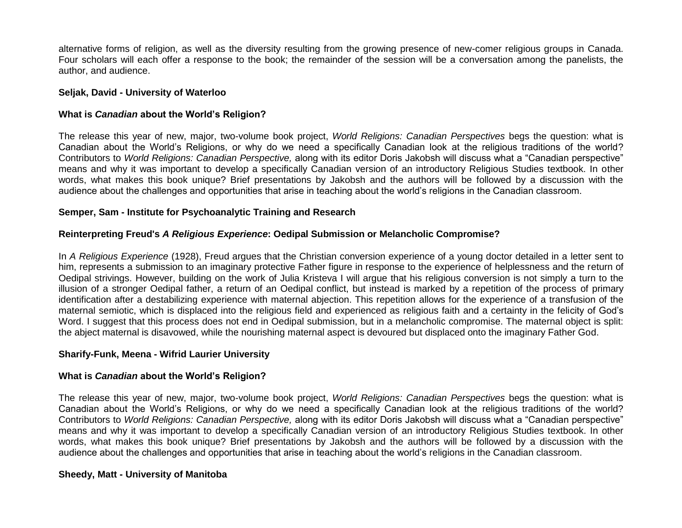alternative forms of religion, as well as the diversity resulting from the growing presence of new-comer religious groups in Canada. Four scholars will each offer a response to the book; the remainder of the session will be a conversation among the panelists, the author, and audience.

### **Seljak, David - University of Waterloo**

# **What is** *Canadian* **about the World's Religion?**

The release this year of new, major, two-volume book project, *World Religions: Canadian Perspectives* begs the question: what is Canadian about the World's Religions, or why do we need a specifically Canadian look at the religious traditions of the world? Contributors to *World Religions: Canadian Perspective,* along with its editor Doris Jakobsh will discuss what a "Canadian perspective" means and why it was important to develop a specifically Canadian version of an introductory Religious Studies textbook. In other words, what makes this book unique? Brief presentations by Jakobsh and the authors will be followed by a discussion with the audience about the challenges and opportunities that arise in teaching about the world's religions in the Canadian classroom.

# **Semper, Sam - Institute for Psychoanalytic Training and Research**

# **Reinterpreting Freud's** *A Religious Experience***: Oedipal Submission or Melancholic Compromise?**

In *A Religious Experience* (1928), Freud argues that the Christian conversion experience of a young doctor detailed in a letter sent to him, represents a submission to an imaginary protective Father figure in response to the experience of helplessness and the return of Oedipal strivings. However, building on the work of Julia Kristeva I will argue that his religious conversion is not simply a turn to the illusion of a stronger Oedipal father, a return of an Oedipal conflict, but instead is marked by a repetition of the process of primary identification after a destabilizing experience with maternal abjection. This repetition allows for the experience of a transfusion of the maternal semiotic, which is displaced into the religious field and experienced as religious faith and a certainty in the felicity of God's Word. I suggest that this process does not end in Oedipal submission, but in a melancholic compromise. The maternal object is split: the abject maternal is disavowed, while the nourishing maternal aspect is devoured but displaced onto the imaginary Father God.

# **Sharify-Funk, Meena - Wifrid Laurier University**

# **What is** *Canadian* **about the World's Religion?**

The release this year of new, major, two-volume book project, *World Religions: Canadian Perspectives* begs the question: what is Canadian about the World's Religions, or why do we need a specifically Canadian look at the religious traditions of the world? Contributors to *World Religions: Canadian Perspective,* along with its editor Doris Jakobsh will discuss what a "Canadian perspective" means and why it was important to develop a specifically Canadian version of an introductory Religious Studies textbook. In other words, what makes this book unique? Brief presentations by Jakobsh and the authors will be followed by a discussion with the audience about the challenges and opportunities that arise in teaching about the world's religions in the Canadian classroom.

# **Sheedy, Matt - University of Manitoba**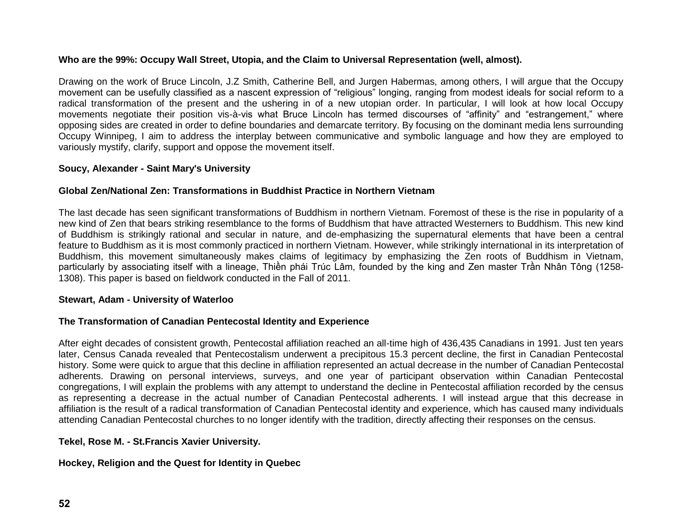# **Who are the 99%: Occupy Wall Street, Utopia, and the Claim to Universal Representation (well, almost).**

Drawing on the work of Bruce Lincoln, J.Z Smith, Catherine Bell, and Jurgen Habermas, among others, I will argue that the Occupy movement can be usefully classified as a nascent expression of "religious" longing, ranging from modest ideals for social reform to a radical transformation of the present and the ushering in of a new utopian order. In particular, I will look at how local Occupy movements negotiate their position vis-à-vis what Bruce Lincoln has termed discourses of "affinity" and "estrangement," where opposing sides are created in order to define boundaries and demarcate territory. By focusing on the dominant media lens surrounding Occupy Winnipeg, I aim to address the interplay between communicative and symbolic language and how they are employed to variously mystify, clarify, support and oppose the movement itself.

### **Soucy, Alexander - Saint Mary's University**

#### **Global Zen/National Zen: Transformations in Buddhist Practice in Northern Vietnam**

The last decade has seen significant transformations of Buddhism in northern Vietnam. Foremost of these is the rise in popularity of a new kind of Zen that bears striking resemblance to the forms of Buddhism that have attracted Westerners to Buddhism. This new kind of Buddhism is strikingly rational and secular in nature, and de-emphasizing the supernatural elements that have been a central feature to Buddhism as it is most commonly practiced in northern Vietnam. However, while strikingly international in its interpretation of Buddhism, this movement simultaneously makes claims of legitimacy by emphasizing the Zen roots of Buddhism in Vietnam, particularly by associating itself with a lineage, Thiền phái Trúc Lâm, founded by the king and Zen master Trần Nhân Tông (1258- 1308). This paper is based on fieldwork conducted in the Fall of 2011.

#### **Stewart, Adam - University of Waterloo**

### **The Transformation of Canadian Pentecostal Identity and Experience**

After eight decades of consistent growth, Pentecostal affiliation reached an all-time high of 436,435 Canadians in 1991. Just ten years later, Census Canada revealed that Pentecostalism underwent a precipitous 15.3 percent decline, the first in Canadian Pentecostal history. Some were quick to argue that this decline in affiliation represented an actual decrease in the number of Canadian Pentecostal adherents. Drawing on personal interviews, surveys, and one year of participant observation within Canadian Pentecostal congregations, I will explain the problems with any attempt to understand the decline in Pentecostal affiliation recorded by the census as representing a decrease in the actual number of Canadian Pentecostal adherents. I will instead argue that this decrease in affiliation is the result of a radical transformation of Canadian Pentecostal identity and experience, which has caused many individuals attending Canadian Pentecostal churches to no longer identify with the tradition, directly affecting their responses on the census.

### **Tekel, Rose M. - St.Francis Xavier University.**

### **Hockey, Religion and the Quest for Identity in Quebec**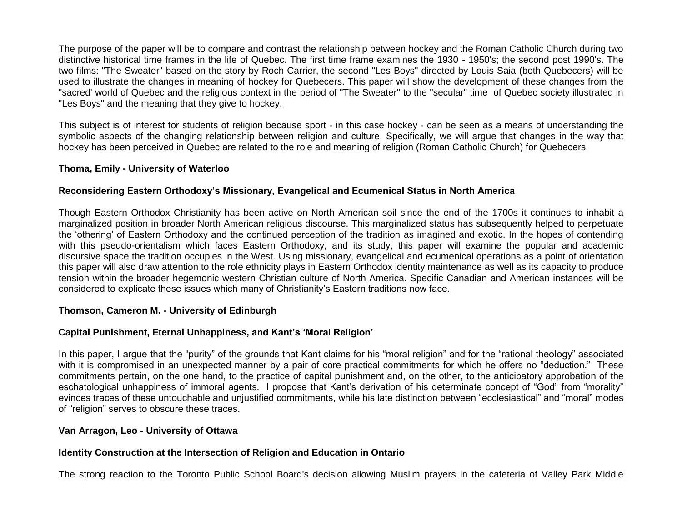The purpose of the paper will be to compare and contrast the relationship between hockey and the Roman Catholic Church during two distinctive historical time frames in the life of Quebec. The first time frame examines the 1930 - 1950's; the second post 1990's. The two films: "The Sweater" based on the story by Roch Carrier, the second "Les Boys" directed by Louis Saia (both Quebecers) will be used to illustrate the changes in meaning of hockey for Quebecers. This paper will show the development of these changes from the "sacred' world of Quebec and the religious context in the period of "The Sweater" to the "secular" time of Quebec society illustrated in "Les Boys" and the meaning that they give to hockey.

This subject is of interest for students of religion because sport - in this case hockey - can be seen as a means of understanding the symbolic aspects of the changing relationship between religion and culture. Specifically, we will argue that changes in the way that hockey has been perceived in Quebec are related to the role and meaning of religion (Roman Catholic Church) for Quebecers.

### **Thoma, Emily - University of Waterloo**

# **Reconsidering Eastern Orthodoxy's Missionary, Evangelical and Ecumenical Status in North America**

Though Eastern Orthodox Christianity has been active on North American soil since the end of the 1700s it continues to inhabit a marginalized position in broader North American religious discourse. This marginalized status has subsequently helped to perpetuate the 'othering' of Eastern Orthodoxy and the continued perception of the tradition as imagined and exotic. In the hopes of contending with this pseudo-orientalism which faces Eastern Orthodoxy, and its study, this paper will examine the popular and academic discursive space the tradition occupies in the West. Using missionary, evangelical and ecumenical operations as a point of orientation this paper will also draw attention to the role ethnicity plays in Eastern Orthodox identity maintenance as well as its capacity to produce tension within the broader hegemonic western Christian culture of North America. Specific Canadian and American instances will be considered to explicate these issues which many of Christianity's Eastern traditions now face.

### **Thomson, Cameron M. - University of Edinburgh**

# **Capital Punishment, Eternal Unhappiness, and Kant's 'Moral Religion'**

In this paper, I argue that the "purity" of the grounds that Kant claims for his "moral religion" and for the "rational theology" associated with it is compromised in an unexpected manner by a pair of core practical commitments for which he offers no "deduction." These commitments pertain, on the one hand, to the practice of capital punishment and, on the other, to the anticipatory approbation of the eschatological unhappiness of immoral agents. I propose that Kant's derivation of his determinate concept of "God" from "morality" evinces traces of these untouchable and unjustified commitments, while his late distinction between "ecclesiastical" and "moral" modes of "religion" serves to obscure these traces.

### **Van Arragon, Leo - University of Ottawa**

# **Identity Construction at the Intersection of Religion and Education in Ontario**

The strong reaction to the Toronto Public School Board's decision allowing Muslim prayers in the cafeteria of Valley Park Middle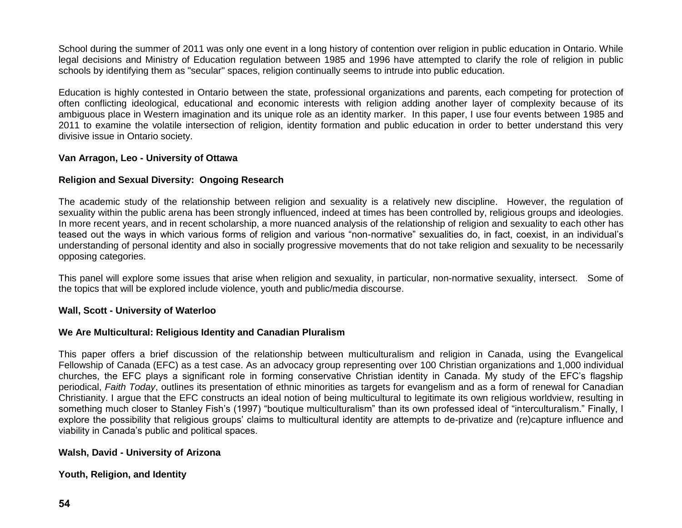School during the summer of 2011 was only one event in a long history of contention over religion in public education in Ontario. While legal decisions and Ministry of Education regulation between 1985 and 1996 have attempted to clarify the role of religion in public schools by identifying them as "secular" spaces, religion continually seems to intrude into public education.

Education is highly contested in Ontario between the state, professional organizations and parents, each competing for protection of often conflicting ideological, educational and economic interests with religion adding another layer of complexity because of its ambiguous place in Western imagination and its unique role as an identity marker. In this paper, I use four events between 1985 and 2011 to examine the volatile intersection of religion, identity formation and public education in order to better understand this very divisive issue in Ontario society.

# **Van Arragon, Leo - University of Ottawa**

# **Religion and Sexual Diversity: Ongoing Research**

The academic study of the relationship between religion and sexuality is a relatively new discipline. However, the regulation of sexuality within the public arena has been strongly influenced, indeed at times has been controlled by, religious groups and ideologies. In more recent years, and in recent scholarship, a more nuanced analysis of the relationship of religion and sexuality to each other has teased out the ways in which various forms of religion and various "non-normative" sexualities do, in fact, coexist, in an individual's understanding of personal identity and also in socially progressive movements that do not take religion and sexuality to be necessarily opposing categories.

This panel will explore some issues that arise when religion and sexuality, in particular, non-normative sexuality, intersect. Some of the topics that will be explored include violence, youth and public/media discourse.

### **Wall, Scott - University of Waterloo**

### **We Are Multicultural: Religious Identity and Canadian Pluralism**

This paper offers a brief discussion of the relationship between multiculturalism and religion in Canada, using the Evangelical Fellowship of Canada (EFC) as a test case. As an advocacy group representing over 100 Christian organizations and 1,000 individual churches, the EFC plays a significant role in forming conservative Christian identity in Canada. My study of the EFC's flagship periodical, *Faith Today*, outlines its presentation of ethnic minorities as targets for evangelism and as a form of renewal for Canadian Christianity. I argue that the EFC constructs an ideal notion of being multicultural to legitimate its own religious worldview, resulting in something much closer to Stanley Fish's (1997) "boutique multiculturalism" than its own professed ideal of "interculturalism." Finally, I explore the possibility that religious groups' claims to multicultural identity are attempts to de-privatize and (re)capture influence and viability in Canada's public and political spaces.

### **Walsh, David - University of Arizona**

# **Youth, Religion, and Identity**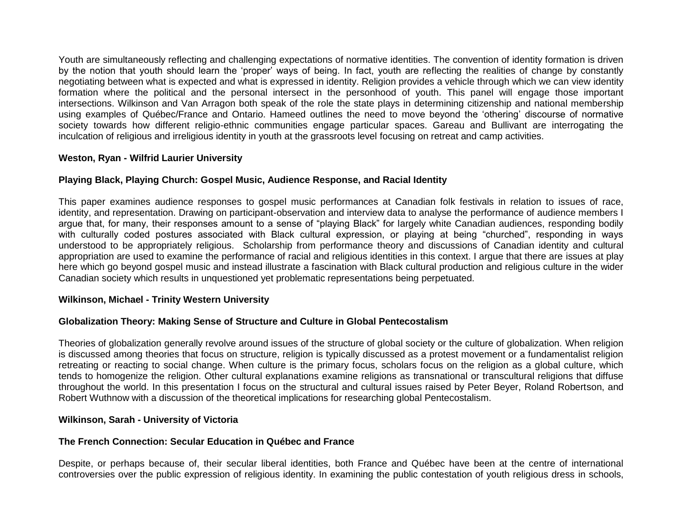Youth are simultaneously reflecting and challenging expectations of normative identities. The convention of identity formation is driven by the notion that youth should learn the 'proper' ways of being. In fact, youth are reflecting the realities of change by constantly negotiating between what is expected and what is expressed in identity. Religion provides a vehicle through which we can view identity formation where the political and the personal intersect in the personhood of youth. This panel will engage those important intersections. Wilkinson and Van Arragon both speak of the role the state plays in determining citizenship and national membership using examples of Québec/France and Ontario. Hameed outlines the need to move beyond the 'othering' discourse of normative society towards how different religio-ethnic communities engage particular spaces. Gareau and Bullivant are interrogating the inculcation of religious and irreligious identity in youth at the grassroots level focusing on retreat and camp activities.

# **Weston, Ryan - Wilfrid Laurier University**

# **Playing Black, Playing Church: Gospel Music, Audience Response, and Racial Identity**

This paper examines audience responses to gospel music performances at Canadian folk festivals in relation to issues of race, identity, and representation. Drawing on participant-observation and interview data to analyse the performance of audience members I argue that, for many, their responses amount to a sense of "playing Black" for largely white Canadian audiences, responding bodily with culturally coded postures associated with Black cultural expression, or playing at being "churched", responding in ways understood to be appropriately religious. Scholarship from performance theory and discussions of Canadian identity and cultural appropriation are used to examine the performance of racial and religious identities in this context. I argue that there are issues at play here which go beyond gospel music and instead illustrate a fascination with Black cultural production and religious culture in the wider Canadian society which results in unquestioned yet problematic representations being perpetuated.

### **Wilkinson, Michael - Trinity Western University**

# **Globalization Theory: Making Sense of Structure and Culture in Global Pentecostalism**

Theories of globalization generally revolve around issues of the structure of global society or the culture of globalization. When religion is discussed among theories that focus on structure, religion is typically discussed as a protest movement or a fundamentalist religion retreating or reacting to social change. When culture is the primary focus, scholars focus on the religion as a global culture, which tends to homogenize the religion. Other cultural explanations examine religions as transnational or transcultural religions that diffuse throughout the world. In this presentation I focus on the structural and cultural issues raised by Peter Beyer, Roland Robertson, and Robert Wuthnow with a discussion of the theoretical implications for researching global Pentecostalism.

### **Wilkinson, Sarah - University of Victoria**

### **The French Connection: Secular Education in Québec and France**

Despite, or perhaps because of, their secular liberal identities, both France and Québec have been at the centre of international controversies over the public expression of religious identity. In examining the public contestation of youth religious dress in schools,